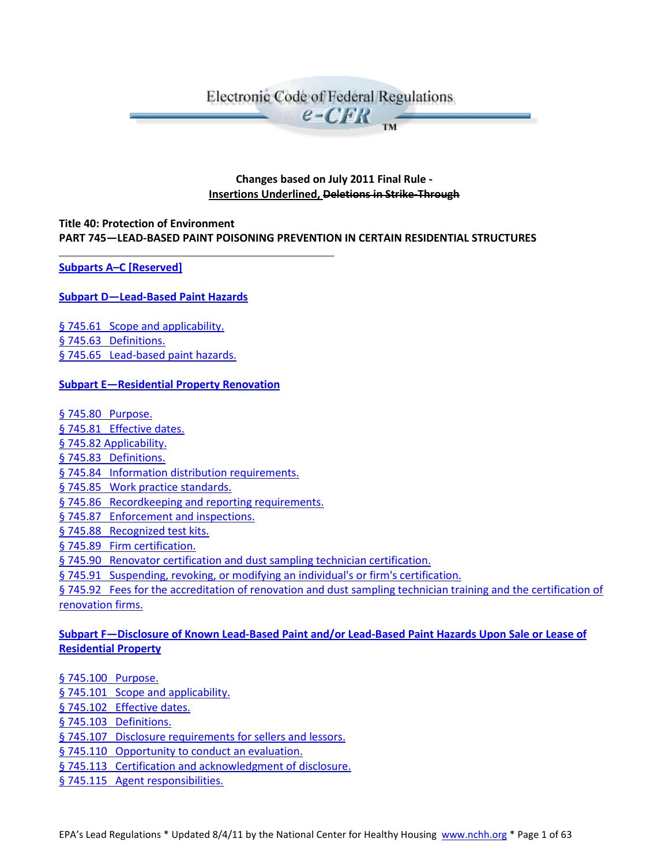# Electronic Code of Federal Regulations  $e$ -CFR

**Changes based on July 2011 Final Rule - Insertions Underlined, Deletions in Strike-Through**

#### **Title 40: Protection of Environment PART 745—LEAD-BASED PAINT POISONING PREVENTION IN CERTAIN RESIDENTIAL STRUCTURES**

**[Subparts A–C \[Reserved\]](#page-1-0)**

#### **[Subpart D—Lead-Based Paint Hazards](#page-1-1)**

§ [745.61 Scope and applicability.](#page-3-0) § [745.63 Definitions.](#page-2-0) § [745.65 Lead-based paint hazards.](#page-3-1)

#### **[Subpart E—Residential Property Renovation](#page-3-2)**

§ [745.80 Purpose.](#page-3-0)

- § [745.81 Effective dates.](#page-3-3)
- § 745.82 [Applicability.](#page-4-0)
- § [745.83 Definitions.](#page-5-0)
- § [745.84 Information distribution requirements.](#page-7-0)
- § [745.85 Work practice standards.](#page-8-0)
- § [745.86 Recordkeeping and reporting requirements.](#page-11-0)
- § [745.87 Enforcement and inspections.](#page-13-0)
- § [745.88 Recognized test kits.](#page-13-1)
- § [745.89 Firm certification.](#page-14-0)

§ [745.90 Renovator certification and dust sampling technician certification.](#page-15-0)

§ [745.91 Suspending, revoking, or modifying an individual's or firm's](#page-16-0) certification.

§ [745.92 Fees for the accreditation of renovation and dust sampling technician training and the certification of](#page-17-0)  [renovation firms.](#page-17-0)

#### **[Subpart F—Disclosure of Known Lead-Based Paint and/or Lead-Based Paint Hazards Upon Sale or Lease of](#page-18-0)  [Residential Property](#page-18-0)**

§ [745.100 Purpose.](#page-18-1)

- § [745.101 Scope and applicability.](#page-19-0)
- § [745.102 Effective dates.](#page-19-1)
- § [745.103 Definitions.](#page-19-2)
- § [745.107 Disclosure requirements for sellers and lessors.](#page-20-0)
- § [745.110 Opportunity to conduct an evaluation.](#page-21-0)
- § [745.113 Certification and acknowledgment of disclosure.](#page-21-1)
- § [745.115 Agent responsibilities.](#page-22-0)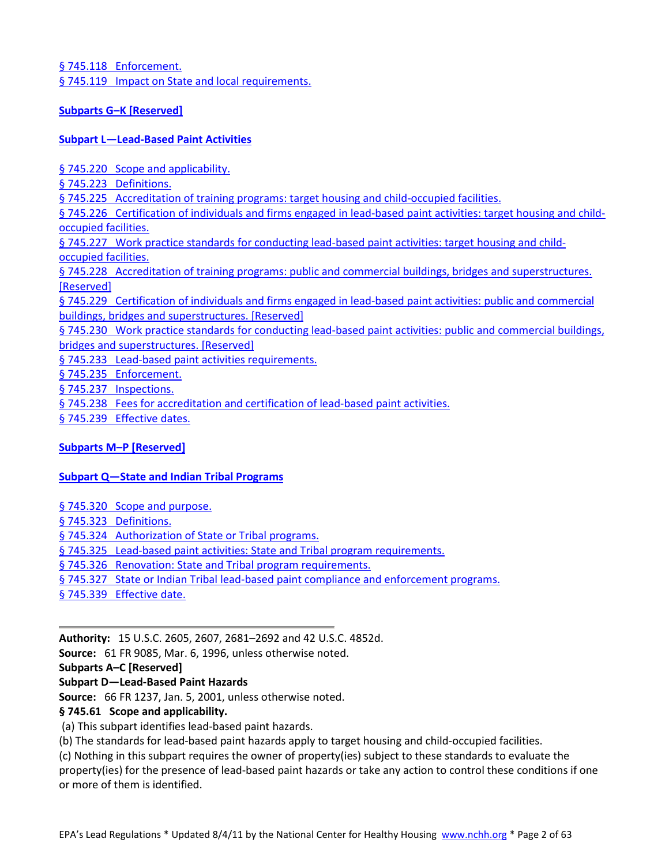§ [745.118 Enforcement.](#page-23-0) § [745.119 Impact on State and local requirements.](#page-23-1)

#### **[Subparts G–K \[Reserved\]](#page-23-2)**

#### **[Subpart L—Lead-Based Paint Activities](#page-23-3)**

§ [745.220 Scope and applicability.](#page-23-4)

§ [745.223 Definitions.](#page-24-0)

§ [745.225 Accreditation of training programs: target housing and child-occupied facilities.](#page-27-0)

§ [745.226 Certification of individuals and firms engaged in lead-based paint activities: target housing and child](#page-38-0)[occupied facilities.](#page-38-0)

§ [745.227 Work practice standards for conducting lead-based paint activities: target housing and child](#page-42-0)[occupied facilities.](#page-42-0)

§ [745.228 Accreditation of training programs: public and commercial buildings, bridges and superstructures.](#page-49-0)  [\[Reserved\]](#page-49-0)

§ 745.229 Certification of individuals [and firms engaged in lead-based paint activities: public and commercial](#page-49-1)  [buildings, bridges and superstructures. \[Reserved\]](#page-49-1)

§ 745.230 Work practice standards for conducting lead-based paint activities: public and commercial buildings, [bridges and superstructures. \[Reserved\]](#page-49-2)

- § [745.233 Lead-based paint activities requirements.](#page-49-3)
- § [745.235 Enforcement.](#page-49-4)
- § [745.237 Inspections.](#page-49-5)

§ [745.238 Fees for accreditation and certification of lead-based paint activities.](#page-49-6)

§ [745.239 Effective dates.](#page-51-0)

# **[Subparts M–P \[Reserved\]](#page-51-1)**

# **[Subpart Q—State and Indian Tribal Programs](#page-51-2)**

§ [745.320 Scope and purpose.](#page-51-3)

§ [745.323 Definitions.](#page-52-0)

§ [745.324 Authorization of State or Tribal programs.](#page-52-1)

§ [745.325 Lead-based paint activities: State and Tribal program requirements.](#page-55-0)

§ [745.326 Renovation: State and Tribal program requirements.](#page-57-0)

§ [745.327 State or Indian Tribal lead-based paint compliance and enforcement programs.](#page-59-0)

§ [745.339 Effective date.](#page-62-0)

**Authority:** 15 U.S.C. 2605, 2607, 2681–2692 and 42 U.S.C. 4852d.

**Source:** 61 FR 9085, Mar. 6, 1996, unless otherwise noted.

<span id="page-1-0"></span>**Subparts A–C [Reserved]**

# <span id="page-1-1"></span>**Subpart D—Lead-Based Paint Hazards**

**Source:** 66 FR 1237, Jan. 5, 2001, unless otherwise noted.

#### **§ 745.61 Scope and applicability.**

(a) This subpart identifies lead-based paint hazards.

(b) The standards for lead-based paint hazards apply to target housing and child-occupied facilities.

(c) Nothing in this subpart requires the owner of property(ies) subject to these standards to evaluate the property(ies) for the presence of lead-based paint hazards or take any action to control these conditions if one or more of them is identified.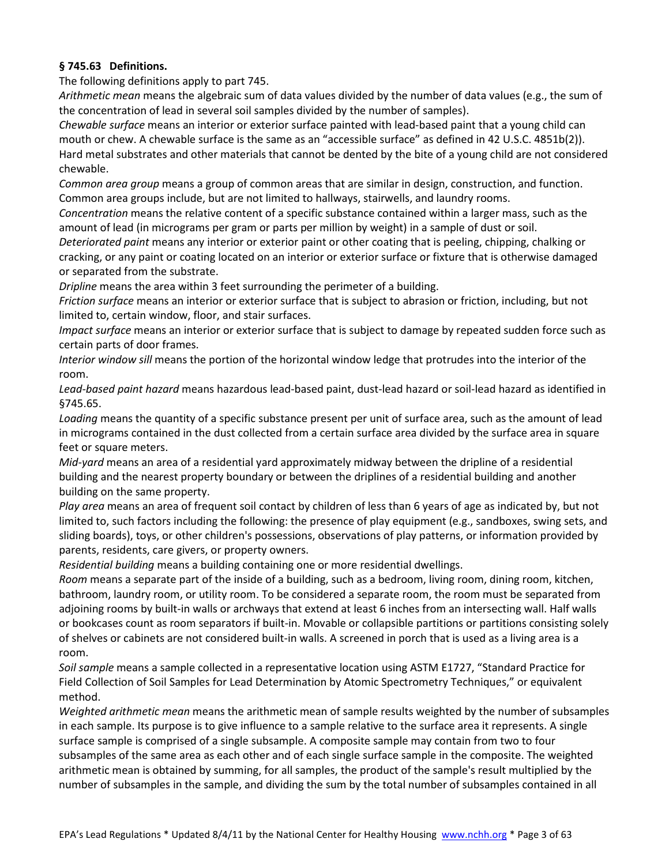#### <span id="page-2-0"></span>**§ 745.63 Definitions.**

The following definitions apply to part 745.

*Arithmetic mean* means the algebraic sum of data values divided by the number of data values (e.g., the sum of the concentration of lead in several soil samples divided by the number of samples).

*Chewable surface* means an interior or exterior surface painted with lead-based paint that a young child can mouth or chew. A chewable surface is the same as an "accessible surface" as defined in 42 U.S.C. 4851b(2)). Hard metal substrates and other materials that cannot be dented by the bite of a young child are not considered chewable.

*Common area group* means a group of common areas that are similar in design, construction, and function. Common area groups include, but are not limited to hallways, stairwells, and laundry rooms.

*Concentration* means the relative content of a specific substance contained within a larger mass, such as the amount of lead (in micrograms per gram or parts per million by weight) in a sample of dust or soil.

*Deteriorated paint* means any interior or exterior paint or other coating that is peeling, chipping, chalking or cracking, or any paint or coating located on an interior or exterior surface or fixture that is otherwise damaged or separated from the substrate.

*Dripline* means the area within 3 feet surrounding the perimeter of a building.

*Friction surface* means an interior or exterior surface that is subject to abrasion or friction, including, but not limited to, certain window, floor, and stair surfaces.

*Impact surface* means an interior or exterior surface that is subject to damage by repeated sudden force such as certain parts of door frames.

*Interior window sill* means the portion of the horizontal window ledge that protrudes into the interior of the room.

*Lead-based paint hazard* means hazardous lead-based paint, dust-lead hazard or soil-lead hazard as identified in §745.65.

*Loading* means the quantity of a specific substance present per unit of surface area, such as the amount of lead in micrograms contained in the dust collected from a certain surface area divided by the surface area in square feet or square meters.

*Mid-yard* means an area of a residential yard approximately midway between the dripline of a residential building and the nearest property boundary or between the driplines of a residential building and another building on the same property.

*Play area* means an area of frequent soil contact by children of less than 6 years of age as indicated by, but not limited to, such factors including the following: the presence of play equipment (e.g., sandboxes, swing sets, and sliding boards), toys, or other children's possessions, observations of play patterns, or information provided by parents, residents, care givers, or property owners.

*Residential building* means a building containing one or more residential dwellings.

*Room* means a separate part of the inside of a building, such as a bedroom, living room, dining room, kitchen, bathroom, laundry room, or utility room. To be considered a separate room, the room must be separated from adjoining rooms by built-in walls or archways that extend at least 6 inches from an intersecting wall. Half walls or bookcases count as room separators if built-in. Movable or collapsible partitions or partitions consisting solely of shelves or cabinets are not considered built-in walls. A screened in porch that is used as a living area is a room.

*Soil sample* means a sample collected in a representative location using ASTM E1727, "Standard Practice for Field Collection of Soil Samples for Lead Determination by Atomic Spectrometry Techniques," or equivalent method.

*Weighted arithmetic mean* means the arithmetic mean of sample results weighted by the number of subsamples in each sample. Its purpose is to give influence to a sample relative to the surface area it represents. A single surface sample is comprised of a single subsample. A composite sample may contain from two to four subsamples of the same area as each other and of each single surface sample in the composite. The weighted arithmetic mean is obtained by summing, for all samples, the product of the sample's result multiplied by the number of subsamples in the sample, and dividing the sum by the total number of subsamples contained in all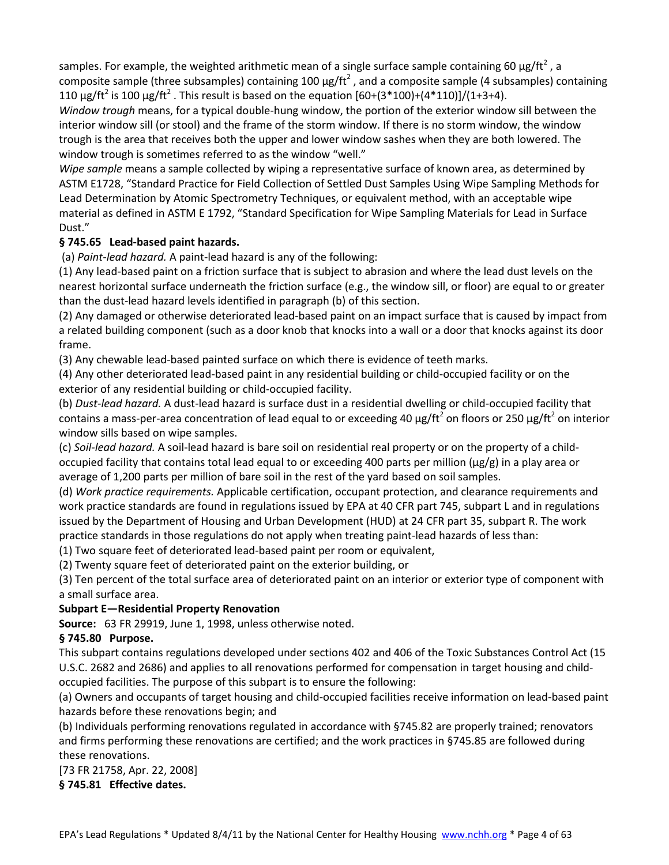samples. For example, the weighted arithmetic mean of a single surface sample containing 60  $\mu$ g/ft<sup>2</sup>, a composite sample (three subsamples) containing 100  $\mu$ g/ft<sup>2</sup>, and a composite sample (4 subsamples) containing 110  $\mu$ g/ft<sup>2</sup> is 100  $\mu$ g/ft<sup>2</sup>. This result is based on the equation  $[60+(3*100)+(4*110)]/(1+3+4)$ .

*Window trough* means, for a typical double-hung window, the portion of the exterior window sill between the interior window sill (or stool) and the frame of the storm window. If there is no storm window, the window trough is the area that receives both the upper and lower window sashes when they are both lowered. The window trough is sometimes referred to as the window "well."

*Wipe sample* means a sample collected by wiping a representative surface of known area, as determined by ASTM E1728, "Standard Practice for Field Collection of Settled Dust Samples Using Wipe Sampling Methods for Lead Determination by Atomic Spectrometry Techniques, or equivalent method, with an acceptable wipe material as defined in ASTM E 1792, "Standard Specification for Wipe Sampling Materials for Lead in Surface Dust."

#### <span id="page-3-1"></span>**§ 745.65 Lead-based paint hazards.**

(a) *Paint-lead hazard.* A paint-lead hazard is any of the following:

(1) Any lead-based paint on a friction surface that is subject to abrasion and where the lead dust levels on the nearest horizontal surface underneath the friction surface (e.g., the window sill, or floor) are equal to or greater than the dust-lead hazard levels identified in paragraph (b) of this section.

(2) Any damaged or otherwise deteriorated lead-based paint on an impact surface that is caused by impact from a related building component (such as a door knob that knocks into a wall or a door that knocks against its door frame.

(3) Any chewable lead-based painted surface on which there is evidence of teeth marks.

(4) Any other deteriorated lead-based paint in any residential building or child-occupied facility or on the exterior of any residential building or child-occupied facility.

(b) *Dust-lead hazard.* A dust-lead hazard is surface dust in a residential dwelling or child-occupied facility that contains a mass-per-area concentration of lead equal to or exceeding 40  $\mu$ g/ft<sup>2</sup> on floors or 250  $\mu$ g/ft<sup>2</sup> on interior window sills based on wipe samples.

(c) *Soil-lead hazard.* A soil-lead hazard is bare soil on residential real property or on the property of a childoccupied facility that contains total lead equal to or exceeding 400 parts per million (µg/g) in a play area or average of 1,200 parts per million of bare soil in the rest of the yard based on soil samples.

(d) *Work practice requirements.* Applicable certification, occupant protection, and clearance requirements and work practice standards are found in regulations issued by EPA at 40 CFR part 745, subpart L and in regulations issued by the Department of Housing and Urban Development (HUD) at 24 CFR part 35, subpart R. The work practice standards in those regulations do not apply when treating paint-lead hazards of less than:

(1) Two square feet of deteriorated lead-based paint per room or equivalent,

(2) Twenty square feet of deteriorated paint on the exterior building, or

(3) Ten percent of the total surface area of deteriorated paint on an interior or exterior type of component with a small surface area.

#### <span id="page-3-2"></span>**Subpart E—Residential Property Renovation**

**Source:** 63 FR 29919, June 1, 1998, unless otherwise noted.

#### <span id="page-3-0"></span>**§ 745.80 Purpose.**

This subpart contains regulations developed under sections 402 and 406 of the Toxic Substances Control Act (15 U.S.C. 2682 and 2686) and applies to all renovations performed for compensation in target housing and childoccupied facilities. The purpose of this subpart is to ensure the following:

(a) Owners and occupants of target housing and child-occupied facilities receive information on lead-based paint hazards before these renovations begin; and

(b) Individuals performing renovations regulated in accordance with §745.82 are properly trained; renovators and firms performing these renovations are certified; and the work practices in §745.85 are followed during these renovations.

[73 FR 21758, Apr. 22, 2008]

<span id="page-3-3"></span>**§ 745.81 Effective dates.**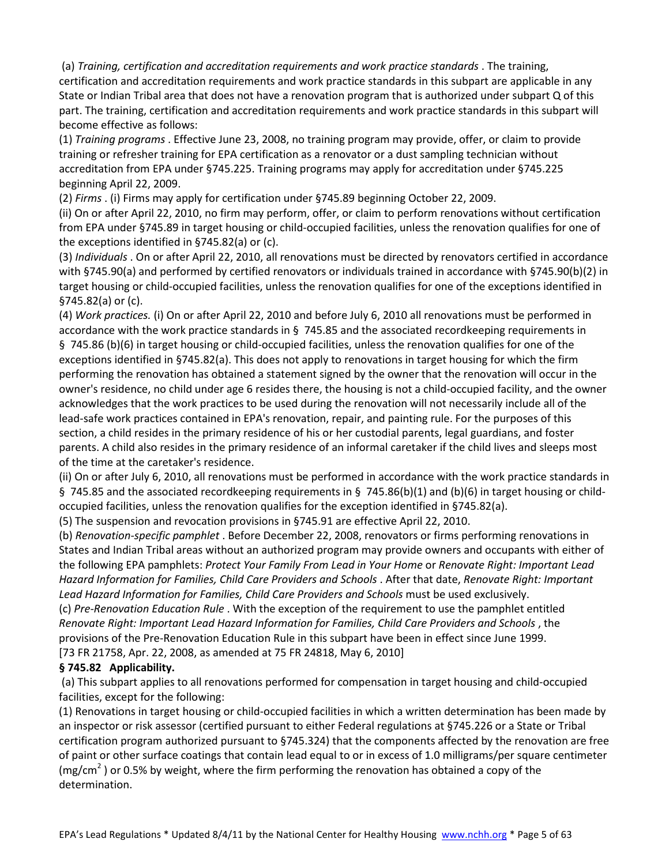(a) *Training, certification and accreditation requirements and work practice standards* . The training, certification and accreditation requirements and work practice standards in this subpart are applicable in any State or Indian Tribal area that does not have a renovation program that is authorized under subpart Q of this part. The training, certification and accreditation requirements and work practice standards in this subpart will become effective as follows:

(1) *Training programs* . Effective June 23, 2008, no training program may provide, offer, or claim to provide training or refresher training for EPA certification as a renovator or a dust sampling technician without accreditation from EPA under §745.225. Training programs may apply for accreditation under §745.225 beginning April 22, 2009.

(2) *Firms* . (i) Firms may apply for certification under §745.89 beginning October 22, 2009.

(ii) On or after April 22, 2010, no firm may perform, offer, or claim to perform renovations without certification from EPA under §745.89 in target housing or child-occupied facilities, unless the renovation qualifies for one of the exceptions identified in §745.82(a) or (c).

(3) *Individuals* . On or after April 22, 2010, all renovations must be directed by renovators certified in accordance with §745.90(a) and performed by certified renovators or individuals trained in accordance with §745.90(b)(2) in target housing or child-occupied facilities, unless the renovation qualifies for one of the exceptions identified in §745.82(a) or (c).

(4) *Work practices.* (i) On or after April 22, 2010 and before July 6, 2010 all renovations must be performed in accordance with the work practice standards in § 745.85 and the associated recordkeeping requirements in § 745.86 (b)(6) in target housing or child-occupied facilities, unless the renovation qualifies for one of the exceptions identified in §745.82(a). This does not apply to renovations in target housing for which the firm performing the renovation has obtained a statement signed by the owner that the renovation will occur in the owner's residence, no child under age 6 resides there, the housing is not a child-occupied facility, and the owner acknowledges that the work practices to be used during the renovation will not necessarily include all of the lead-safe work practices contained in EPA's renovation, repair, and painting rule. For the purposes of this section, a child resides in the primary residence of his or her custodial parents, legal guardians, and foster parents. A child also resides in the primary residence of an informal caretaker if the child lives and sleeps most of the time at the caretaker's residence.

(ii) On or after July 6, 2010, all renovations must be performed in accordance with the work practice standards in § 745.85 and the associated recordkeeping requirements in § 745.86(b)(1) and (b)(6) in target housing or childoccupied facilities, unless the renovation qualifies for the exception identified in §745.82(a).

(5) The suspension and revocation provisions in §745.91 are effective April 22, 2010.

(b) *Renovation-specific pamphlet* . Before December 22, 2008, renovators or firms performing renovations in States and Indian Tribal areas without an authorized program may provide owners and occupants with either of the following EPA pamphlets: *Protect Your Family From Lead in Your Home* or *Renovate Right: Important Lead Hazard Information for Families, Child Care Providers and Schools* . After that date, *Renovate Right: Important*  Lead Hazard Information for Families, Child Care Providers and Schools must be used exclusively.

(c) *Pre-Renovation Education Rule* . With the exception of the requirement to use the pamphlet entitled *Renovate Right: Important Lead Hazard Information for Families, Child Care Providers and Schools* , the provisions of the Pre-Renovation Education Rule in this subpart have been in effect since June 1999. [73 FR 21758, Apr. 22, 2008, as amended at 75 FR 24818, May 6, 2010]

#### <span id="page-4-0"></span>**§ 745.82 Applicability.**

(a) This subpart applies to all renovations performed for compensation in target housing and child-occupied facilities, except for the following:

(1) Renovations in target housing or child-occupied facilities in which a written determination has been made by an inspector or risk assessor (certified pursuant to either Federal regulations at §745.226 or a State or Tribal certification program authorized pursuant to §745.324) that the components affected by the renovation are free of paint or other surface coatings that contain lead equal to or in excess of 1.0 milligrams/per square centimeter  $(mg/cm<sup>2</sup>)$  or 0.5% by weight, where the firm performing the renovation has obtained a copy of the determination.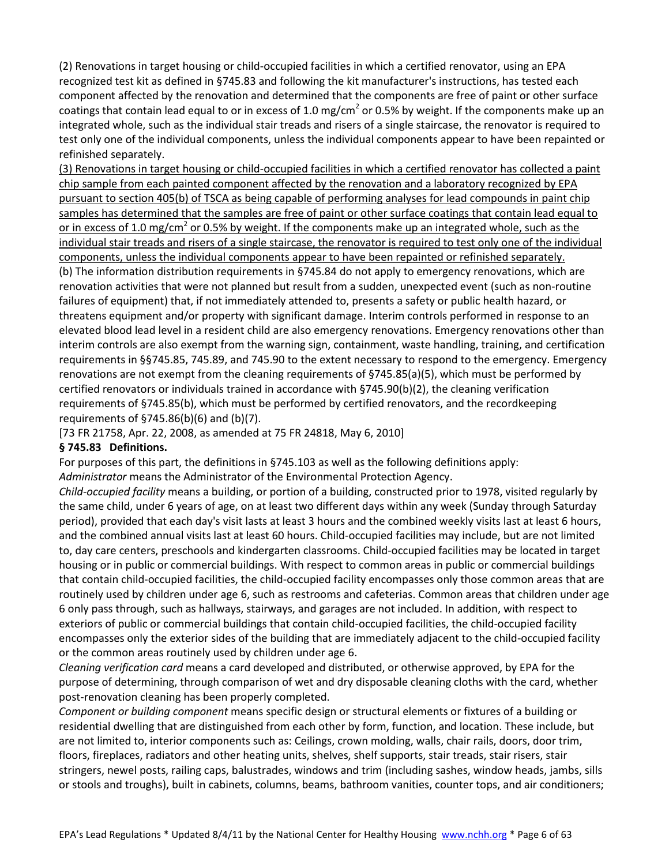(2) Renovations in target housing or child-occupied facilities in which a certified renovator, using an EPA recognized test kit as defined in §745.83 and following the kit manufacturer's instructions, has tested each component affected by the renovation and determined that the components are free of paint or other surface coatings that contain lead equal to or in excess of 1.0 mg/cm<sup>2</sup> or 0.5% by weight. If the components make up an integrated whole, such as the individual stair treads and risers of a single staircase, the renovator is required to test only one of the individual components, unless the individual components appear to have been repainted or refinished separately.

(3) Renovations in target housing or child-occupied facilities in which a certified renovator has collected a paint chip sample from each painted component affected by the renovation and a laboratory recognized by EPA pursuant to section 405(b) of TSCA as being capable of performing analyses for lead compounds in paint chip samples has determined that the samples are free of paint or other surface coatings that contain lead equal to or in excess of 1.0 mg/cm<sup>2</sup> or 0.5% by weight. If the components make up an integrated whole, such as the individual stair treads and risers of a single staircase, the renovator is required to test only one of the individual components, unless the individual components appear to have been repainted or refinished separately. (b) The information distribution requirements in §745.84 do not apply to emergency renovations, which are renovation activities that were not planned but result from a sudden, unexpected event (such as non-routine failures of equipment) that, if not immediately attended to, presents a safety or public health hazard, or threatens equipment and/or property with significant damage. Interim controls performed in response to an elevated blood lead level in a resident child are also emergency renovations. Emergency renovations other than interim controls are also exempt from the warning sign, containment, waste handling, training, and certification requirements in §§745.85, 745.89, and 745.90 to the extent necessary to respond to the emergency. Emergency renovations are not exempt from the cleaning requirements of §745.85(a)(5), which must be performed by certified renovators or individuals trained in accordance with §745.90(b)(2), the cleaning verification requirements of §745.85(b), which must be performed by certified renovators, and the recordkeeping requirements of §745.86(b)(6) and (b)(7).

[73 FR 21758, Apr. 22, 2008, as amended at 75 FR 24818, May 6, 2010]

#### <span id="page-5-0"></span>**§ 745.83 Definitions.**

For purposes of this part, the definitions in §745.103 as well as the following definitions apply: *Administrator* means the Administrator of the Environmental Protection Agency.

*Child-occupied facility* means a building, or portion of a building, constructed prior to 1978, visited regularly by the same child, under 6 years of age, on at least two different days within any week (Sunday through Saturday period), provided that each day's visit lasts at least 3 hours and the combined weekly visits last at least 6 hours, and the combined annual visits last at least 60 hours. Child-occupied facilities may include, but are not limited to, day care centers, preschools and kindergarten classrooms. Child-occupied facilities may be located in target housing or in public or commercial buildings. With respect to common areas in public or commercial buildings that contain child-occupied facilities, the child-occupied facility encompasses only those common areas that are routinely used by children under age 6, such as restrooms and cafeterias. Common areas that children under age 6 only pass through, such as hallways, stairways, and garages are not included. In addition, with respect to exteriors of public or commercial buildings that contain child-occupied facilities, the child-occupied facility encompasses only the exterior sides of the building that are immediately adjacent to the child-occupied facility or the common areas routinely used by children under age 6.

*Cleaning verification card* means a card developed and distributed, or otherwise approved, by EPA for the purpose of determining, through comparison of wet and dry disposable cleaning cloths with the card, whether post-renovation cleaning has been properly completed.

*Component or building component* means specific design or structural elements or fixtures of a building or residential dwelling that are distinguished from each other by form, function, and location. These include, but are not limited to, interior components such as: Ceilings, crown molding, walls, chair rails, doors, door trim, floors, fireplaces, radiators and other heating units, shelves, shelf supports, stair treads, stair risers, stair stringers, newel posts, railing caps, balustrades, windows and trim (including sashes, window heads, jambs, sills or stools and troughs), built in cabinets, columns, beams, bathroom vanities, counter tops, and air conditioners;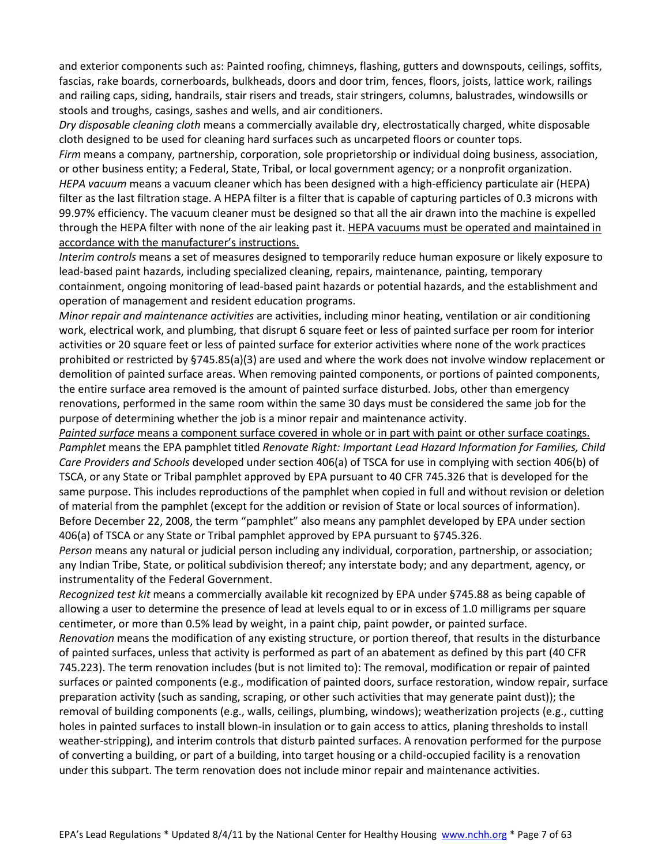and exterior components such as: Painted roofing, chimneys, flashing, gutters and downspouts, ceilings, soffits, fascias, rake boards, cornerboards, bulkheads, doors and door trim, fences, floors, joists, lattice work, railings and railing caps, siding, handrails, stair risers and treads, stair stringers, columns, balustrades, windowsills or stools and troughs, casings, sashes and wells, and air conditioners.

*Dry disposable cleaning cloth* means a commercially available dry, electrostatically charged, white disposable cloth designed to be used for cleaning hard surfaces such as uncarpeted floors or counter tops.

*Firm* means a company, partnership, corporation, sole proprietorship or individual doing business, association, or other business entity; a Federal, State, Tribal, or local government agency; or a nonprofit organization. *HEPA vacuum* means a vacuum cleaner which has been designed with a high-efficiency particulate air (HEPA) filter as the last filtration stage. A HEPA filter is a filter that is capable of capturing particles of 0.3 microns with 99.97% efficiency. The vacuum cleaner must be designed so that all the air drawn into the machine is expelled through the HEPA filter with none of the air leaking past it. HEPA vacuums must be operated and maintained in accordance with the manufacturer's instructions.

*Interim controls* means a set of measures designed to temporarily reduce human exposure or likely exposure to lead-based paint hazards, including specialized cleaning, repairs, maintenance, painting, temporary containment, ongoing monitoring of lead-based paint hazards or potential hazards, and the establishment and operation of management and resident education programs.

*Minor repair and maintenance activities* are activities, including minor heating, ventilation or air conditioning work, electrical work, and plumbing, that disrupt 6 square feet or less of painted surface per room for interior activities or 20 square feet or less of painted surface for exterior activities where none of the work practices prohibited or restricted by §745.85(a)(3) are used and where the work does not involve window replacement or demolition of painted surface areas. When removing painted components, or portions of painted components, the entire surface area removed is the amount of painted surface disturbed. Jobs, other than emergency renovations, performed in the same room within the same 30 days must be considered the same job for the purpose of determining whether the job is a minor repair and maintenance activity.

*Painted surface* means a component surface covered in whole or in part with paint or other surface coatings. *Pamphlet* means the EPA pamphlet titled *Renovate Right: Important Lead Hazard Information for Families, Child Care Providers and Schools* developed under section 406(a) of TSCA for use in complying with section 406(b) of TSCA, or any State or Tribal pamphlet approved by EPA pursuant to 40 CFR 745.326 that is developed for the same purpose. This includes reproductions of the pamphlet when copied in full and without revision or deletion of material from the pamphlet (except for the addition or revision of State or local sources of information). Before December 22, 2008, the term "pamphlet" also means any pamphlet developed by EPA under section 406(a) of TSCA or any State or Tribal pamphlet approved by EPA pursuant to §745.326.

*Person* means any natural or judicial person including any individual, corporation, partnership, or association; any Indian Tribe, State, or political subdivision thereof; any interstate body; and any department, agency, or instrumentality of the Federal Government.

*Recognized test kit* means a commercially available kit recognized by EPA under §745.88 as being capable of allowing a user to determine the presence of lead at levels equal to or in excess of 1.0 milligrams per square centimeter, or more than 0.5% lead by weight, in a paint chip, paint powder, or painted surface.

*Renovation* means the modification of any existing structure, or portion thereof, that results in the disturbance of painted surfaces, unless that activity is performed as part of an abatement as defined by this part (40 CFR 745.223). The term renovation includes (but is not limited to): The removal, modification or repair of painted surfaces or painted components (e.g., modification of painted doors, surface restoration, window repair, surface preparation activity (such as sanding, scraping, or other such activities that may generate paint dust)); the removal of building components (e.g., walls, ceilings, plumbing, windows); weatherization projects (e.g., cutting holes in painted surfaces to install blown-in insulation or to gain access to attics, planing thresholds to install weather-stripping), and interim controls that disturb painted surfaces. A renovation performed for the purpose of converting a building, or part of a building, into target housing or a child-occupied facility is a renovation under this subpart. The term renovation does not include minor repair and maintenance activities.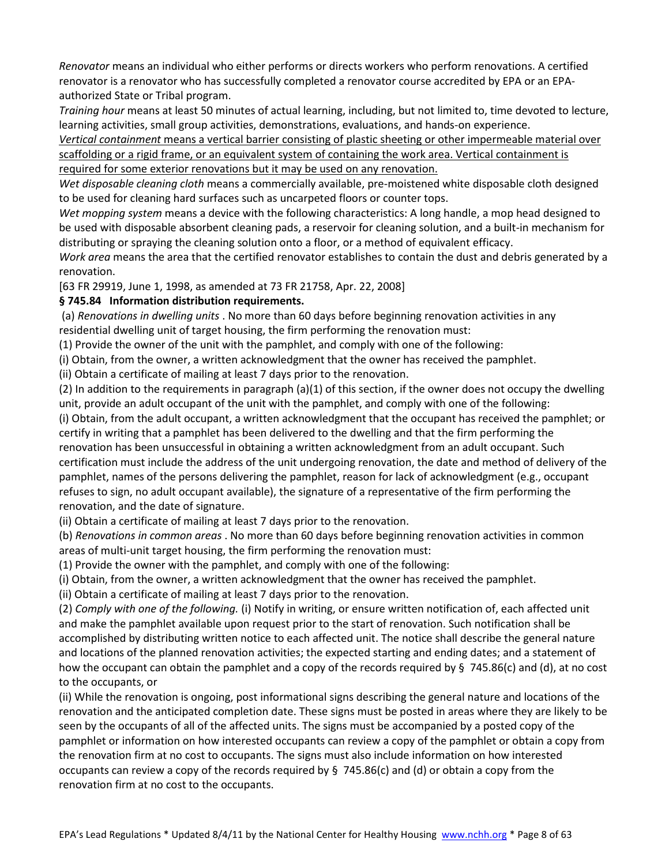*Renovator* means an individual who either performs or directs workers who perform renovations. A certified renovator is a renovator who has successfully completed a renovator course accredited by EPA or an EPAauthorized State or Tribal program.

*Training hour* means at least 50 minutes of actual learning, including, but not limited to, time devoted to lecture, learning activities, small group activities, demonstrations, evaluations, and hands-on experience.

*Vertical containment* means a vertical barrier consisting of plastic sheeting or other impermeable material over scaffolding or a rigid frame, or an equivalent system of containing the work area. Vertical containment is required for some exterior renovations but it may be used on any renovation.

*Wet disposable cleaning cloth* means a commercially available, pre-moistened white disposable cloth designed to be used for cleaning hard surfaces such as uncarpeted floors or counter tops.

*Wet mopping system* means a device with the following characteristics: A long handle, a mop head designed to be used with disposable absorbent cleaning pads, a reservoir for cleaning solution, and a built-in mechanism for distributing or spraying the cleaning solution onto a floor, or a method of equivalent efficacy.

*Work area* means the area that the certified renovator establishes to contain the dust and debris generated by a renovation.

[63 FR 29919, June 1, 1998, as amended at 73 FR 21758, Apr. 22, 2008]

#### <span id="page-7-0"></span>**§ 745.84 Information distribution requirements.**

(a) *Renovations in dwelling units* . No more than 60 days before beginning renovation activities in any residential dwelling unit of target housing, the firm performing the renovation must:

(1) Provide the owner of the unit with the pamphlet, and comply with one of the following:

(i) Obtain, from the owner, a written acknowledgment that the owner has received the pamphlet.

(ii) Obtain a certificate of mailing at least 7 days prior to the renovation.

(2) In addition to the requirements in paragraph (a)(1) of this section, if the owner does not occupy the dwelling unit, provide an adult occupant of the unit with the pamphlet, and comply with one of the following:

(i) Obtain, from the adult occupant, a written acknowledgment that the occupant has received the pamphlet; or certify in writing that a pamphlet has been delivered to the dwelling and that the firm performing the renovation has been unsuccessful in obtaining a written acknowledgment from an adult occupant. Such certification must include the address of the unit undergoing renovation, the date and method of delivery of the pamphlet, names of the persons delivering the pamphlet, reason for lack of acknowledgment (e.g., occupant refuses to sign, no adult occupant available), the signature of a representative of the firm performing the renovation, and the date of signature.

(ii) Obtain a certificate of mailing at least 7 days prior to the renovation.

(b) *Renovations in common areas* . No more than 60 days before beginning renovation activities in common areas of multi-unit target housing, the firm performing the renovation must:

(1) Provide the owner with the pamphlet, and comply with one of the following:

(i) Obtain, from the owner, a written acknowledgment that the owner has received the pamphlet.

(ii) Obtain a certificate of mailing at least 7 days prior to the renovation.

(2) *Comply with one of the following.* (i) Notify in writing, or ensure written notification of, each affected unit and make the pamphlet available upon request prior to the start of renovation. Such notification shall be accomplished by distributing written notice to each affected unit. The notice shall describe the general nature and locations of the planned renovation activities; the expected starting and ending dates; and a statement of how the occupant can obtain the pamphlet and a copy of the records required by § 745.86(c) and (d), at no cost to the occupants, or

(ii) While the renovation is ongoing, post informational signs describing the general nature and locations of the renovation and the anticipated completion date. These signs must be posted in areas where they are likely to be seen by the occupants of all of the affected units. The signs must be accompanied by a posted copy of the pamphlet or information on how interested occupants can review a copy of the pamphlet or obtain a copy from the renovation firm at no cost to occupants. The signs must also include information on how interested occupants can review a copy of the records required by § 745.86(c) and (d) or obtain a copy from the renovation firm at no cost to the occupants.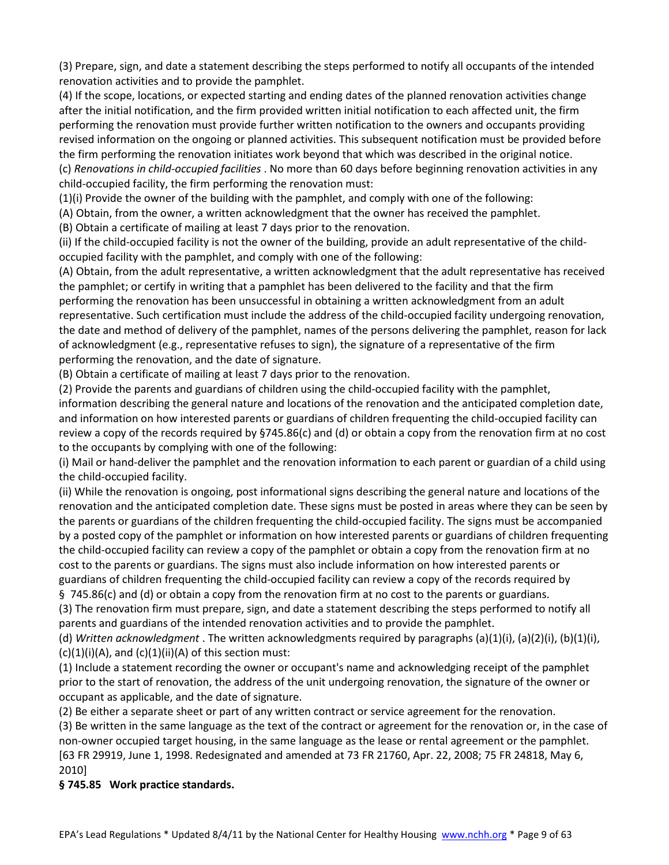(3) Prepare, sign, and date a statement describing the steps performed to notify all occupants of the intended renovation activities and to provide the pamphlet.

(4) If the scope, locations, or expected starting and ending dates of the planned renovation activities change after the initial notification, and the firm provided written initial notification to each affected unit, the firm performing the renovation must provide further written notification to the owners and occupants providing revised information on the ongoing or planned activities. This subsequent notification must be provided before the firm performing the renovation initiates work beyond that which was described in the original notice. (c) *Renovations in child-occupied facilities* . No more than 60 days before beginning renovation activities in any child-occupied facility, the firm performing the renovation must:

(1)(i) Provide the owner of the building with the pamphlet, and comply with one of the following:

(A) Obtain, from the owner, a written acknowledgment that the owner has received the pamphlet.

(B) Obtain a certificate of mailing at least 7 days prior to the renovation.

(ii) If the child-occupied facility is not the owner of the building, provide an adult representative of the childoccupied facility with the pamphlet, and comply with one of the following:

(A) Obtain, from the adult representative, a written acknowledgment that the adult representative has received the pamphlet; or certify in writing that a pamphlet has been delivered to the facility and that the firm performing the renovation has been unsuccessful in obtaining a written acknowledgment from an adult representative. Such certification must include the address of the child-occupied facility undergoing renovation, the date and method of delivery of the pamphlet, names of the persons delivering the pamphlet, reason for lack of acknowledgment (e.g., representative refuses to sign), the signature of a representative of the firm performing the renovation, and the date of signature.

(B) Obtain a certificate of mailing at least 7 days prior to the renovation.

(2) Provide the parents and guardians of children using the child-occupied facility with the pamphlet,

information describing the general nature and locations of the renovation and the anticipated completion date, and information on how interested parents or guardians of children frequenting the child-occupied facility can review a copy of the records required by §745.86(c) and (d) or obtain a copy from the renovation firm at no cost to the occupants by complying with one of the following:

(i) Mail or hand-deliver the pamphlet and the renovation information to each parent or guardian of a child using the child-occupied facility.

(ii) While the renovation is ongoing, post informational signs describing the general nature and locations of the renovation and the anticipated completion date. These signs must be posted in areas where they can be seen by the parents or guardians of the children frequenting the child-occupied facility. The signs must be accompanied by a posted copy of the pamphlet or information on how interested parents or guardians of children frequenting the child-occupied facility can review a copy of the pamphlet or obtain a copy from the renovation firm at no cost to the parents or guardians. The signs must also include information on how interested parents or guardians of children frequenting the child-occupied facility can review a copy of the records required by § 745.86(c) and (d) or obtain a copy from the renovation firm at no cost to the parents or guardians.

(3) The renovation firm must prepare, sign, and date a statement describing the steps performed to notify all parents and guardians of the intended renovation activities and to provide the pamphlet.

(d) *Written acknowledgment* . The written acknowledgments required by paragraphs (a)(1)(i), (a)(2)(i), (b)(1)(i),  $(c)(1)(i)(A)$ , and  $(c)(1)(ii)(A)$  of this section must:

(1) Include a statement recording the owner or occupant's name and acknowledging receipt of the pamphlet prior to the start of renovation, the address of the unit undergoing renovation, the signature of the owner or occupant as applicable, and the date of signature.

(2) Be either a separate sheet or part of any written contract or service agreement for the renovation.

(3) Be written in the same language as the text of the contract or agreement for the renovation or, in the case of non-owner occupied target housing, in the same language as the lease or rental agreement or the pamphlet. [63 FR 29919, June 1, 1998. Redesignated and amended at 73 FR 21760, Apr. 22, 2008; 75 FR 24818, May 6, 2010]

#### <span id="page-8-0"></span>**§ 745.85 Work practice standards.**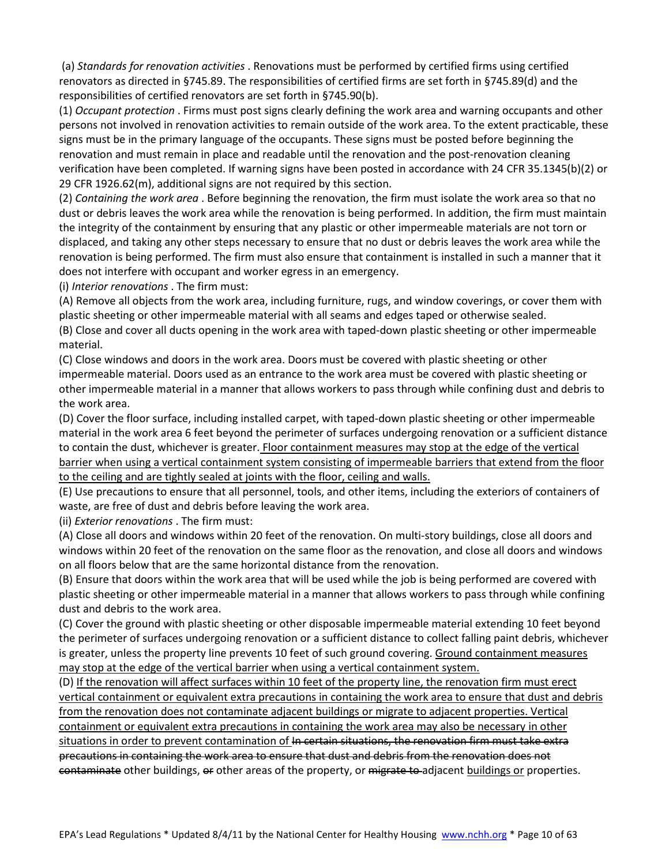(a) *Standards for renovation activities* . Renovations must be performed by certified firms using certified renovators as directed in §745.89. The responsibilities of certified firms are set forth in §745.89(d) and the responsibilities of certified renovators are set forth in §745.90(b).

(1) *Occupant protection* . Firms must post signs clearly defining the work area and warning occupants and other persons not involved in renovation activities to remain outside of the work area. To the extent practicable, these signs must be in the primary language of the occupants. These signs must be posted before beginning the renovation and must remain in place and readable until the renovation and the post-renovation cleaning verification have been completed. If warning signs have been posted in accordance with 24 CFR 35.1345(b)(2) or 29 CFR 1926.62(m), additional signs are not required by this section.

(2) *Containing the work area* . Before beginning the renovation, the firm must isolate the work area so that no dust or debris leaves the work area while the renovation is being performed. In addition, the firm must maintain the integrity of the containment by ensuring that any plastic or other impermeable materials are not torn or displaced, and taking any other steps necessary to ensure that no dust or debris leaves the work area while the renovation is being performed. The firm must also ensure that containment is installed in such a manner that it does not interfere with occupant and worker egress in an emergency.

(i) *Interior renovations* . The firm must:

(A) Remove all objects from the work area, including furniture, rugs, and window coverings, or cover them with plastic sheeting or other impermeable material with all seams and edges taped or otherwise sealed.

(B) Close and cover all ducts opening in the work area with taped-down plastic sheeting or other impermeable material.

(C) Close windows and doors in the work area. Doors must be covered with plastic sheeting or other impermeable material. Doors used as an entrance to the work area must be covered with plastic sheeting or other impermeable material in a manner that allows workers to pass through while confining dust and debris to the work area.

(D) Cover the floor surface, including installed carpet, with taped-down plastic sheeting or other impermeable material in the work area 6 feet beyond the perimeter of surfaces undergoing renovation or a sufficient distance to contain the dust, whichever is greater. Floor containment measures may stop at the edge of the vertical barrier when using a vertical containment system consisting of impermeable barriers that extend from the floor to the ceiling and are tightly sealed at joints with the floor, ceiling and walls.

(E) Use precautions to ensure that all personnel, tools, and other items, including the exteriors of containers of waste, are free of dust and debris before leaving the work area.

(ii) *Exterior renovations* . The firm must:

(A) Close all doors and windows within 20 feet of the renovation. On multi-story buildings, close all doors and windows within 20 feet of the renovation on the same floor as the renovation, and close all doors and windows on all floors below that are the same horizontal distance from the renovation.

(B) Ensure that doors within the work area that will be used while the job is being performed are covered with plastic sheeting or other impermeable material in a manner that allows workers to pass through while confining dust and debris to the work area.

(C) Cover the ground with plastic sheeting or other disposable impermeable material extending 10 feet beyond the perimeter of surfaces undergoing renovation or a sufficient distance to collect falling paint debris, whichever is greater, unless the property line prevents 10 feet of such ground covering. Ground containment measures may stop at the edge of the vertical barrier when using a vertical containment system.

(D) If the renovation will affect surfaces within 10 feet of the property line, the renovation firm must erect vertical containment or equivalent extra precautions in containing the work area to ensure that dust and debris from the renovation does not contaminate adjacent buildings or migrate to adjacent properties. Vertical containment or equivalent extra precautions in containing the work area may also be necessary in other situations in order to prevent contamination of In certain situations, the renovation firm must take extra precautions in containing the work area to ensure that dust and debris from the renovation does not contaminate other buildings, or other areas of the property, or migrate to adjacent buildings or properties.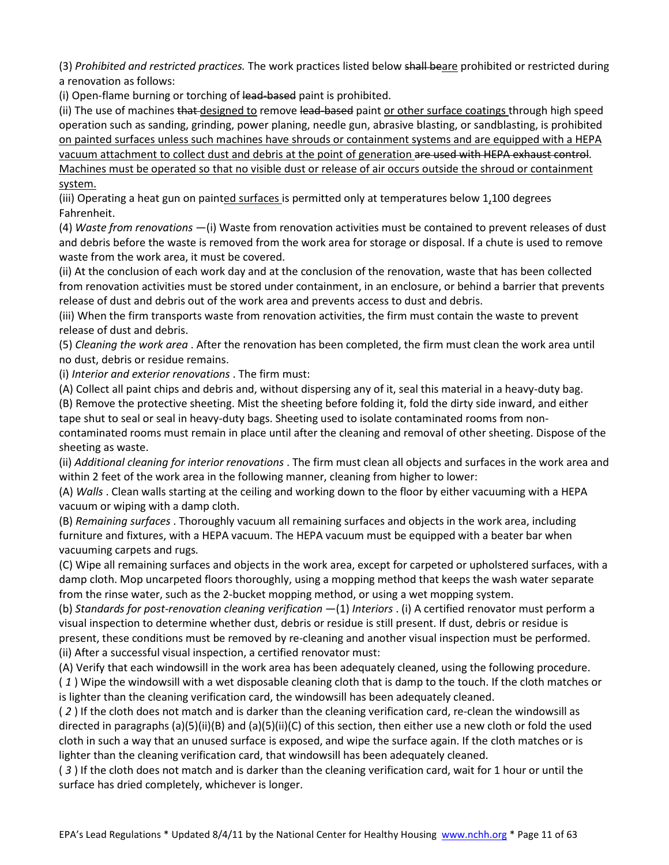(3) *Prohibited and restricted practices.* The work practices listed below shall beare prohibited or restricted during a renovation as follows:

(i) Open-flame burning or torching of lead-based paint is prohibited.

(ii) The use of machines that designed to remove lead-based paint or other surface coatings through high speed operation such as sanding, grinding, power planing, needle gun, abrasive blasting, or sandblasting, is prohibited on painted surfaces unless such machines have shrouds or containment systems and are equipped with a HEPA vacuum attachment to collect dust and debris at the point of generation are used with HEPA exhaust control. Machines must be operated so that no visible dust or release of air occurs outside the shroud or containment system.

(iii) Operating a heat gun on painted surfaces is permitted only at temperatures below  $1.100$  degrees Fahrenheit.

(4) *Waste from renovations* —(i) Waste from renovation activities must be contained to prevent releases of dust and debris before the waste is removed from the work area for storage or disposal. If a chute is used to remove waste from the work area, it must be covered.

(ii) At the conclusion of each work day and at the conclusion of the renovation, waste that has been collected from renovation activities must be stored under containment, in an enclosure, or behind a barrier that prevents release of dust and debris out of the work area and prevents access to dust and debris.

(iii) When the firm transports waste from renovation activities, the firm must contain the waste to prevent release of dust and debris.

(5) *Cleaning the work area* . After the renovation has been completed, the firm must clean the work area until no dust, debris or residue remains.

(i) *Interior and exterior renovations* . The firm must:

(A) Collect all paint chips and debris and, without dispersing any of it, seal this material in a heavy-duty bag.

(B) Remove the protective sheeting. Mist the sheeting before folding it, fold the dirty side inward, and either tape shut to seal or seal in heavy-duty bags. Sheeting used to isolate contaminated rooms from non-

contaminated rooms must remain in place until after the cleaning and removal of other sheeting. Dispose of the sheeting as waste.

(ii) *Additional cleaning for interior renovations* . The firm must clean all objects and surfaces in the work area and within 2 feet of the work area in the following manner, cleaning from higher to lower:

(A) *Walls* . Clean walls starting at the ceiling and working down to the floor by either vacuuming with a HEPA vacuum or wiping with a damp cloth.

(B) *Remaining surfaces* . Thoroughly vacuum all remaining surfaces and objects in the work area, including furniture and fixtures, with a HEPA vacuum. The HEPA vacuum must be equipped with a beater bar when vacuuming carpets and rugs*.*

(C) Wipe all remaining surfaces and objects in the work area, except for carpeted or upholstered surfaces, with a damp cloth. Mop uncarpeted floors thoroughly, using a mopping method that keeps the wash water separate from the rinse water, such as the 2-bucket mopping method, or using a wet mopping system.

(b) *Standards for post-renovation cleaning verification* —(1) *Interiors* . (i) A certified renovator must perform a visual inspection to determine whether dust, debris or residue is still present. If dust, debris or residue is present, these conditions must be removed by re-cleaning and another visual inspection must be performed. (ii) After a successful visual inspection, a certified renovator must:

(A) Verify that each windowsill in the work area has been adequately cleaned, using the following procedure. ( *1* ) Wipe the windowsill with a wet disposable cleaning cloth that is damp to the touch. If the cloth matches or is lighter than the cleaning verification card, the windowsill has been adequately cleaned.

( *2* ) If the cloth does not match and is darker than the cleaning verification card, re-clean the windowsill as directed in paragraphs (a)(5)(ii)(B) and (a)(5)(ii)(C) of this section, then either use a new cloth or fold the used cloth in such a way that an unused surface is exposed, and wipe the surface again. If the cloth matches or is lighter than the cleaning verification card, that windowsill has been adequately cleaned.

( *3* ) If the cloth does not match and is darker than the cleaning verification card, wait for 1 hour or until the surface has dried completely, whichever is longer.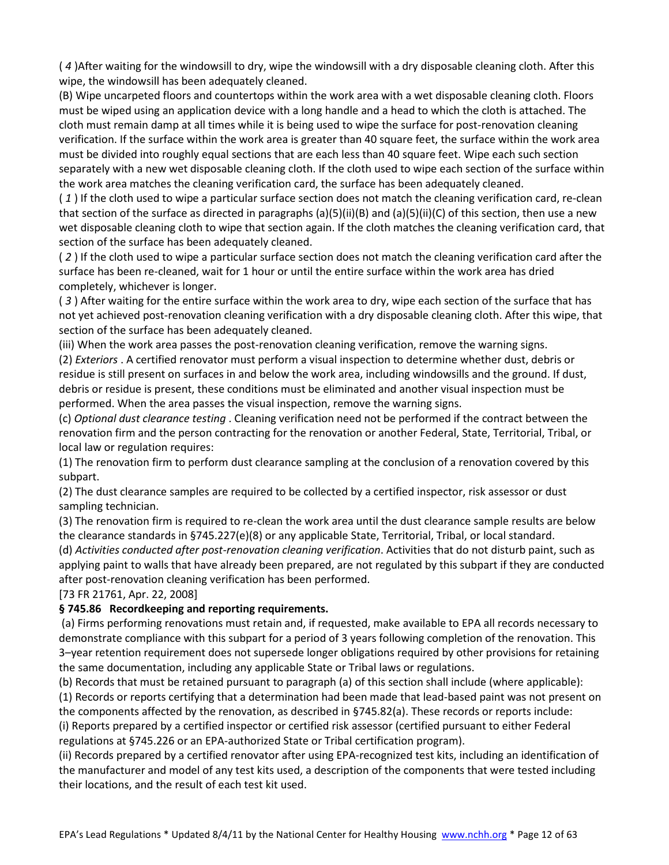( *4* )After waiting for the windowsill to dry, wipe the windowsill with a dry disposable cleaning cloth. After this wipe, the windowsill has been adequately cleaned.

(B) Wipe uncarpeted floors and countertops within the work area with a wet disposable cleaning cloth. Floors must be wiped using an application device with a long handle and a head to which the cloth is attached. The cloth must remain damp at all times while it is being used to wipe the surface for post-renovation cleaning verification. If the surface within the work area is greater than 40 square feet, the surface within the work area must be divided into roughly equal sections that are each less than 40 square feet. Wipe each such section separately with a new wet disposable cleaning cloth. If the cloth used to wipe each section of the surface within the work area matches the cleaning verification card, the surface has been adequately cleaned.

( *1* ) If the cloth used to wipe a particular surface section does not match the cleaning verification card, re-clean that section of the surface as directed in paragraphs (a)(5)(ii)(B) and (a)(5)(ii)(C) of this section, then use a new wet disposable cleaning cloth to wipe that section again. If the cloth matches the cleaning verification card, that section of the surface has been adequately cleaned.

( *2* ) If the cloth used to wipe a particular surface section does not match the cleaning verification card after the surface has been re-cleaned, wait for 1 hour or until the entire surface within the work area has dried completely, whichever is longer.

( *3* ) After waiting for the entire surface within the work area to dry, wipe each section of the surface that has not yet achieved post-renovation cleaning verification with a dry disposable cleaning cloth. After this wipe, that section of the surface has been adequately cleaned.

(iii) When the work area passes the post-renovation cleaning verification, remove the warning signs.

(2) *Exteriors* . A certified renovator must perform a visual inspection to determine whether dust, debris or residue is still present on surfaces in and below the work area, including windowsills and the ground. If dust, debris or residue is present, these conditions must be eliminated and another visual inspection must be performed. When the area passes the visual inspection, remove the warning signs.

(c) *Optional dust clearance testing* . Cleaning verification need not be performed if the contract between the renovation firm and the person contracting for the renovation or another Federal, State, Territorial, Tribal, or local law or regulation requires:

(1) The renovation firm to perform dust clearance sampling at the conclusion of a renovation covered by this subpart.

(2) The dust clearance samples are required to be collected by a certified inspector, risk assessor or dust sampling technician.

(3) The renovation firm is required to re-clean the work area until the dust clearance sample results are below the clearance standards in §745.227(e)(8) or any applicable State, Territorial, Tribal, or local standard.

(d) *Activities conducted after post-renovation cleaning verification*. Activities that do not disturb paint, such as applying paint to walls that have already been prepared, are not regulated by this subpart if they are conducted after post-renovation cleaning verification has been performed.

[73 FR 21761, Apr. 22, 2008]

# <span id="page-11-0"></span>**§ 745.86 Recordkeeping and reporting requirements.**

(a) Firms performing renovations must retain and, if requested, make available to EPA all records necessary to demonstrate compliance with this subpart for a period of 3 years following completion of the renovation. This 3–year retention requirement does not supersede longer obligations required by other provisions for retaining the same documentation, including any applicable State or Tribal laws or regulations.

(b) Records that must be retained pursuant to paragraph (a) of this section shall include (where applicable): (1) Records or reports certifying that a determination had been made that lead-based paint was not present on

the components affected by the renovation, as described in §745.82(a). These records or reports include: (i) Reports prepared by a certified inspector or certified risk assessor (certified pursuant to either Federal regulations at §745.226 or an EPA-authorized State or Tribal certification program).

(ii) Records prepared by a certified renovator after using EPA-recognized test kits, including an identification of the manufacturer and model of any test kits used, a description of the components that were tested including their locations, and the result of each test kit used.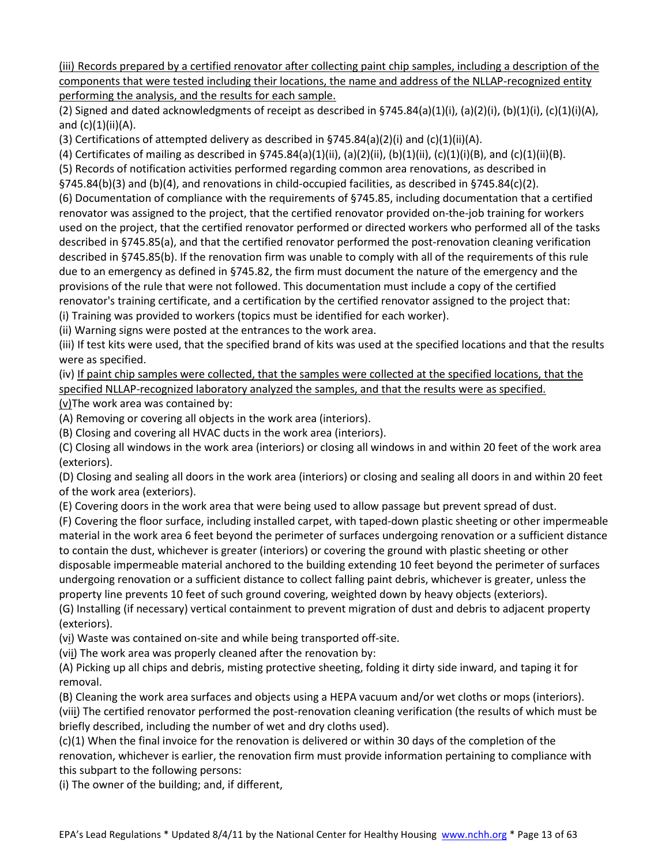(iii) Records prepared by a certified renovator after collecting paint chip samples, including a description of the components that were tested including their locations, the name and address of the NLLAP-recognized entity performing the analysis, and the results for each sample.

(2) Signed and dated acknowledgments of receipt as described in  $\S 745.84(a)(1)(i)$ ,  $(a)(2)(i)$ ,  $(b)(1)(i)$ ,  $(c)(1)(i)(A)$ , and  $(c)(1)(ii)(A)$ .

(3) Certifications of attempted delivery as described in  $\S$ 745.84(a)(2)(i) and (c)(1)(ii)(A).

(4) Certificates of mailing as described in  $\S745.84(a)(1)(ii)$ , (a)(2)(ii), (b)(1)(ii), (c)(1)(i)(B), and (c)(1)(ii)(B).

(5) Records of notification activities performed regarding common area renovations, as described in

§745.84(b)(3) and (b)(4), and renovations in child-occupied facilities, as described in §745.84(c)(2).

(6) Documentation of compliance with the requirements of §745.85, including documentation that a certified renovator was assigned to the project, that the certified renovator provided on-the-job training for workers used on the project, that the certified renovator performed or directed workers who performed all of the tasks described in §745.85(a), and that the certified renovator performed the post-renovation cleaning verification described in §745.85(b). If the renovation firm was unable to comply with all of the requirements of this rule due to an emergency as defined in §745.82, the firm must document the nature of the emergency and the provisions of the rule that were not followed. This documentation must include a copy of the certified renovator's training certificate, and a certification by the certified renovator assigned to the project that: (i) Training was provided to workers (topics must be identified for each worker).

(ii) Warning signs were posted at the entrances to the work area.

(iii) If test kits were used, that the specified brand of kits was used at the specified locations and that the results were as specified.

(iv) If paint chip samples were collected, that the samples were collected at the specified locations, that the specified NLLAP-recognized laboratory analyzed the samples, and that the results were as specified.

(v)The work area was contained by:

(A) Removing or covering all objects in the work area (interiors).

(B) Closing and covering all HVAC ducts in the work area (interiors).

(C) Closing all windows in the work area (interiors) or closing all windows in and within 20 feet of the work area (exteriors).

(D) Closing and sealing all doors in the work area (interiors) or closing and sealing all doors in and within 20 feet of the work area (exteriors).

(E) Covering doors in the work area that were being used to allow passage but prevent spread of dust.

(F) Covering the floor surface, including installed carpet, with taped-down plastic sheeting or other impermeable material in the work area 6 feet beyond the perimeter of surfaces undergoing renovation or a sufficient distance to contain the dust, whichever is greater (interiors) or covering the ground with plastic sheeting or other disposable impermeable material anchored to the building extending 10 feet beyond the perimeter of surfaces undergoing renovation or a sufficient distance to collect falling paint debris, whichever is greater, unless the property line prevents 10 feet of such ground covering, weighted down by heavy objects (exteriors).

(G) Installing (if necessary) vertical containment to prevent migration of dust and debris to adjacent property (exteriors).

(vi) Waste was contained on-site and while being transported off-site.

(vii) The work area was properly cleaned after the renovation by:

(A) Picking up all chips and debris, misting protective sheeting, folding it dirty side inward, and taping it for removal.

(B) Cleaning the work area surfaces and objects using a HEPA vacuum and/or wet cloths or mops (interiors). (viii) The certified renovator performed the post-renovation cleaning verification (the results of which must be briefly described, including the number of wet and dry cloths used).

(c)(1) When the final invoice for the renovation is delivered or within 30 days of the completion of the renovation, whichever is earlier, the renovation firm must provide information pertaining to compliance with this subpart to the following persons:

(i) The owner of the building; and, if different,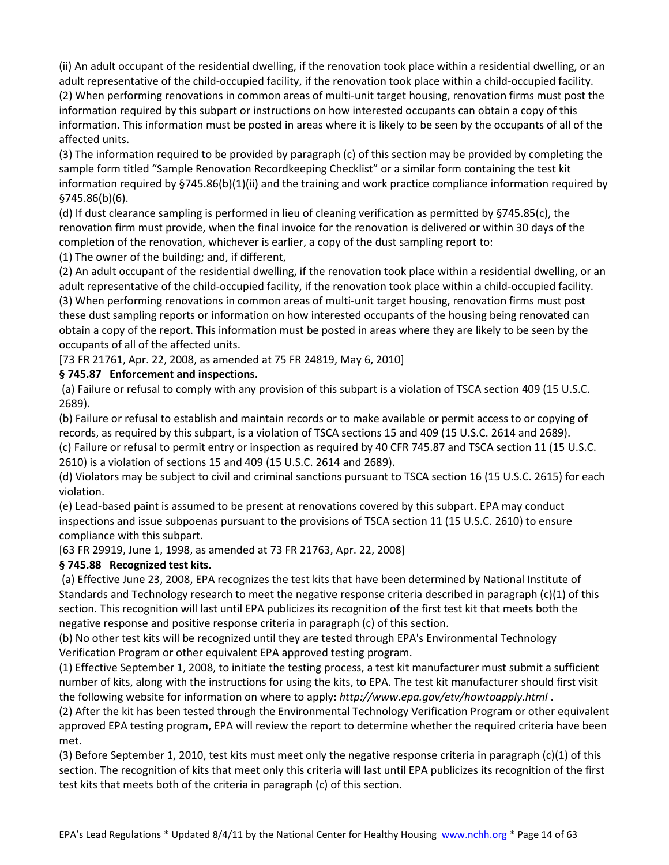(ii) An adult occupant of the residential dwelling, if the renovation took place within a residential dwelling, or an adult representative of the child-occupied facility, if the renovation took place within a child-occupied facility. (2) When performing renovations in common areas of multi-unit target housing, renovation firms must post the information required by this subpart or instructions on how interested occupants can obtain a copy of this information. This information must be posted in areas where it is likely to be seen by the occupants of all of the affected units.

(3) The information required to be provided by paragraph (c) of this section may be provided by completing the sample form titled "Sample Renovation Recordkeeping Checklist" or a similar form containing the test kit information required by §745.86(b)(1)(ii) and the training and work practice compliance information required by §745.86(b)(6).

(d) If dust clearance sampling is performed in lieu of cleaning verification as permitted by §745.85(c), the renovation firm must provide, when the final invoice for the renovation is delivered or within 30 days of the completion of the renovation, whichever is earlier, a copy of the dust sampling report to:

(1) The owner of the building; and, if different,

(2) An adult occupant of the residential dwelling, if the renovation took place within a residential dwelling, or an adult representative of the child-occupied facility, if the renovation took place within a child-occupied facility. (3) When performing renovations in common areas of multi-unit target housing, renovation firms must post these dust sampling reports or information on how interested occupants of the housing being renovated can obtain a copy of the report. This information must be posted in areas where they are likely to be seen by the occupants of all of the affected units.

[73 FR 21761, Apr. 22, 2008, as amended at 75 FR 24819, May 6, 2010]

#### <span id="page-13-0"></span>**§ 745.87 Enforcement and inspections.**

(a) Failure or refusal to comply with any provision of this subpart is a violation of TSCA section 409 (15 U.S.C. 2689).

(b) Failure or refusal to establish and maintain records or to make available or permit access to or copying of records, as required by this subpart, is a violation of TSCA sections 15 and 409 (15 U.S.C. 2614 and 2689). (c) Failure or refusal to permit entry or inspection as required by 40 CFR 745.87 and TSCA section 11 (15 U.S.C. 2610) is a violation of sections 15 and 409 (15 U.S.C. 2614 and 2689).

(d) Violators may be subject to civil and criminal sanctions pursuant to TSCA section 16 (15 U.S.C. 2615) for each violation.

(e) Lead-based paint is assumed to be present at renovations covered by this subpart. EPA may conduct inspections and issue subpoenas pursuant to the provisions of TSCA section 11 (15 U.S.C. 2610) to ensure compliance with this subpart.

[63 FR 29919, June 1, 1998, as amended at 73 FR 21763, Apr. 22, 2008]

# <span id="page-13-1"></span>**§ 745.88 Recognized test kits.**

(a) Effective June 23, 2008, EPA recognizes the test kits that have been determined by National Institute of Standards and Technology research to meet the negative response criteria described in paragraph (c)(1) of this section. This recognition will last until EPA publicizes its recognition of the first test kit that meets both the negative response and positive response criteria in paragraph (c) of this section.

(b) No other test kits will be recognized until they are tested through EPA's Environmental Technology Verification Program or other equivalent EPA approved testing program.

(1) Effective September 1, 2008, to initiate the testing process, a test kit manufacturer must submit a sufficient number of kits, along with the instructions for using the kits, to EPA. The test kit manufacturer should first visit the following website for information on where to apply: *http://www.epa.gov/etv/howtoapply.html* .

(2) After the kit has been tested through the Environmental Technology Verification Program or other equivalent approved EPA testing program, EPA will review the report to determine whether the required criteria have been met.

(3) Before September 1, 2010, test kits must meet only the negative response criteria in paragraph (c)(1) of this section. The recognition of kits that meet only this criteria will last until EPA publicizes its recognition of the first test kits that meets both of the criteria in paragraph (c) of this section.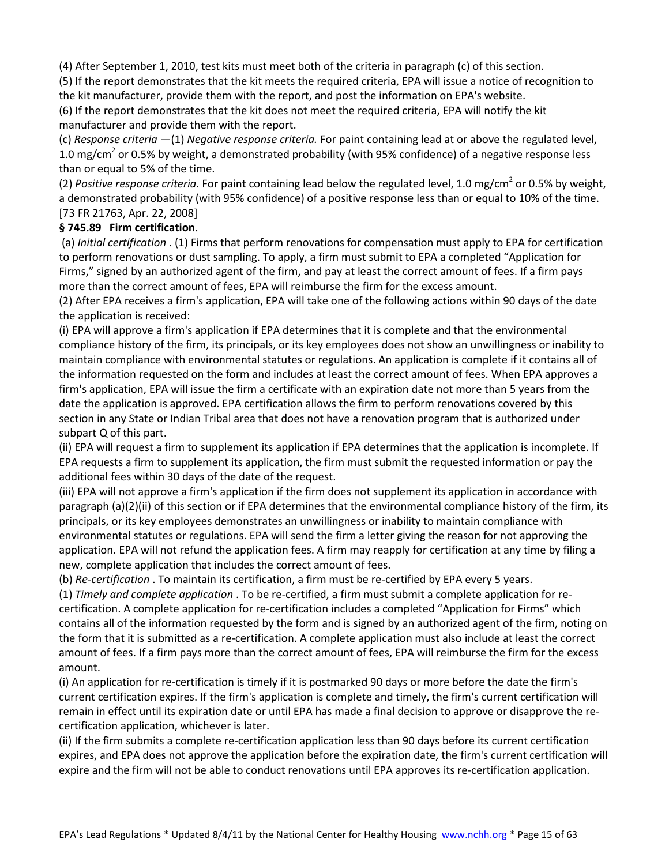(4) After September 1, 2010, test kits must meet both of the criteria in paragraph (c) of this section.

(5) If the report demonstrates that the kit meets the required criteria, EPA will issue a notice of recognition to the kit manufacturer, provide them with the report, and post the information on EPA's website.

(6) If the report demonstrates that the kit does not meet the required criteria, EPA will notify the kit manufacturer and provide them with the report.

(c) *Response criteria* —(1) *Negative response criteria.* For paint containing lead at or above the regulated level, 1.0 mg/cm<sup>2</sup> or 0.5% by weight, a demonstrated probability (with 95% confidence) of a negative response less than or equal to 5% of the time.

(2) *Positive response criteria.* For paint containing lead below the regulated level, 1.0 mg/cm<sup>2</sup> or 0.5% by weight, a demonstrated probability (with 95% confidence) of a positive response less than or equal to 10% of the time. [73 FR 21763, Apr. 22, 2008]

# <span id="page-14-0"></span>**§ 745.89 Firm certification.**

(a) *Initial certification* . (1) Firms that perform renovations for compensation must apply to EPA for certification to perform renovations or dust sampling. To apply, a firm must submit to EPA a completed "Application for Firms," signed by an authorized agent of the firm, and pay at least the correct amount of fees. If a firm pays more than the correct amount of fees, EPA will reimburse the firm for the excess amount.

(2) After EPA receives a firm's application, EPA will take one of the following actions within 90 days of the date the application is received:

(i) EPA will approve a firm's application if EPA determines that it is complete and that the environmental compliance history of the firm, its principals, or its key employees does not show an unwillingness or inability to maintain compliance with environmental statutes or regulations. An application is complete if it contains all of the information requested on the form and includes at least the correct amount of fees. When EPA approves a firm's application, EPA will issue the firm a certificate with an expiration date not more than 5 years from the date the application is approved. EPA certification allows the firm to perform renovations covered by this section in any State or Indian Tribal area that does not have a renovation program that is authorized under subpart Q of this part.

(ii) EPA will request a firm to supplement its application if EPA determines that the application is incomplete. If EPA requests a firm to supplement its application, the firm must submit the requested information or pay the additional fees within 30 days of the date of the request.

(iii) EPA will not approve a firm's application if the firm does not supplement its application in accordance with paragraph (a)(2)(ii) of this section or if EPA determines that the environmental compliance history of the firm, its principals, or its key employees demonstrates an unwillingness or inability to maintain compliance with environmental statutes or regulations. EPA will send the firm a letter giving the reason for not approving the application. EPA will not refund the application fees. A firm may reapply for certification at any time by filing a new, complete application that includes the correct amount of fees.

(b) *Re-certification* . To maintain its certification, a firm must be re-certified by EPA every 5 years.

(1) *Timely and complete application* . To be re-certified, a firm must submit a complete application for recertification. A complete application for re-certification includes a completed "Application for Firms" which contains all of the information requested by the form and is signed by an authorized agent of the firm, noting on the form that it is submitted as a re-certification. A complete application must also include at least the correct amount of fees. If a firm pays more than the correct amount of fees, EPA will reimburse the firm for the excess amount.

(i) An application for re-certification is timely if it is postmarked 90 days or more before the date the firm's current certification expires. If the firm's application is complete and timely, the firm's current certification will remain in effect until its expiration date or until EPA has made a final decision to approve or disapprove the recertification application, whichever is later.

(ii) If the firm submits a complete re-certification application less than 90 days before its current certification expires, and EPA does not approve the application before the expiration date, the firm's current certification will expire and the firm will not be able to conduct renovations until EPA approves its re-certification application.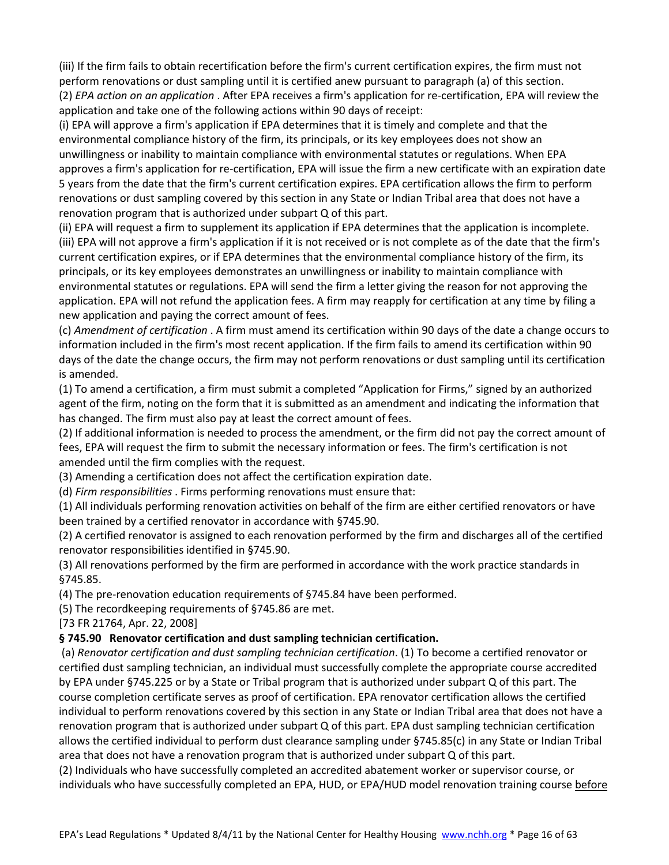(iii) If the firm fails to obtain recertification before the firm's current certification expires, the firm must not perform renovations or dust sampling until it is certified anew pursuant to paragraph (a) of this section. (2) *EPA action on an application* . After EPA receives a firm's application for re-certification, EPA will review the application and take one of the following actions within 90 days of receipt:

(i) EPA will approve a firm's application if EPA determines that it is timely and complete and that the environmental compliance history of the firm, its principals, or its key employees does not show an unwillingness or inability to maintain compliance with environmental statutes or regulations. When EPA approves a firm's application for re-certification, EPA will issue the firm a new certificate with an expiration date 5 years from the date that the firm's current certification expires. EPA certification allows the firm to perform renovations or dust sampling covered by this section in any State or Indian Tribal area that does not have a renovation program that is authorized under subpart Q of this part.

(ii) EPA will request a firm to supplement its application if EPA determines that the application is incomplete. (iii) EPA will not approve a firm's application if it is not received or is not complete as of the date that the firm's current certification expires, or if EPA determines that the environmental compliance history of the firm, its principals, or its key employees demonstrates an unwillingness or inability to maintain compliance with environmental statutes or regulations. EPA will send the firm a letter giving the reason for not approving the application. EPA will not refund the application fees. A firm may reapply for certification at any time by filing a new application and paying the correct amount of fees.

(c) *Amendment of certification* . A firm must amend its certification within 90 days of the date a change occurs to information included in the firm's most recent application. If the firm fails to amend its certification within 90 days of the date the change occurs, the firm may not perform renovations or dust sampling until its certification is amended.

(1) To amend a certification, a firm must submit a completed "Application for Firms," signed by an authorized agent of the firm, noting on the form that it is submitted as an amendment and indicating the information that has changed. The firm must also pay at least the correct amount of fees.

(2) If additional information is needed to process the amendment, or the firm did not pay the correct amount of fees, EPA will request the firm to submit the necessary information or fees. The firm's certification is not amended until the firm complies with the request.

(3) Amending a certification does not affect the certification expiration date.

(d) *Firm responsibilities* . Firms performing renovations must ensure that:

(1) All individuals performing renovation activities on behalf of the firm are either certified renovators or have been trained by a certified renovator in accordance with §745.90.

(2) A certified renovator is assigned to each renovation performed by the firm and discharges all of the certified renovator responsibilities identified in §745.90.

(3) All renovations performed by the firm are performed in accordance with the work practice standards in §745.85.

(4) The pre-renovation education requirements of §745.84 have been performed.

(5) The recordkeeping requirements of §745.86 are met.

[73 FR 21764, Apr. 22, 2008]

# <span id="page-15-0"></span>**§ 745.90 Renovator certification and dust sampling technician certification.**

(a) *Renovator certification and dust sampling technician certification*. (1) To become a certified renovator or certified dust sampling technician, an individual must successfully complete the appropriate course accredited by EPA under §745.225 or by a State or Tribal program that is authorized under subpart Q of this part. The course completion certificate serves as proof of certification. EPA renovator certification allows the certified individual to perform renovations covered by this section in any State or Indian Tribal area that does not have a renovation program that is authorized under subpart Q of this part. EPA dust sampling technician certification allows the certified individual to perform dust clearance sampling under §745.85(c) in any State or Indian Tribal area that does not have a renovation program that is authorized under subpart Q of this part.

(2) Individuals who have successfully completed an accredited abatement worker or supervisor course, or individuals who have successfully completed an EPA, HUD, or EPA/HUD model renovation training course before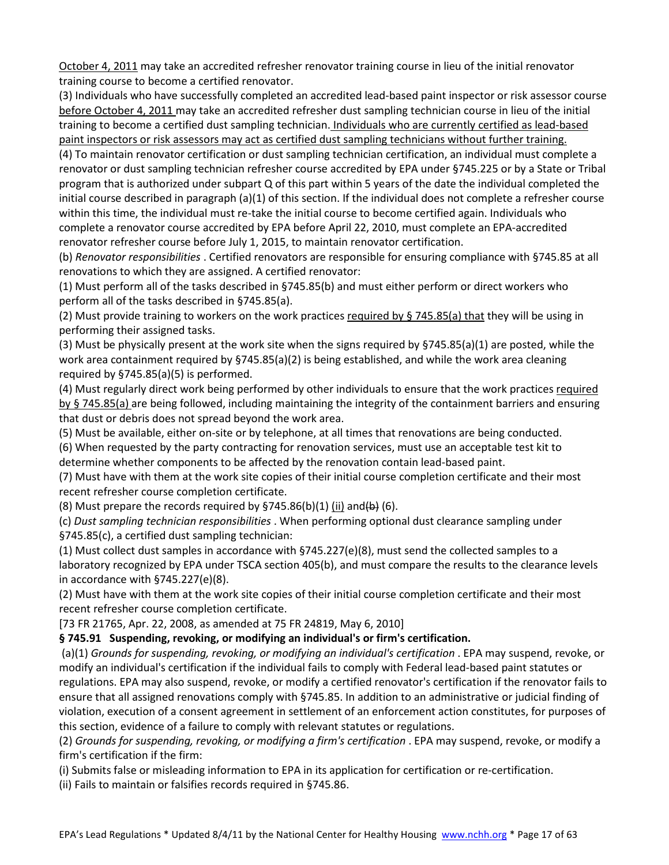October 4, 2011 may take an accredited refresher renovator training course in lieu of the initial renovator training course to become a certified renovator.

(3) Individuals who have successfully completed an accredited lead-based paint inspector or risk assessor course before October 4, 2011 may take an accredited refresher dust sampling technician course in lieu of the initial training to become a certified dust sampling technician. Individuals who are currently certified as lead-based paint inspectors or risk assessors may act as certified dust sampling technicians without further training.

(4) To maintain renovator certification or dust sampling technician certification, an individual must complete a renovator or dust sampling technician refresher course accredited by EPA under §745.225 or by a State or Tribal program that is authorized under subpart Q of this part within 5 years of the date the individual completed the initial course described in paragraph (a)(1) of this section. If the individual does not complete a refresher course within this time, the individual must re-take the initial course to become certified again. Individuals who complete a renovator course accredited by EPA before April 22, 2010, must complete an EPA-accredited renovator refresher course before July 1, 2015, to maintain renovator certification.

(b) *Renovator responsibilities* . Certified renovators are responsible for ensuring compliance with §745.85 at all renovations to which they are assigned. A certified renovator:

(1) Must perform all of the tasks described in §745.85(b) and must either perform or direct workers who perform all of the tasks described in §745.85(a).

(2) Must provide training to workers on the work practices required by  $\S$  745.85(a) that they will be using in performing their assigned tasks.

(3) Must be physically present at the work site when the signs required by §745.85(a)(1) are posted, while the work area containment required by §745.85(a)(2) is being established, and while the work area cleaning required by §745.85(a)(5) is performed.

(4) Must regularly direct work being performed by other individuals to ensure that the work practices required by § 745.85(a) are being followed, including maintaining the integrity of the containment barriers and ensuring that dust or debris does not spread beyond the work area.

(5) Must be available, either on-site or by telephone, at all times that renovations are being conducted.

(6) When requested by the party contracting for renovation services, must use an acceptable test kit to determine whether components to be affected by the renovation contain lead-based paint.

(7) Must have with them at the work site copies of their initial course completion certificate and their most recent refresher course completion certificate.

(8) Must prepare the records required by  $\S$ 745.86(b)(1) (ii) and  $\leftrightarrow$  (6).

(c) *Dust sampling technician responsibilities* . When performing optional dust clearance sampling under §745.85(c), a certified dust sampling technician:

(1) Must collect dust samples in accordance with §745.227(e)(8), must send the collected samples to a laboratory recognized by EPA under TSCA section 405(b), and must compare the results to the clearance levels in accordance with §745.227(e)(8).

(2) Must have with them at the work site copies of their initial course completion certificate and their most recent refresher course completion certificate.

[73 FR 21765, Apr. 22, 2008, as amended at 75 FR 24819, May 6, 2010]

#### <span id="page-16-0"></span>**§ 745.91 Suspending, revoking, or modifying an individual's or firm's certification.**

(a)(1) *Grounds for suspending, revoking, or modifying an individual's certification* . EPA may suspend, revoke, or modify an individual's certification if the individual fails to comply with Federal lead-based paint statutes or regulations. EPA may also suspend, revoke, or modify a certified renovator's certification if the renovator fails to ensure that all assigned renovations comply with §745.85. In addition to an administrative or judicial finding of violation, execution of a consent agreement in settlement of an enforcement action constitutes, for purposes of this section, evidence of a failure to comply with relevant statutes or regulations.

(2) *Grounds for suspending, revoking, or modifying a firm's certification* . EPA may suspend, revoke, or modify a firm's certification if the firm:

(i) Submits false or misleading information to EPA in its application for certification or re-certification.

(ii) Fails to maintain or falsifies records required in §745.86.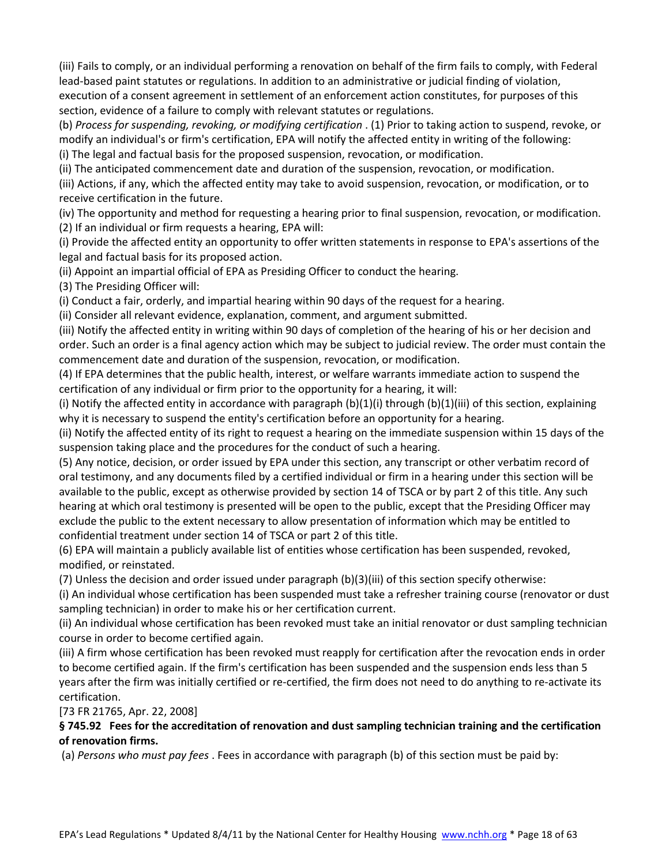(iii) Fails to comply, or an individual performing a renovation on behalf of the firm fails to comply, with Federal lead-based paint statutes or regulations. In addition to an administrative or judicial finding of violation, execution of a consent agreement in settlement of an enforcement action constitutes, for purposes of this section, evidence of a failure to comply with relevant statutes or regulations.

(b) *Process for suspending, revoking, or modifying certification* . (1) Prior to taking action to suspend, revoke, or modify an individual's or firm's certification, EPA will notify the affected entity in writing of the following:

(i) The legal and factual basis for the proposed suspension, revocation, or modification.

(ii) The anticipated commencement date and duration of the suspension, revocation, or modification.

(iii) Actions, if any, which the affected entity may take to avoid suspension, revocation, or modification, or to receive certification in the future.

(iv) The opportunity and method for requesting a hearing prior to final suspension, revocation, or modification. (2) If an individual or firm requests a hearing, EPA will:

(i) Provide the affected entity an opportunity to offer written statements in response to EPA's assertions of the legal and factual basis for its proposed action.

(ii) Appoint an impartial official of EPA as Presiding Officer to conduct the hearing.

(3) The Presiding Officer will:

(i) Conduct a fair, orderly, and impartial hearing within 90 days of the request for a hearing.

(ii) Consider all relevant evidence, explanation, comment, and argument submitted.

(iii) Notify the affected entity in writing within 90 days of completion of the hearing of his or her decision and order. Such an order is a final agency action which may be subject to judicial review. The order must contain the commencement date and duration of the suspension, revocation, or modification.

(4) If EPA determines that the public health, interest, or welfare warrants immediate action to suspend the certification of any individual or firm prior to the opportunity for a hearing, it will:

(i) Notify the affected entity in accordance with paragraph  $(b)(1)(i)$  through  $(b)(1)(iii)$  of this section, explaining why it is necessary to suspend the entity's certification before an opportunity for a hearing.

(ii) Notify the affected entity of its right to request a hearing on the immediate suspension within 15 days of the suspension taking place and the procedures for the conduct of such a hearing.

(5) Any notice, decision, or order issued by EPA under this section, any transcript or other verbatim record of oral testimony, and any documents filed by a certified individual or firm in a hearing under this section will be available to the public, except as otherwise provided by section 14 of TSCA or by part 2 of this title. Any such hearing at which oral testimony is presented will be open to the public, except that the Presiding Officer may exclude the public to the extent necessary to allow presentation of information which may be entitled to confidential treatment under section 14 of TSCA or part 2 of this title.

(6) EPA will maintain a publicly available list of entities whose certification has been suspended, revoked, modified, or reinstated.

(7) Unless the decision and order issued under paragraph (b)(3)(iii) of this section specify otherwise:

(i) An individual whose certification has been suspended must take a refresher training course (renovator or dust sampling technician) in order to make his or her certification current.

(ii) An individual whose certification has been revoked must take an initial renovator or dust sampling technician course in order to become certified again.

(iii) A firm whose certification has been revoked must reapply for certification after the revocation ends in order to become certified again. If the firm's certification has been suspended and the suspension ends less than 5 years after the firm was initially certified or re-certified, the firm does not need to do anything to re-activate its certification.

[73 FR 21765, Apr. 22, 2008]

#### <span id="page-17-0"></span>**§ 745.92 Fees for the accreditation of renovation and dust sampling technician training and the certification of renovation firms.**

(a) *Persons who must pay fees* . Fees in accordance with paragraph (b) of this section must be paid by: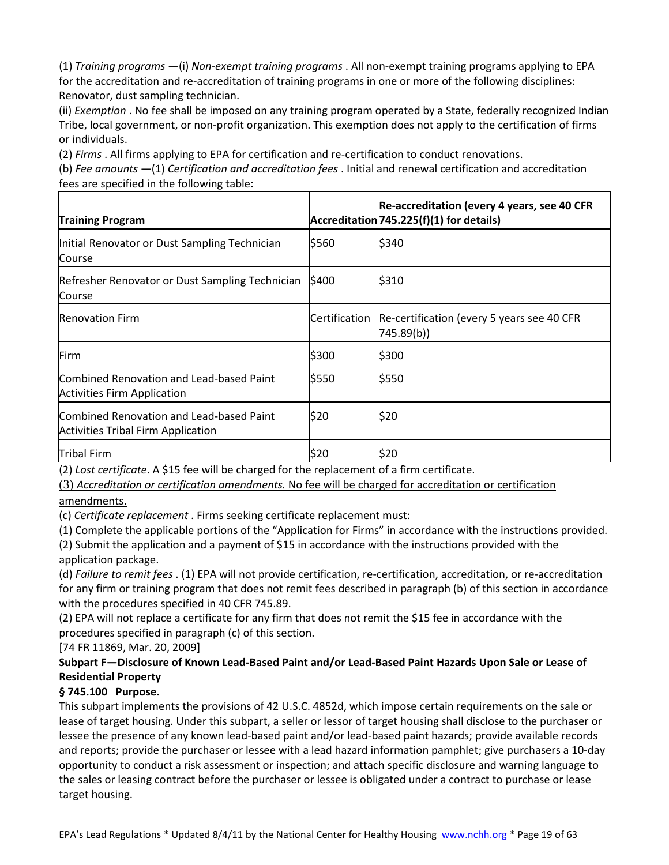(1) *Training programs* —(i) *Non-exempt training programs* . All non-exempt training programs applying to EPA for the accreditation and re-accreditation of training programs in one or more of the following disciplines: Renovator, dust sampling technician.

(ii) *Exemption* . No fee shall be imposed on any training program operated by a State, federally recognized Indian Tribe, local government, or non-profit organization. This exemption does not apply to the certification of firms or individuals.

(2) *Firms* . All firms applying to EPA for certification and re-certification to conduct renovations.

(b) *Fee amounts* —(1) *Certification and accreditation fees* . Initial and renewal certification and accreditation fees are specified in the following table:

| <b>Training Program</b>                                                               |               | Re-accreditation (every 4 years, see 40 CFR<br>Accreditation 745.225(f)(1) for details) |
|---------------------------------------------------------------------------------------|---------------|-----------------------------------------------------------------------------------------|
| Initial Renovator or Dust Sampling Technician<br>Course                               | \$560         | \$340                                                                                   |
| Refresher Renovator or Dust Sampling Technician<br>Course                             | <b>S400</b>   | \$310                                                                                   |
| <b>Renovation Firm</b>                                                                | Certification | Re-certification (every 5 years see 40 CFR<br>745.89(b)                                 |
| Firm                                                                                  | \$300         | \$300                                                                                   |
| Combined Renovation and Lead-based Paint<br><b>Activities Firm Application</b>        | \$550         | \$550                                                                                   |
| Combined Renovation and Lead-based Paint<br><b>Activities Tribal Firm Application</b> | \$20          | \$20                                                                                    |
| <b>Tribal Firm</b>                                                                    | \$20          | \$20                                                                                    |

(2) *Lost certificate*. A \$15 fee will be charged for the replacement of a firm certificate.

(3) *Accreditation or certification amendments.* No fee will be charged for accreditation or certification

#### amendments.

(c) *Certificate replacement* . Firms seeking certificate replacement must:

(1) Complete the applicable portions of the "Application for Firms" in accordance with the instructions provided.

(2) Submit the application and a payment of \$15 in accordance with the instructions provided with the application package.

(d) *Failure to remit fees* . (1) EPA will not provide certification, re-certification, accreditation, or re-accreditation for any firm or training program that does not remit fees described in paragraph (b) of this section in accordance with the procedures specified in 40 CFR 745.89.

(2) EPA will not replace a certificate for any firm that does not remit the \$15 fee in accordance with the procedures specified in paragraph (c) of this section.

[74 FR 11869, Mar. 20, 2009]

# <span id="page-18-0"></span>**Subpart F—Disclosure of Known Lead-Based Paint and/or Lead-Based Paint Hazards Upon Sale or Lease of Residential Property**

# <span id="page-18-1"></span>**§ 745.100 Purpose.**

This subpart implements the provisions of 42 U.S.C. 4852d, which impose certain requirements on the sale or lease of target housing. Under this subpart, a seller or lessor of target housing shall disclose to the purchaser or lessee the presence of any known lead-based paint and/or lead-based paint hazards; provide available records and reports; provide the purchaser or lessee with a lead hazard information pamphlet; give purchasers a 10-day opportunity to conduct a risk assessment or inspection; and attach specific disclosure and warning language to the sales or leasing contract before the purchaser or lessee is obligated under a contract to purchase or lease target housing.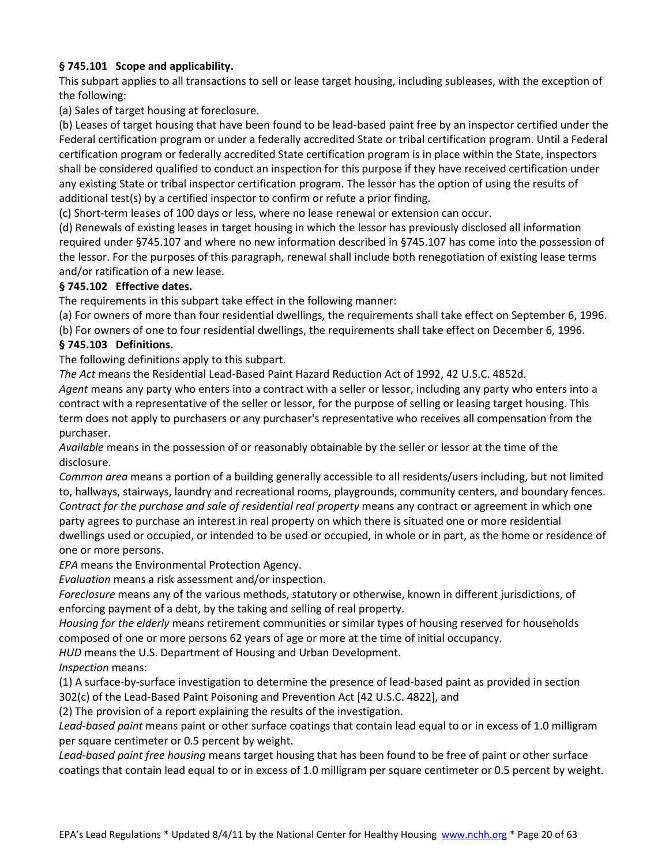# <span id="page-19-0"></span>**§ 745.101 Scope and applicability.**

This subpart applies to all transactions to sell or lease target housing, including subleases, with the exception of the following:

(a) Sales of target housing at foreclosure.

(b) Leases of target housing that have been found to be lead-based paint free by an inspector certified under the Federal certification program or under a federally accredited State or tribal certification program. Until a Federal certification program or federally accredited State certification program is in place within the State, inspectors shall be considered qualified to conduct an inspection for this purpose if they have received certification under any existing State or tribal inspector certification program. The lessor has the option of using the results of additional test(s) by a certified inspector to confirm or refute a prior finding.

(c) Short-term leases of 100 days or less, where no lease renewal or extension can occur.

(d) Renewals of existing leases in target housing in which the lessor has previously disclosed all information required under §745.107 and where no new information described in §745.107 has come into the possession of the lessor. For the purposes of this paragraph, renewal shall include both renegotiation of existing lease terms and/or ratification of a new lease.

#### <span id="page-19-1"></span>**§ 745.102 Effective dates.**

The requirements in this subpart take effect in the following manner:

(a) For owners of more than four residential dwellings, the requirements shall take effect on September 6, 1996.

(b) For owners of one to four residential dwellings, the requirements shall take effect on December 6, 1996.

#### <span id="page-19-2"></span>**§ 745.103 Definitions.**

The following definitions apply to this subpart.

*The Act* means the Residential Lead-Based Paint Hazard Reduction Act of 1992, 42 U.S.C. 4852d.

*Agent* means any party who enters into a contract with a seller or lessor, including any party who enters into a contract with a representative of the seller or lessor, for the purpose of selling or leasing target housing. This term does not apply to purchasers or any purchaser's representative who receives all compensation from the purchaser.

*Available* means in the possession of or reasonably obtainable by the seller or lessor at the time of the disclosure.

*Common area* means a portion of a building generally accessible to all residents/users including, but not limited to, hallways, stairways, laundry and recreational rooms, playgrounds, community centers, and boundary fences. *Contract for the purchase and sale of residential real property* means any contract or agreement in which one party agrees to purchase an interest in real property on which there is situated one or more residential dwellings used or occupied, or intended to be used or occupied, in whole or in part, as the home or residence of one or more persons.

*EPA* means the Environmental Protection Agency.

*Evaluation* means a risk assessment and/or inspection.

*Foreclosure* means any of the various methods, statutory or otherwise, known in different jurisdictions, of enforcing payment of a debt, by the taking and selling of real property.

*Housing for the elderly* means retirement communities or similar types of housing reserved for households composed of one or more persons 62 years of age or more at the time of initial occupancy.

*HUD* means the U.S. Department of Housing and Urban Development.

*Inspection* means:

(1) A surface-by-surface investigation to determine the presence of lead-based paint as provided in section 302(c) of the Lead-Based Paint Poisoning and Prevention Act [42 U.S.C. 4822], and

(2) The provision of a report explaining the results of the investigation.

*Lead-based paint* means paint or other surface coatings that contain lead equal to or in excess of 1.0 milligram per square centimeter or 0.5 percent by weight.

*Lead-based paint free housing* means target housing that has been found to be free of paint or other surface coatings that contain lead equal to or in excess of 1.0 milligram per square centimeter or 0.5 percent by weight.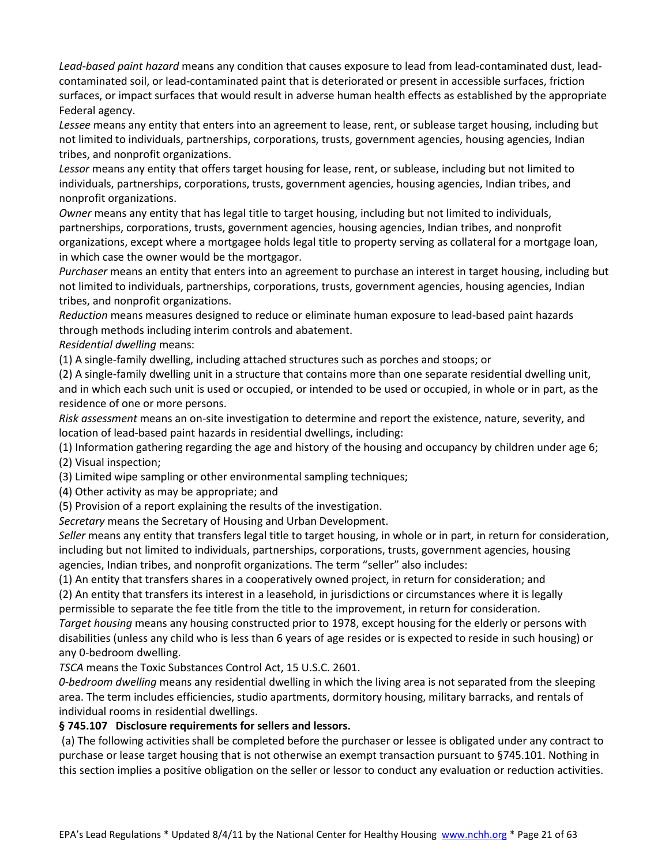*Lead-based paint hazard* means any condition that causes exposure to lead from lead-contaminated dust, leadcontaminated soil, or lead-contaminated paint that is deteriorated or present in accessible surfaces, friction surfaces, or impact surfaces that would result in adverse human health effects as established by the appropriate Federal agency.

*Lessee* means any entity that enters into an agreement to lease, rent, or sublease target housing, including but not limited to individuals, partnerships, corporations, trusts, government agencies, housing agencies, Indian tribes, and nonprofit organizations.

*Lessor* means any entity that offers target housing for lease, rent, or sublease, including but not limited to individuals, partnerships, corporations, trusts, government agencies, housing agencies, Indian tribes, and nonprofit organizations.

*Owner* means any entity that has legal title to target housing, including but not limited to individuals, partnerships, corporations, trusts, government agencies, housing agencies, Indian tribes, and nonprofit organizations, except where a mortgagee holds legal title to property serving as collateral for a mortgage loan, in which case the owner would be the mortgagor.

*Purchaser* means an entity that enters into an agreement to purchase an interest in target housing, including but not limited to individuals, partnerships, corporations, trusts, government agencies, housing agencies, Indian tribes, and nonprofit organizations.

*Reduction* means measures designed to reduce or eliminate human exposure to lead-based paint hazards through methods including interim controls and abatement.

*Residential dwelling* means:

(1) A single-family dwelling, including attached structures such as porches and stoops; or

(2) A single-family dwelling unit in a structure that contains more than one separate residential dwelling unit, and in which each such unit is used or occupied, or intended to be used or occupied, in whole or in part, as the residence of one or more persons.

*Risk assessment* means an on-site investigation to determine and report the existence, nature, severity, and location of lead-based paint hazards in residential dwellings, including:

(1) Information gathering regarding the age and history of the housing and occupancy by children under age 6; (2) Visual inspection;

(3) Limited wipe sampling or other environmental sampling techniques;

(4) Other activity as may be appropriate; and

(5) Provision of a report explaining the results of the investigation.

*Secretary* means the Secretary of Housing and Urban Development.

*Seller* means any entity that transfers legal title to target housing, in whole or in part, in return for consideration, including but not limited to individuals, partnerships, corporations, trusts, government agencies, housing agencies, Indian tribes, and nonprofit organizations. The term "seller" also includes:

(1) An entity that transfers shares in a cooperatively owned project, in return for consideration; and

(2) An entity that transfers its interest in a leasehold, in jurisdictions or circumstances where it is legally permissible to separate the fee title from the title to the improvement, in return for consideration.

*Target housing* means any housing constructed prior to 1978, except housing for the elderly or persons with disabilities (unless any child who is less than 6 years of age resides or is expected to reside in such housing) or any 0-bedroom dwelling.

*TSCA* means the Toxic Substances Control Act, 15 U.S.C. 2601.

*0-bedroom dwelling* means any residential dwelling in which the living area is not separated from the sleeping area. The term includes efficiencies, studio apartments, dormitory housing, military barracks, and rentals of individual rooms in residential dwellings.

# <span id="page-20-0"></span>**§ 745.107 Disclosure requirements for sellers and lessors.**

(a) The following activities shall be completed before the purchaser or lessee is obligated under any contract to purchase or lease target housing that is not otherwise an exempt transaction pursuant to §745.101. Nothing in this section implies a positive obligation on the seller or lessor to conduct any evaluation or reduction activities.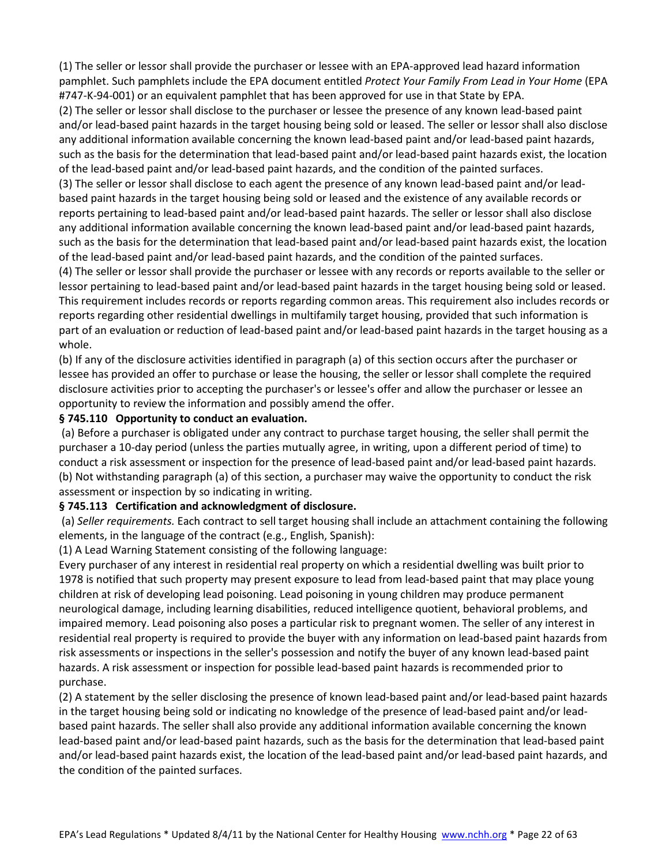(1) The seller or lessor shall provide the purchaser or lessee with an EPA-approved lead hazard information pamphlet. Such pamphlets include the EPA document entitled *Protect Your Family From Lead in Your Home* (EPA #747-K-94-001) or an equivalent pamphlet that has been approved for use in that State by EPA.

(2) The seller or lessor shall disclose to the purchaser or lessee the presence of any known lead-based paint and/or lead-based paint hazards in the target housing being sold or leased. The seller or lessor shall also disclose any additional information available concerning the known lead-based paint and/or lead-based paint hazards, such as the basis for the determination that lead-based paint and/or lead-based paint hazards exist, the location of the lead-based paint and/or lead-based paint hazards, and the condition of the painted surfaces.

(3) The seller or lessor shall disclose to each agent the presence of any known lead-based paint and/or leadbased paint hazards in the target housing being sold or leased and the existence of any available records or reports pertaining to lead-based paint and/or lead-based paint hazards. The seller or lessor shall also disclose any additional information available concerning the known lead-based paint and/or lead-based paint hazards, such as the basis for the determination that lead-based paint and/or lead-based paint hazards exist, the location of the lead-based paint and/or lead-based paint hazards, and the condition of the painted surfaces.

(4) The seller or lessor shall provide the purchaser or lessee with any records or reports available to the seller or lessor pertaining to lead-based paint and/or lead-based paint hazards in the target housing being sold or leased. This requirement includes records or reports regarding common areas. This requirement also includes records or reports regarding other residential dwellings in multifamily target housing, provided that such information is part of an evaluation or reduction of lead-based paint and/or lead-based paint hazards in the target housing as a whole.

(b) If any of the disclosure activities identified in paragraph (a) of this section occurs after the purchaser or lessee has provided an offer to purchase or lease the housing, the seller or lessor shall complete the required disclosure activities prior to accepting the purchaser's or lessee's offer and allow the purchaser or lessee an opportunity to review the information and possibly amend the offer.

#### <span id="page-21-0"></span>**§ 745.110 Opportunity to conduct an evaluation.**

(a) Before a purchaser is obligated under any contract to purchase target housing, the seller shall permit the purchaser a 10-day period (unless the parties mutually agree, in writing, upon a different period of time) to conduct a risk assessment or inspection for the presence of lead-based paint and/or lead-based paint hazards. (b) Not withstanding paragraph (a) of this section, a purchaser may waive the opportunity to conduct the risk assessment or inspection by so indicating in writing.

# <span id="page-21-1"></span>**§ 745.113 Certification and acknowledgment of disclosure.**

(a) *Seller requirements.* Each contract to sell target housing shall include an attachment containing the following elements, in the language of the contract (e.g., English, Spanish):

(1) A Lead Warning Statement consisting of the following language:

Every purchaser of any interest in residential real property on which a residential dwelling was built prior to 1978 is notified that such property may present exposure to lead from lead-based paint that may place young children at risk of developing lead poisoning. Lead poisoning in young children may produce permanent neurological damage, including learning disabilities, reduced intelligence quotient, behavioral problems, and impaired memory. Lead poisoning also poses a particular risk to pregnant women. The seller of any interest in residential real property is required to provide the buyer with any information on lead-based paint hazards from risk assessments or inspections in the seller's possession and notify the buyer of any known lead-based paint hazards. A risk assessment or inspection for possible lead-based paint hazards is recommended prior to purchase.

(2) A statement by the seller disclosing the presence of known lead-based paint and/or lead-based paint hazards in the target housing being sold or indicating no knowledge of the presence of lead-based paint and/or leadbased paint hazards. The seller shall also provide any additional information available concerning the known lead-based paint and/or lead-based paint hazards, such as the basis for the determination that lead-based paint and/or lead-based paint hazards exist, the location of the lead-based paint and/or lead-based paint hazards, and the condition of the painted surfaces.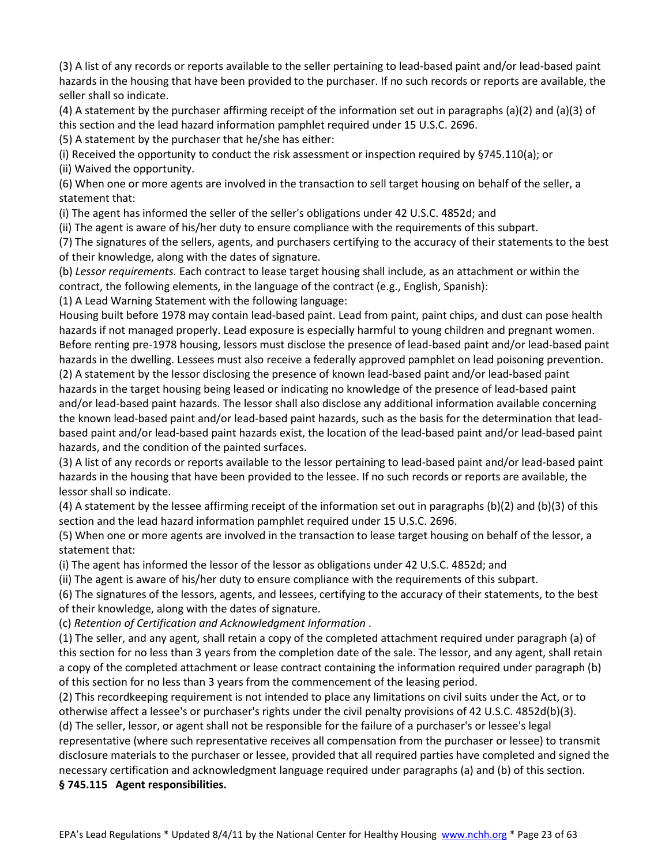(3) A list of any records or reports available to the seller pertaining to lead-based paint and/or lead-based paint hazards in the housing that have been provided to the purchaser. If no such records or reports are available, the seller shall so indicate.

(4) A statement by the purchaser affirming receipt of the information set out in paragraphs (a)(2) and (a)(3) of this section and the lead hazard information pamphlet required under 15 U.S.C. 2696.

(5) A statement by the purchaser that he/she has either:

(i) Received the opportunity to conduct the risk assessment or inspection required by §745.110(a); or (ii) Waived the opportunity.

(6) When one or more agents are involved in the transaction to sell target housing on behalf of the seller, a statement that:

(i) The agent has informed the seller of the seller's obligations under 42 U.S.C. 4852d; and

(ii) The agent is aware of his/her duty to ensure compliance with the requirements of this subpart.

(7) The signatures of the sellers, agents, and purchasers certifying to the accuracy of their statements to the best of their knowledge, along with the dates of signature.

(b) *Lessor requirements.* Each contract to lease target housing shall include, as an attachment or within the contract, the following elements, in the language of the contract (e.g., English, Spanish):

(1) A Lead Warning Statement with the following language:

Housing built before 1978 may contain lead-based paint. Lead from paint, paint chips, and dust can pose health hazards if not managed properly. Lead exposure is especially harmful to young children and pregnant women. Before renting pre-1978 housing, lessors must disclose the presence of lead-based paint and/or lead-based paint hazards in the dwelling. Lessees must also receive a federally approved pamphlet on lead poisoning prevention.

(2) A statement by the lessor disclosing the presence of known lead-based paint and/or lead-based paint hazards in the target housing being leased or indicating no knowledge of the presence of lead-based paint and/or lead-based paint hazards. The lessor shall also disclose any additional information available concerning the known lead-based paint and/or lead-based paint hazards, such as the basis for the determination that leadbased paint and/or lead-based paint hazards exist, the location of the lead-based paint and/or lead-based paint hazards, and the condition of the painted surfaces.

(3) A list of any records or reports available to the lessor pertaining to lead-based paint and/or lead-based paint hazards in the housing that have been provided to the lessee. If no such records or reports are available, the lessor shall so indicate.

(4) A statement by the lessee affirming receipt of the information set out in paragraphs (b)(2) and (b)(3) of this section and the lead hazard information pamphlet required under 15 U.S.C. 2696.

(5) When one or more agents are involved in the transaction to lease target housing on behalf of the lessor, a statement that:

(i) The agent has informed the lessor of the lessor as obligations under 42 U.S.C. 4852d; and

(ii) The agent is aware of his/her duty to ensure compliance with the requirements of this subpart.

(6) The signatures of the lessors, agents, and lessees, certifying to the accuracy of their statements, to the best of their knowledge, along with the dates of signature.

(c) *Retention of Certification and Acknowledgment Information* .

(1) The seller, and any agent, shall retain a copy of the completed attachment required under paragraph (a) of this section for no less than 3 years from the completion date of the sale. The lessor, and any agent, shall retain a copy of the completed attachment or lease contract containing the information required under paragraph (b) of this section for no less than 3 years from the commencement of the leasing period.

(2) This recordkeeping requirement is not intended to place any limitations on civil suits under the Act, or to otherwise affect a lessee's or purchaser's rights under the civil penalty provisions of 42 U.S.C. 4852d(b)(3).

(d) The seller, lessor, or agent shall not be responsible for the failure of a purchaser's or lessee's legal representative (where such representative receives all compensation from the purchaser or lessee) to transmit disclosure materials to the purchaser or lessee, provided that all required parties have completed and signed the necessary certification and acknowledgment language required under paragraphs (a) and (b) of this section.

#### <span id="page-22-0"></span>**§ 745.115 Agent responsibilities.**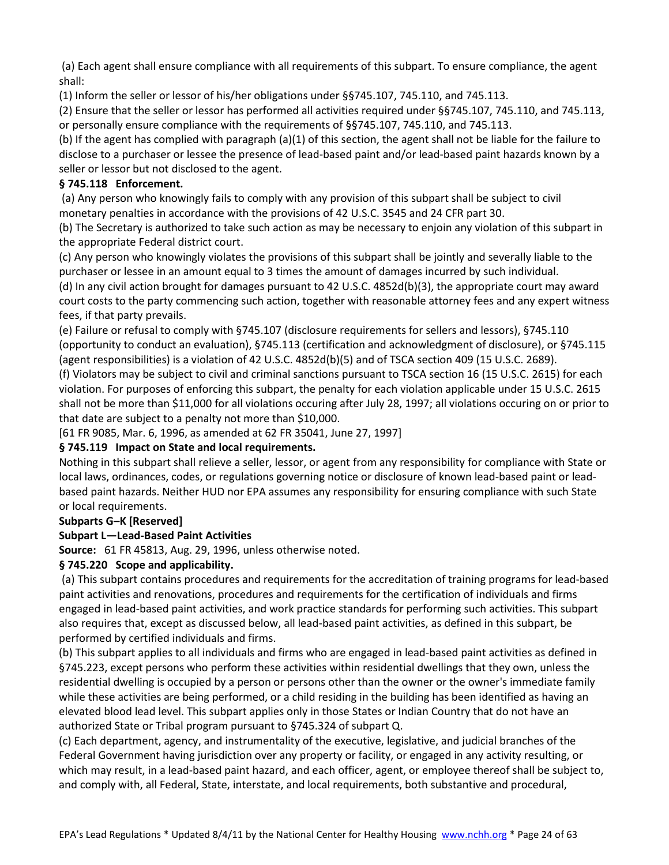(a) Each agent shall ensure compliance with all requirements of this subpart. To ensure compliance, the agent shall:

(1) Inform the seller or lessor of his/her obligations under §§745.107, 745.110, and 745.113.

(2) Ensure that the seller or lessor has performed all activities required under §§745.107, 745.110, and 745.113, or personally ensure compliance with the requirements of §§745.107, 745.110, and 745.113.

(b) If the agent has complied with paragraph (a)(1) of this section, the agent shall not be liable for the failure to disclose to a purchaser or lessee the presence of lead-based paint and/or lead-based paint hazards known by a seller or lessor but not disclosed to the agent.

# <span id="page-23-0"></span>**§ 745.118 Enforcement.**

(a) Any person who knowingly fails to comply with any provision of this subpart shall be subject to civil monetary penalties in accordance with the provisions of 42 U.S.C. 3545 and 24 CFR part 30.

(b) The Secretary is authorized to take such action as may be necessary to enjoin any violation of this subpart in the appropriate Federal district court.

(c) Any person who knowingly violates the provisions of this subpart shall be jointly and severally liable to the purchaser or lessee in an amount equal to 3 times the amount of damages incurred by such individual. (d) In any civil action brought for damages pursuant to 42 U.S.C. 4852d(b)(3), the appropriate court may award court costs to the party commencing such action, together with reasonable attorney fees and any expert witness fees, if that party prevails.

(e) Failure or refusal to comply with §745.107 (disclosure requirements for sellers and lessors), §745.110 (opportunity to conduct an evaluation), §745.113 (certification and acknowledgment of disclosure), or §745.115 (agent responsibilities) is a violation of 42 U.S.C. 4852d(b)(5) and of TSCA section 409 (15 U.S.C. 2689).

(f) Violators may be subject to civil and criminal sanctions pursuant to TSCA section 16 (15 U.S.C. 2615) for each violation. For purposes of enforcing this subpart, the penalty for each violation applicable under 15 U.S.C. 2615 shall not be more than \$11,000 for all violations occuring after July 28, 1997; all violations occuring on or prior to that date are subject to a penalty not more than \$10,000.

[61 FR 9085, Mar. 6, 1996, as amended at 62 FR 35041, June 27, 1997]

# <span id="page-23-1"></span>**§ 745.119 Impact on State and local requirements.**

Nothing in this subpart shall relieve a seller, lessor, or agent from any responsibility for compliance with State or local laws, ordinances, codes, or regulations governing notice or disclosure of known lead-based paint or leadbased paint hazards. Neither HUD nor EPA assumes any responsibility for ensuring compliance with such State or local requirements.

# <span id="page-23-2"></span>**Subparts G–K [Reserved]**

# <span id="page-23-3"></span>**Subpart L—Lead-Based Paint Activities**

**Source:** 61 FR 45813, Aug. 29, 1996, unless otherwise noted.

# <span id="page-23-4"></span>**§ 745.220 Scope and applicability.**

(a) This subpart contains procedures and requirements for the accreditation of training programs for lead-based paint activities and renovations, procedures and requirements for the certification of individuals and firms engaged in lead-based paint activities, and work practice standards for performing such activities. This subpart also requires that, except as discussed below, all lead-based paint activities, as defined in this subpart, be performed by certified individuals and firms.

(b) This subpart applies to all individuals and firms who are engaged in lead-based paint activities as defined in §745.223, except persons who perform these activities within residential dwellings that they own, unless the residential dwelling is occupied by a person or persons other than the owner or the owner's immediate family while these activities are being performed, or a child residing in the building has been identified as having an elevated blood lead level. This subpart applies only in those States or Indian Country that do not have an authorized State or Tribal program pursuant to §745.324 of subpart Q.

(c) Each department, agency, and instrumentality of the executive, legislative, and judicial branches of the Federal Government having jurisdiction over any property or facility, or engaged in any activity resulting, or which may result, in a lead-based paint hazard, and each officer, agent, or employee thereof shall be subject to, and comply with, all Federal, State, interstate, and local requirements, both substantive and procedural,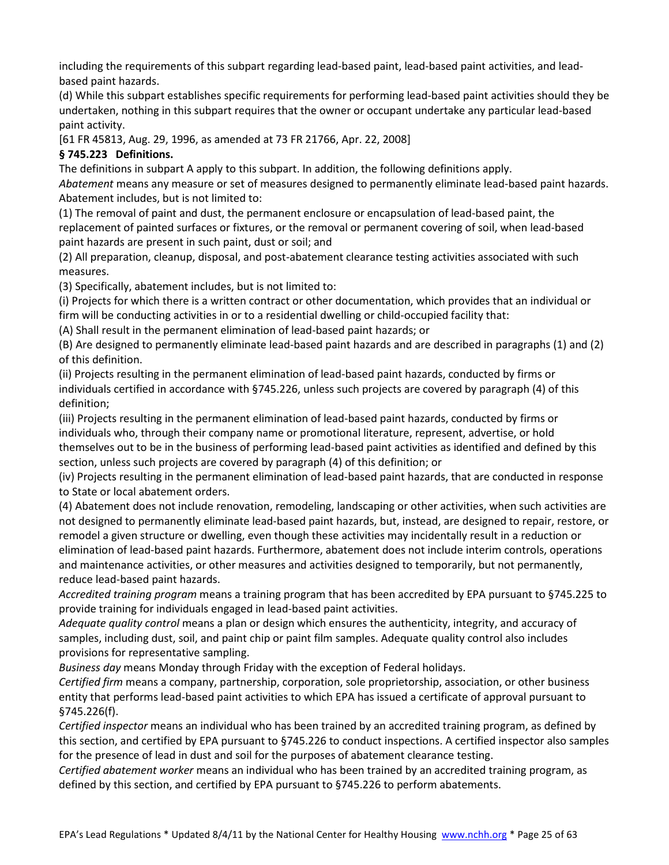including the requirements of this subpart regarding lead-based paint, lead-based paint activities, and leadbased paint hazards.

(d) While this subpart establishes specific requirements for performing lead-based paint activities should they be undertaken, nothing in this subpart requires that the owner or occupant undertake any particular lead-based paint activity.

[61 FR 45813, Aug. 29, 1996, as amended at 73 FR 21766, Apr. 22, 2008]

# <span id="page-24-0"></span>**§ 745.223 Definitions.**

The definitions in subpart A apply to this subpart. In addition, the following definitions apply.

*Abatement* means any measure or set of measures designed to permanently eliminate lead-based paint hazards. Abatement includes, but is not limited to:

(1) The removal of paint and dust, the permanent enclosure or encapsulation of lead-based paint, the replacement of painted surfaces or fixtures, or the removal or permanent covering of soil, when lead-based paint hazards are present in such paint, dust or soil; and

(2) All preparation, cleanup, disposal, and post-abatement clearance testing activities associated with such measures.

(3) Specifically, abatement includes, but is not limited to:

(i) Projects for which there is a written contract or other documentation, which provides that an individual or firm will be conducting activities in or to a residential dwelling or child-occupied facility that:

(A) Shall result in the permanent elimination of lead-based paint hazards; or

(B) Are designed to permanently eliminate lead-based paint hazards and are described in paragraphs (1) and (2) of this definition.

(ii) Projects resulting in the permanent elimination of lead-based paint hazards, conducted by firms or individuals certified in accordance with §745.226, unless such projects are covered by paragraph (4) of this definition;

(iii) Projects resulting in the permanent elimination of lead-based paint hazards, conducted by firms or individuals who, through their company name or promotional literature, represent, advertise, or hold themselves out to be in the business of performing lead-based paint activities as identified and defined by this section, unless such projects are covered by paragraph (4) of this definition; or

(iv) Projects resulting in the permanent elimination of lead-based paint hazards, that are conducted in response to State or local abatement orders.

(4) Abatement does not include renovation, remodeling, landscaping or other activities, when such activities are not designed to permanently eliminate lead-based paint hazards, but, instead, are designed to repair, restore, or remodel a given structure or dwelling, even though these activities may incidentally result in a reduction or elimination of lead-based paint hazards. Furthermore, abatement does not include interim controls, operations and maintenance activities, or other measures and activities designed to temporarily, but not permanently, reduce lead-based paint hazards.

*Accredited training program* means a training program that has been accredited by EPA pursuant to §745.225 to provide training for individuals engaged in lead-based paint activities.

*Adequate quality control* means a plan or design which ensures the authenticity, integrity, and accuracy of samples, including dust, soil, and paint chip or paint film samples. Adequate quality control also includes provisions for representative sampling.

*Business day* means Monday through Friday with the exception of Federal holidays.

*Certified firm* means a company, partnership, corporation, sole proprietorship, association, or other business entity that performs lead-based paint activities to which EPA has issued a certificate of approval pursuant to §745.226(f).

*Certified inspector* means an individual who has been trained by an accredited training program, as defined by this section, and certified by EPA pursuant to §745.226 to conduct inspections. A certified inspector also samples for the presence of lead in dust and soil for the purposes of abatement clearance testing.

*Certified abatement worker* means an individual who has been trained by an accredited training program, as defined by this section, and certified by EPA pursuant to §745.226 to perform abatements.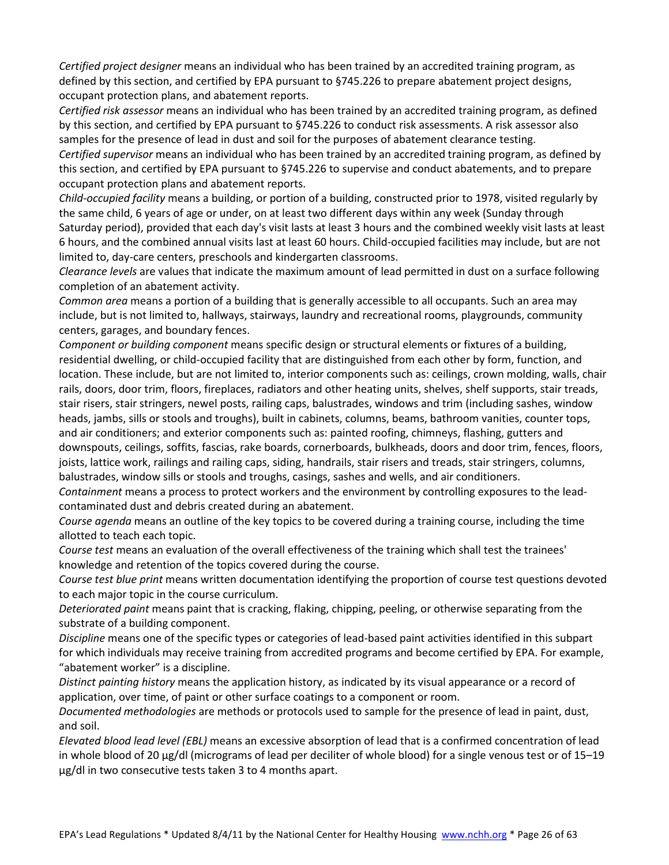*Certified project designer* means an individual who has been trained by an accredited training program, as defined by this section, and certified by EPA pursuant to §745.226 to prepare abatement project designs, occupant protection plans, and abatement reports.

*Certified risk assessor* means an individual who has been trained by an accredited training program, as defined by this section, and certified by EPA pursuant to §745.226 to conduct risk assessments. A risk assessor also samples for the presence of lead in dust and soil for the purposes of abatement clearance testing.

*Certified supervisor* means an individual who has been trained by an accredited training program, as defined by this section, and certified by EPA pursuant to §745.226 to supervise and conduct abatements, and to prepare occupant protection plans and abatement reports.

*Child-occupied facility* means a building, or portion of a building, constructed prior to 1978, visited regularly by the same child, 6 years of age or under, on at least two different days within any week (Sunday through Saturday period), provided that each day's visit lasts at least 3 hours and the combined weekly visit lasts at least 6 hours, and the combined annual visits last at least 60 hours. Child-occupied facilities may include, but are not limited to, day-care centers, preschools and kindergarten classrooms.

*Clearance levels* are values that indicate the maximum amount of lead permitted in dust on a surface following completion of an abatement activity.

*Common area* means a portion of a building that is generally accessible to all occupants. Such an area may include, but is not limited to, hallways, stairways, laundry and recreational rooms, playgrounds, community centers, garages, and boundary fences.

*Component or building component* means specific design or structural elements or fixtures of a building, residential dwelling, or child-occupied facility that are distinguished from each other by form, function, and location. These include, but are not limited to, interior components such as: ceilings, crown molding, walls, chair rails, doors, door trim, floors, fireplaces, radiators and other heating units, shelves, shelf supports, stair treads, stair risers, stair stringers, newel posts, railing caps, balustrades, windows and trim (including sashes, window heads, jambs, sills or stools and troughs), built in cabinets, columns, beams, bathroom vanities, counter tops, and air conditioners; and exterior components such as: painted roofing, chimneys, flashing, gutters and downspouts, ceilings, soffits, fascias, rake boards, cornerboards, bulkheads, doors and door trim, fences, floors, joists, lattice work, railings and railing caps, siding, handrails, stair risers and treads, stair stringers, columns, balustrades, window sills or stools and troughs, casings, sashes and wells, and air conditioners.

*Containment* means a process to protect workers and the environment by controlling exposures to the leadcontaminated dust and debris created during an abatement.

*Course agenda* means an outline of the key topics to be covered during a training course, including the time allotted to teach each topic.

*Course test* means an evaluation of the overall effectiveness of the training which shall test the trainees' knowledge and retention of the topics covered during the course.

*Course test blue print* means written documentation identifying the proportion of course test questions devoted to each major topic in the course curriculum.

*Deteriorated paint* means paint that is cracking, flaking, chipping, peeling, or otherwise separating from the substrate of a building component.

*Discipline* means one of the specific types or categories of lead-based paint activities identified in this subpart for which individuals may receive training from accredited programs and become certified by EPA. For example, "abatement worker" is a discipline.

*Distinct painting history* means the application history, as indicated by its visual appearance or a record of application, over time, of paint or other surface coatings to a component or room.

*Documented methodologies* are methods or protocols used to sample for the presence of lead in paint, dust, and soil.

*Elevated blood lead level (EBL)* means an excessive absorption of lead that is a confirmed concentration of lead in whole blood of 20 µg/dl (micrograms of lead per deciliter of whole blood) for a single venous test or of 15–19 µg/dl in two consecutive tests taken 3 to 4 months apart.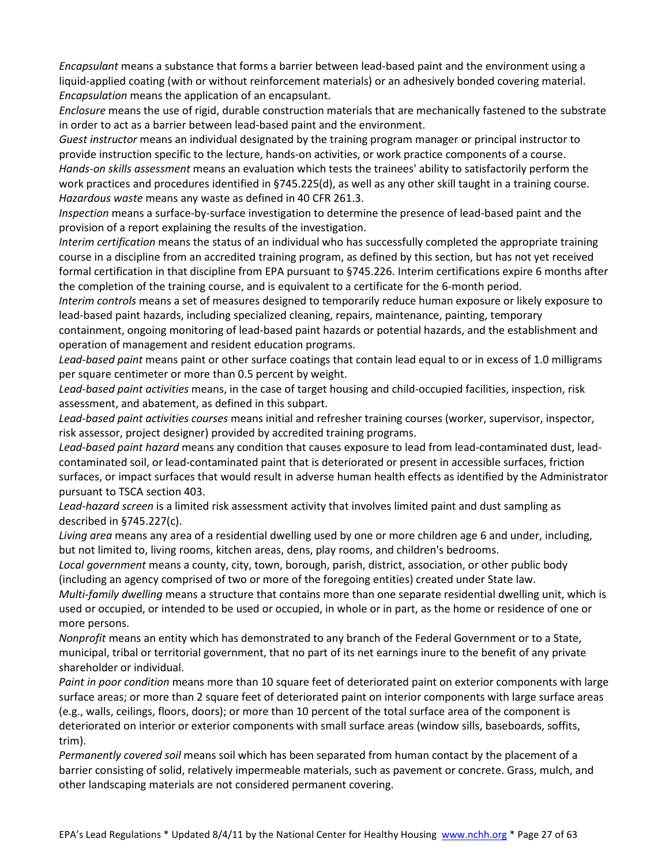*Encapsulant* means a substance that forms a barrier between lead-based paint and the environment using a liquid-applied coating (with or without reinforcement materials) or an adhesively bonded covering material. *Encapsulation* means the application of an encapsulant.

*Enclosure* means the use of rigid, durable construction materials that are mechanically fastened to the substrate in order to act as a barrier between lead-based paint and the environment.

*Guest instructor* means an individual designated by the training program manager or principal instructor to provide instruction specific to the lecture, hands-on activities, or work practice components of a course. *Hands-on skills assessment* means an evaluation which tests the trainees' ability to satisfactorily perform the work practices and procedures identified in §745.225(d), as well as any other skill taught in a training course. *Hazardous waste* means any waste as defined in 40 CFR 261.3.

*Inspection* means a surface-by-surface investigation to determine the presence of lead-based paint and the provision of a report explaining the results of the investigation.

*Interim certification* means the status of an individual who has successfully completed the appropriate training course in a discipline from an accredited training program, as defined by this section, but has not yet received formal certification in that discipline from EPA pursuant to §745.226. Interim certifications expire 6 months after the completion of the training course, and is equivalent to a certificate for the 6-month period.

*Interim controls* means a set of measures designed to temporarily reduce human exposure or likely exposure to lead-based paint hazards, including specialized cleaning, repairs, maintenance, painting, temporary

containment, ongoing monitoring of lead-based paint hazards or potential hazards, and the establishment and operation of management and resident education programs.

*Lead-based paint* means paint or other surface coatings that contain lead equal to or in excess of 1.0 milligrams per square centimeter or more than 0.5 percent by weight.

*Lead-based paint activities* means, in the case of target housing and child-occupied facilities, inspection, risk assessment, and abatement, as defined in this subpart.

*Lead-based paint activities courses* means initial and refresher training courses (worker, supervisor, inspector, risk assessor, project designer) provided by accredited training programs.

*Lead-based paint hazard* means any condition that causes exposure to lead from lead-contaminated dust, leadcontaminated soil, or lead-contaminated paint that is deteriorated or present in accessible surfaces, friction surfaces, or impact surfaces that would result in adverse human health effects as identified by the Administrator pursuant to TSCA section 403.

*Lead-hazard screen* is a limited risk assessment activity that involves limited paint and dust sampling as described in §745.227(c).

*Living area* means any area of a residential dwelling used by one or more children age 6 and under, including, but not limited to, living rooms, kitchen areas, dens, play rooms, and children's bedrooms.

*Local government* means a county, city, town, borough, parish, district, association, or other public body (including an agency comprised of two or more of the foregoing entities) created under State law.

*Multi-family dwelling* means a structure that contains more than one separate residential dwelling unit, which is used or occupied, or intended to be used or occupied, in whole or in part, as the home or residence of one or more persons.

*Nonprofit* means an entity which has demonstrated to any branch of the Federal Government or to a State, municipal, tribal or territorial government, that no part of its net earnings inure to the benefit of any private shareholder or individual.

*Paint in poor condition* means more than 10 square feet of deteriorated paint on exterior components with large surface areas; or more than 2 square feet of deteriorated paint on interior components with large surface areas (e.g., walls, ceilings, floors, doors); or more than 10 percent of the total surface area of the component is deteriorated on interior or exterior components with small surface areas (window sills, baseboards, soffits, trim).

*Permanently covered soil* means soil which has been separated from human contact by the placement of a barrier consisting of solid, relatively impermeable materials, such as pavement or concrete. Grass, mulch, and other landscaping materials are not considered permanent covering.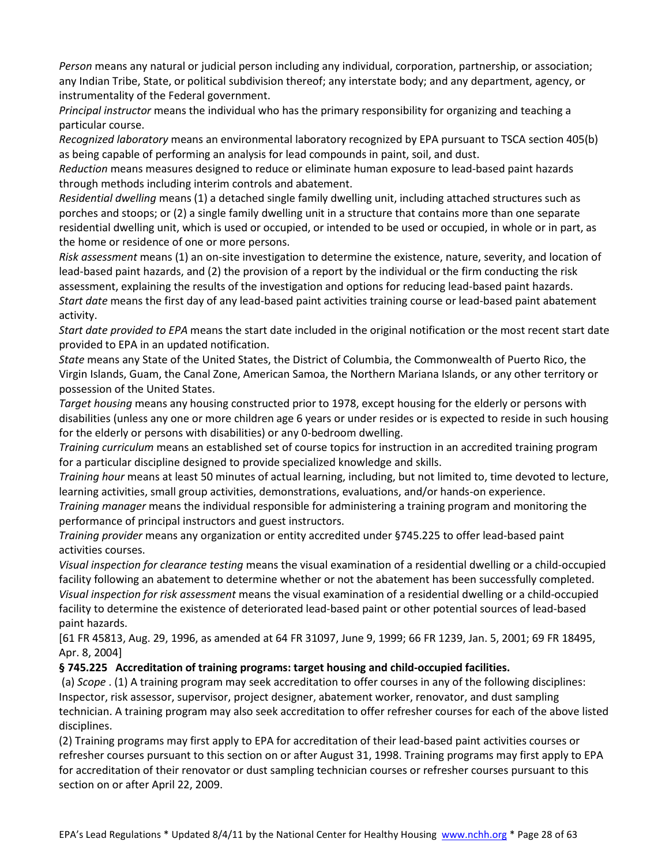*Person* means any natural or judicial person including any individual, corporation, partnership, or association; any Indian Tribe, State, or political subdivision thereof; any interstate body; and any department, agency, or instrumentality of the Federal government.

*Principal instructor* means the individual who has the primary responsibility for organizing and teaching a particular course.

*Recognized laboratory* means an environmental laboratory recognized by EPA pursuant to TSCA section 405(b) as being capable of performing an analysis for lead compounds in paint, soil, and dust.

*Reduction* means measures designed to reduce or eliminate human exposure to lead-based paint hazards through methods including interim controls and abatement.

*Residential dwelling* means (1) a detached single family dwelling unit, including attached structures such as porches and stoops; or (2) a single family dwelling unit in a structure that contains more than one separate residential dwelling unit, which is used or occupied, or intended to be used or occupied, in whole or in part, as the home or residence of one or more persons.

*Risk assessment* means (1) an on-site investigation to determine the existence, nature, severity, and location of lead-based paint hazards, and (2) the provision of a report by the individual or the firm conducting the risk assessment, explaining the results of the investigation and options for reducing lead-based paint hazards. *Start date* means the first day of any lead-based paint activities training course or lead-based paint abatement activity.

*Start date provided to EPA* means the start date included in the original notification or the most recent start date provided to EPA in an updated notification.

*State* means any State of the United States, the District of Columbia, the Commonwealth of Puerto Rico, the Virgin Islands, Guam, the Canal Zone, American Samoa, the Northern Mariana Islands, or any other territory or possession of the United States.

*Target housing* means any housing constructed prior to 1978, except housing for the elderly or persons with disabilities (unless any one or more children age 6 years or under resides or is expected to reside in such housing for the elderly or persons with disabilities) or any 0-bedroom dwelling.

*Training curriculum* means an established set of course topics for instruction in an accredited training program for a particular discipline designed to provide specialized knowledge and skills.

*Training hour* means at least 50 minutes of actual learning, including, but not limited to, time devoted to lecture, learning activities, small group activities, demonstrations, evaluations, and/or hands-on experience.

*Training manager* means the individual responsible for administering a training program and monitoring the performance of principal instructors and guest instructors.

*Training provider* means any organization or entity accredited under §745.225 to offer lead-based paint activities courses.

*Visual inspection for clearance testing* means the visual examination of a residential dwelling or a child-occupied facility following an abatement to determine whether or not the abatement has been successfully completed. *Visual inspection for risk assessment* means the visual examination of a residential dwelling or a child-occupied facility to determine the existence of deteriorated lead-based paint or other potential sources of lead-based paint hazards.

[61 FR 45813, Aug. 29, 1996, as amended at 64 FR 31097, June 9, 1999; 66 FR 1239, Jan. 5, 2001; 69 FR 18495, Apr. 8, 2004]

# <span id="page-27-0"></span>**§ 745.225 Accreditation of training programs: target housing and child-occupied facilities.**

(a) *Scope* . (1) A training program may seek accreditation to offer courses in any of the following disciplines: Inspector, risk assessor, supervisor, project designer, abatement worker, renovator, and dust sampling technician. A training program may also seek accreditation to offer refresher courses for each of the above listed disciplines.

(2) Training programs may first apply to EPA for accreditation of their lead-based paint activities courses or refresher courses pursuant to this section on or after August 31, 1998. Training programs may first apply to EPA for accreditation of their renovator or dust sampling technician courses or refresher courses pursuant to this section on or after April 22, 2009.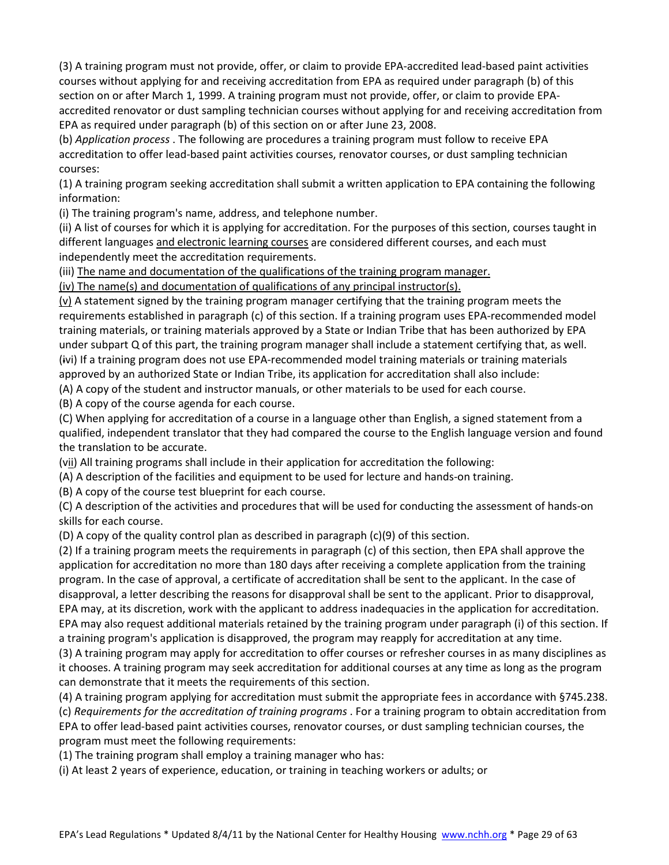(3) A training program must not provide, offer, or claim to provide EPA-accredited lead-based paint activities courses without applying for and receiving accreditation from EPA as required under paragraph (b) of this section on or after March 1, 1999. A training program must not provide, offer, or claim to provide EPAaccredited renovator or dust sampling technician courses without applying for and receiving accreditation from EPA as required under paragraph (b) of this section on or after June 23, 2008.

(b) *Application process* . The following are procedures a training program must follow to receive EPA accreditation to offer lead-based paint activities courses, renovator courses, or dust sampling technician courses:

(1) A training program seeking accreditation shall submit a written application to EPA containing the following information:

(i) The training program's name, address, and telephone number.

(ii) A list of courses for which it is applying for accreditation. For the purposes of this section, courses taught in different languages and electronic learning courses are considered different courses, and each must independently meet the accreditation requirements.

(iii) The name and documentation of the qualifications of the training program manager.

(iv) The name(s) and documentation of qualifications of any principal instructor(s).

 $(v)$  A statement signed by the training program manager certifying that the training program meets the requirements established in paragraph (c) of this section. If a training program uses EPA-recommended model training materials, or training materials approved by a State or Indian Tribe that has been authorized by EPA under subpart Q of this part, the training program manager shall include a statement certifying that, as well. (ivi) If a training program does not use EPA-recommended model training materials or training materials approved by an authorized State or Indian Tribe, its application for accreditation shall also include:

(A) A copy of the student and instructor manuals, or other materials to be used for each course.

(B) A copy of the course agenda for each course.

(C) When applying for accreditation of a course in a language other than English, a signed statement from a qualified, independent translator that they had compared the course to the English language version and found the translation to be accurate.

(vii) All training programs shall include in their application for accreditation the following:

(A) A description of the facilities and equipment to be used for lecture and hands-on training.

(B) A copy of the course test blueprint for each course.

(C) A description of the activities and procedures that will be used for conducting the assessment of hands-on skills for each course.

(D) A copy of the quality control plan as described in paragraph (c)(9) of this section.

(2) If a training program meets the requirements in paragraph (c) of this section, then EPA shall approve the application for accreditation no more than 180 days after receiving a complete application from the training program. In the case of approval, a certificate of accreditation shall be sent to the applicant. In the case of disapproval, a letter describing the reasons for disapproval shall be sent to the applicant. Prior to disapproval, EPA may, at its discretion, work with the applicant to address inadequacies in the application for accreditation. EPA may also request additional materials retained by the training program under paragraph (i) of this section. If a training program's application is disapproved, the program may reapply for accreditation at any time.

(3) A training program may apply for accreditation to offer courses or refresher courses in as many disciplines as it chooses. A training program may seek accreditation for additional courses at any time as long as the program can demonstrate that it meets the requirements of this section.

(4) A training program applying for accreditation must submit the appropriate fees in accordance with §745.238.

(c) *Requirements for the accreditation of training programs* . For a training program to obtain accreditation from EPA to offer lead-based paint activities courses, renovator courses, or dust sampling technician courses, the program must meet the following requirements:

(1) The training program shall employ a training manager who has:

(i) At least 2 years of experience, education, or training in teaching workers or adults; or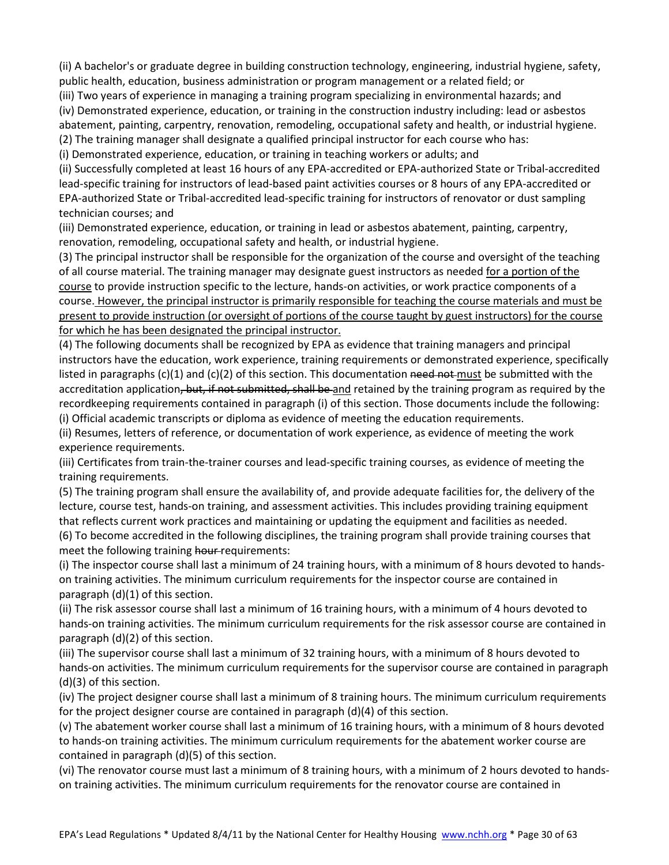(ii) A bachelor's or graduate degree in building construction technology, engineering, industrial hygiene, safety, public health, education, business administration or program management or a related field; or

(iii) Two years of experience in managing a training program specializing in environmental hazards; and (iv) Demonstrated experience, education, or training in the construction industry including: lead or asbestos abatement, painting, carpentry, renovation, remodeling, occupational safety and health, or industrial hygiene. (2) The training manager shall designate a qualified principal instructor for each course who has:

(i) Demonstrated experience, education, or training in teaching workers or adults; and

(ii) Successfully completed at least 16 hours of any EPA-accredited or EPA-authorized State or Tribal-accredited lead-specific training for instructors of lead-based paint activities courses or 8 hours of any EPA-accredited or EPA-authorized State or Tribal-accredited lead-specific training for instructors of renovator or dust sampling technician courses; and

(iii) Demonstrated experience, education, or training in lead or asbestos abatement, painting, carpentry, renovation, remodeling, occupational safety and health, or industrial hygiene.

(3) The principal instructor shall be responsible for the organization of the course and oversight of the teaching of all course material. The training manager may designate guest instructors as needed for a portion of the course to provide instruction specific to the lecture, hands-on activities, or work practice components of a course. However, the principal instructor is primarily responsible for teaching the course materials and must be present to provide instruction (or oversight of portions of the course taught by guest instructors) for the course for which he has been designated the principal instructor.

(4) The following documents shall be recognized by EPA as evidence that training managers and principal instructors have the education, work experience, training requirements or demonstrated experience, specifically listed in paragraphs  $(c)(1)$  and  $(c)(2)$  of this section. This documentation need not must be submitted with the accreditation application, but, if not submitted, shall be and retained by the training program as required by the recordkeeping requirements contained in paragraph (i) of this section. Those documents include the following: (i) Official academic transcripts or diploma as evidence of meeting the education requirements.

(ii) Resumes, letters of reference, or documentation of work experience, as evidence of meeting the work experience requirements.

(iii) Certificates from train-the-trainer courses and lead-specific training courses, as evidence of meeting the training requirements.

(5) The training program shall ensure the availability of, and provide adequate facilities for, the delivery of the lecture, course test, hands-on training, and assessment activities. This includes providing training equipment that reflects current work practices and maintaining or updating the equipment and facilities as needed. (6) To become accredited in the following disciplines, the training program shall provide training courses that meet the following training hour requirements:

(i) The inspector course shall last a minimum of 24 training hours, with a minimum of 8 hours devoted to handson training activities. The minimum curriculum requirements for the inspector course are contained in paragraph (d)(1) of this section.

(ii) The risk assessor course shall last a minimum of 16 training hours, with a minimum of 4 hours devoted to hands-on training activities. The minimum curriculum requirements for the risk assessor course are contained in paragraph (d)(2) of this section.

(iii) The supervisor course shall last a minimum of 32 training hours, with a minimum of 8 hours devoted to hands-on activities. The minimum curriculum requirements for the supervisor course are contained in paragraph (d)(3) of this section.

(iv) The project designer course shall last a minimum of 8 training hours. The minimum curriculum requirements for the project designer course are contained in paragraph (d)(4) of this section.

(v) The abatement worker course shall last a minimum of 16 training hours, with a minimum of 8 hours devoted to hands-on training activities. The minimum curriculum requirements for the abatement worker course are contained in paragraph (d)(5) of this section.

(vi) The renovator course must last a minimum of 8 training hours, with a minimum of 2 hours devoted to handson training activities. The minimum curriculum requirements for the renovator course are contained in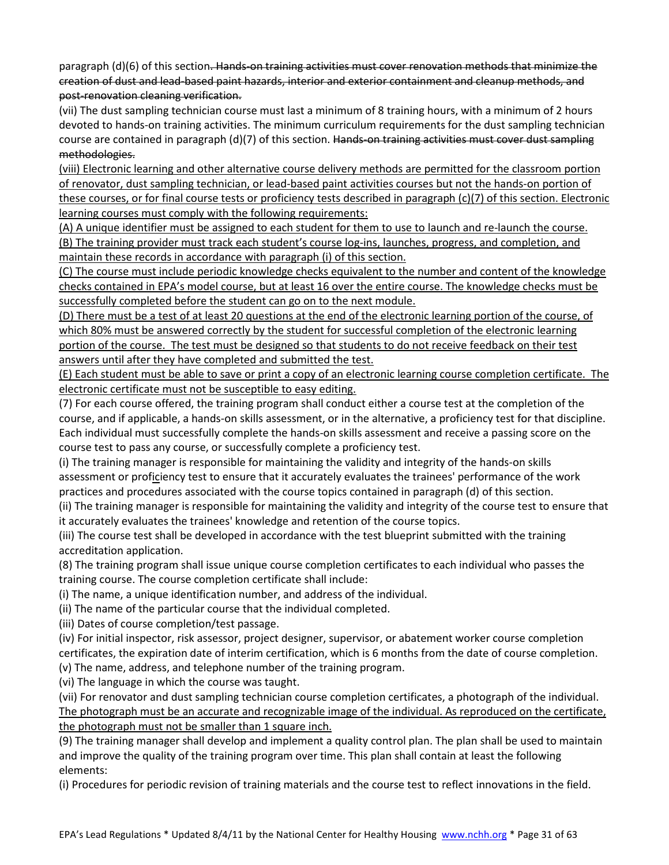paragraph (d)(6) of this section. Hands on training activities must cover renovation methods that minimize the creation of dust and lead-based paint hazards, interior and exterior containment and cleanup methods, and post-renovation cleaning verification.

(vii) The dust sampling technician course must last a minimum of 8 training hours, with a minimum of 2 hours devoted to hands-on training activities. The minimum curriculum requirements for the dust sampling technician course are contained in paragraph (d)(7) of this section. Hands-on training activities must cover dust sampling methodologies.

(viii) Electronic learning and other alternative course delivery methods are permitted for the classroom portion of renovator, dust sampling technician, or lead-based paint activities courses but not the hands-on portion of these courses, or for final course tests or proficiency tests described in paragraph (c)(7) of this section. Electronic learning courses must comply with the following requirements:

(A) A unique identifier must be assigned to each student for them to use to launch and re-launch the course. (B) The training provider must track each student's course log-ins, launches, progress, and completion, and maintain these records in accordance with paragraph (i) of this section.

(C) The course must include periodic knowledge checks equivalent to the number and content of the knowledge checks contained in EPA's model course, but at least 16 over the entire course. The knowledge checks must be successfully completed before the student can go on to the next module.

(D) There must be a test of at least 20 questions at the end of the electronic learning portion of the course, of which 80% must be answered correctly by the student for successful completion of the electronic learning portion of the course. The test must be designed so that students to do not receive feedback on their test answers until after they have completed and submitted the test.

(E) Each student must be able to save or print a copy of an electronic learning course completion certificate. The electronic certificate must not be susceptible to easy editing.

(7) For each course offered, the training program shall conduct either a course test at the completion of the course, and if applicable, a hands-on skills assessment, or in the alternative, a proficiency test for that discipline. Each individual must successfully complete the hands-on skills assessment and receive a passing score on the course test to pass any course, or successfully complete a proficiency test.

(i) The training manager is responsible for maintaining the validity and integrity of the hands-on skills assessment or proficiency test to ensure that it accurately evaluates the trainees' performance of the work practices and procedures associated with the course topics contained in paragraph (d) of this section.

(ii) The training manager is responsible for maintaining the validity and integrity of the course test to ensure that it accurately evaluates the trainees' knowledge and retention of the course topics.

(iii) The course test shall be developed in accordance with the test blueprint submitted with the training accreditation application.

(8) The training program shall issue unique course completion certificates to each individual who passes the training course. The course completion certificate shall include:

(i) The name, a unique identification number, and address of the individual.

(ii) The name of the particular course that the individual completed.

(iii) Dates of course completion/test passage.

(iv) For initial inspector, risk assessor, project designer, supervisor, or abatement worker course completion certificates, the expiration date of interim certification, which is 6 months from the date of course completion.

(v) The name, address, and telephone number of the training program.

(vi) The language in which the course was taught.

(vii) For renovator and dust sampling technician course completion certificates, a photograph of the individual. The photograph must be an accurate and recognizable image of the individual. As reproduced on the certificate, the photograph must not be smaller than 1 square inch.

(9) The training manager shall develop and implement a quality control plan. The plan shall be used to maintain and improve the quality of the training program over time. This plan shall contain at least the following elements:

(i) Procedures for periodic revision of training materials and the course test to reflect innovations in the field.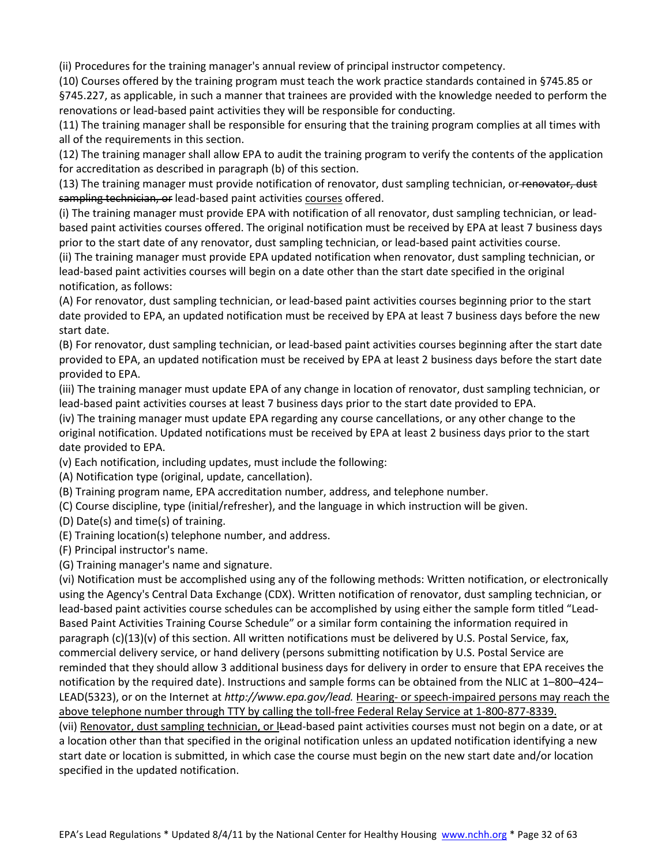(ii) Procedures for the training manager's annual review of principal instructor competency.

(10) Courses offered by the training program must teach the work practice standards contained in §745.85 or §745.227, as applicable, in such a manner that trainees are provided with the knowledge needed to perform the renovations or lead-based paint activities they will be responsible for conducting.

(11) The training manager shall be responsible for ensuring that the training program complies at all times with all of the requirements in this section.

(12) The training manager shall allow EPA to audit the training program to verify the contents of the application for accreditation as described in paragraph (b) of this section.

(13) The training manager must provide notification of renovator, dust sampling technician, or renovator, dust sampling technician, or lead-based paint activities courses offered.

(i) The training manager must provide EPA with notification of all renovator, dust sampling technician, or leadbased paint activities courses offered. The original notification must be received by EPA at least 7 business days prior to the start date of any renovator, dust sampling technician, or lead-based paint activities course.

(ii) The training manager must provide EPA updated notification when renovator, dust sampling technician, or lead-based paint activities courses will begin on a date other than the start date specified in the original notification, as follows:

(A) For renovator, dust sampling technician, or lead-based paint activities courses beginning prior to the start date provided to EPA, an updated notification must be received by EPA at least 7 business days before the new start date.

(B) For renovator, dust sampling technician, or lead-based paint activities courses beginning after the start date provided to EPA, an updated notification must be received by EPA at least 2 business days before the start date provided to EPA.

(iii) The training manager must update EPA of any change in location of renovator, dust sampling technician, or lead-based paint activities courses at least 7 business days prior to the start date provided to EPA.

(iv) The training manager must update EPA regarding any course cancellations, or any other change to the original notification. Updated notifications must be received by EPA at least 2 business days prior to the start date provided to EPA.

(v) Each notification, including updates, must include the following:

(A) Notification type (original, update, cancellation).

(B) Training program name, EPA accreditation number, address, and telephone number.

(C) Course discipline, type (initial/refresher), and the language in which instruction will be given.

(D) Date(s) and time(s) of training.

(E) Training location(s) telephone number, and address.

(F) Principal instructor's name.

(G) Training manager's name and signature.

(vi) Notification must be accomplished using any of the following methods: Written notification, or electronically using the Agency's Central Data Exchange (CDX). Written notification of renovator, dust sampling technician, or lead-based paint activities course schedules can be accomplished by using either the sample form titled "Lead-Based Paint Activities Training Course Schedule" or a similar form containing the information required in paragraph (c)(13)(v) of this section. All written notifications must be delivered by U.S. Postal Service, fax, commercial delivery service, or hand delivery (persons submitting notification by U.S. Postal Service are reminded that they should allow 3 additional business days for delivery in order to ensure that EPA receives the notification by the required date). Instructions and sample forms can be obtained from the NLIC at 1–800–424– LEAD(5323), or on the Internet at *http://www.epa.gov/lead.* Hearing- or speech-impaired persons may reach the above telephone number through TTY by calling the toll-free Federal Relay Service at 1-800-877-8339.

(vii) Renovator, dust sampling technician, or lLead-based paint activities courses must not begin on a date, or at a location other than that specified in the original notification unless an updated notification identifying a new start date or location is submitted, in which case the course must begin on the new start date and/or location specified in the updated notification.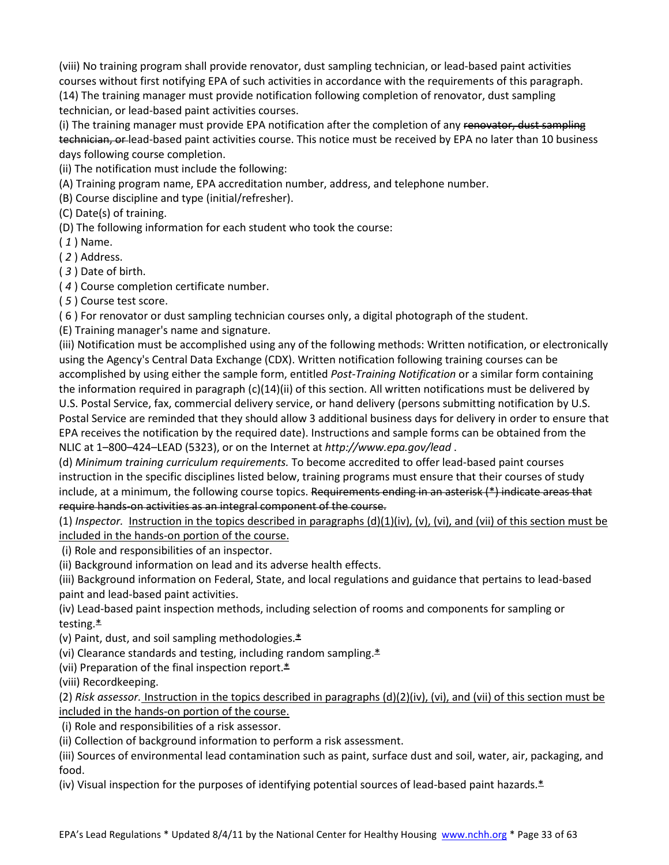(viii) No training program shall provide renovator, dust sampling technician, or lead-based paint activities courses without first notifying EPA of such activities in accordance with the requirements of this paragraph. (14) The training manager must provide notification following completion of renovator, dust sampling technician, or lead-based paint activities courses.

(i) The training manager must provide EPA notification after the completion of any renovator, dust sampling technician, or lead-based paint activities course. This notice must be received by EPA no later than 10 business days following course completion.

(ii) The notification must include the following:

(A) Training program name, EPA accreditation number, address, and telephone number.

(B) Course discipline and type (initial/refresher).

(C) Date(s) of training.

(D) The following information for each student who took the course:

( *1* ) Name.

( *2* ) Address.

( *3* ) Date of birth.

( *4* ) Course completion certificate number.

( *5* ) Course test score.

( 6 ) For renovator or dust sampling technician courses only, a digital photograph of the student.

(E) Training manager's name and signature.

(iii) Notification must be accomplished using any of the following methods: Written notification, or electronically using the Agency's Central Data Exchange (CDX). Written notification following training courses can be accomplished by using either the sample form, entitled *Post-Training Notification* or a similar form containing the information required in paragraph (c)(14)(ii) of this section. All written notifications must be delivered by U.S. Postal Service, fax, commercial delivery service, or hand delivery (persons submitting notification by U.S. Postal Service are reminded that they should allow 3 additional business days for delivery in order to ensure that EPA receives the notification by the required date). Instructions and sample forms can be obtained from the NLIC at 1–800–424–LEAD (5323), or on the Internet at *http://www.epa.gov/lead* .

(d) *Minimum training curriculum requirements.* To become accredited to offer lead-based paint courses instruction in the specific disciplines listed below, training programs must ensure that their courses of study include, at a minimum, the following course topics. Requirements ending in an asterisk (\*) indicate areas that require hands-on activities as an integral component of the course.

(1) *Inspector.* Instruction in the topics described in paragraphs (d)(1)(iv), (v), (vi), and (vii) of this section must be included in the hands-on portion of the course.

(i) Role and responsibilities of an inspector.

(ii) Background information on lead and its adverse health effects.

(iii) Background information on Federal, State, and local regulations and guidance that pertains to lead-based paint and lead-based paint activities.

(iv) Lead-based paint inspection methods, including selection of rooms and components for sampling or testing.\*

(v) Paint, dust, and soil sampling methodologies. $*$ 

(vi) Clearance standards and testing, including random sampling. $*$ 

(vii) Preparation of the final inspection report. $*$ 

(viii) Recordkeeping.

(2) *Risk assessor.* Instruction in the topics described in paragraphs (d)(2)(iv), (vi), and (vii) of this section must be included in the hands-on portion of the course.

(i) Role and responsibilities of a risk assessor.

(ii) Collection of background information to perform a risk assessment.

(iii) Sources of environmental lead contamination such as paint, surface dust and soil, water, air, packaging, and food.

(iv) Visual inspection for the purposes of identifying potential sources of lead-based paint hazards.\*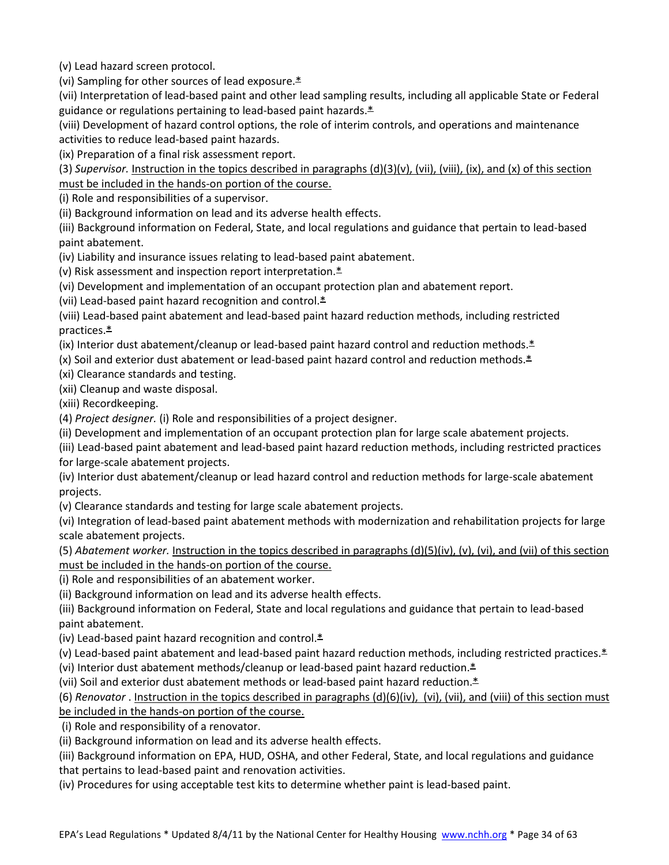(v) Lead hazard screen protocol.

(vi) Sampling for other sources of lead exposure.\*

(vii) Interpretation of lead-based paint and other lead sampling results, including all applicable State or Federal guidance or regulations pertaining to lead-based paint hazards.\*

(viii) Development of hazard control options, the role of interim controls, and operations and maintenance activities to reduce lead-based paint hazards.

(ix) Preparation of a final risk assessment report.

(3) *Supervisor.* Instruction in the topics described in paragraphs (d)(3)(v), (vii), (viii), (ix), and (x) of this section must be included in the hands-on portion of the course.

(i) Role and responsibilities of a supervisor.

(ii) Background information on lead and its adverse health effects.

(iii) Background information on Federal, State, and local regulations and guidance that pertain to lead-based paint abatement.

(iv) Liability and insurance issues relating to lead-based paint abatement.

(v) Risk assessment and inspection report interpretation. $*$ 

(vi) Development and implementation of an occupant protection plan and abatement report.

(vii) Lead-based paint hazard recognition and control.\*

(viii) Lead-based paint abatement and lead-based paint hazard reduction methods, including restricted practices.\*

(ix) Interior dust abatement/cleanup or lead-based paint hazard control and reduction methods. $*$ 

(x) Soil and exterior dust abatement or lead-based paint hazard control and reduction methods.<sup>\*</sup>

(xi) Clearance standards and testing.

(xii) Cleanup and waste disposal.

(xiii) Recordkeeping.

(4) *Project designer.* (i) Role and responsibilities of a project designer.

(ii) Development and implementation of an occupant protection plan for large scale abatement projects.

(iii) Lead-based paint abatement and lead-based paint hazard reduction methods, including restricted practices for large-scale abatement projects.

(iv) Interior dust abatement/cleanup or lead hazard control and reduction methods for large-scale abatement projects.

(v) Clearance standards and testing for large scale abatement projects.

(vi) Integration of lead-based paint abatement methods with modernization and rehabilitation projects for large scale abatement projects.

(5) *Abatement worker.* Instruction in the topics described in paragraphs (d)(5)(iv), (v), (vi), and (vii) of this section must be included in the hands-on portion of the course.

(i) Role and responsibilities of an abatement worker.

(ii) Background information on lead and its adverse health effects.

(iii) Background information on Federal, State and local regulations and guidance that pertain to lead-based paint abatement.

(iv) Lead-based paint hazard recognition and control. $*$ 

(v) Lead-based paint abatement and lead-based paint hazard reduction methods, including restricted practices.\*

(vi) Interior dust abatement methods/cleanup or lead-based paint hazard reduction.\*

(vii) Soil and exterior dust abatement methods or lead-based paint hazard reduction.\*

(6) *Renovator* . Instruction in the topics described in paragraphs (d)(6)(iv), (vi), (vii), and (viii) of this section must be included in the hands-on portion of the course.

(i) Role and responsibility of a renovator.

(ii) Background information on lead and its adverse health effects.

(iii) Background information on EPA, HUD, OSHA, and other Federal, State, and local regulations and guidance that pertains to lead-based paint and renovation activities.

(iv) Procedures for using acceptable test kits to determine whether paint is lead-based paint.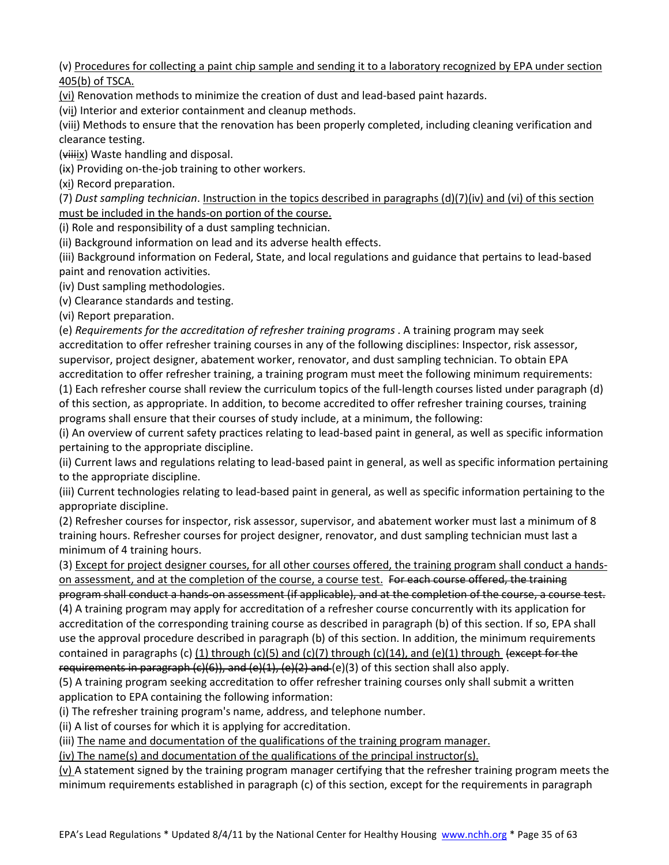(v) Procedures for collecting a paint chip sample and sending it to a laboratory recognized by EPA under section 405(b) of TSCA.

(vi) Renovation methods to minimize the creation of dust and lead-based paint hazards.

(vii) Interior and exterior containment and cleanup methods.

(viii) Methods to ensure that the renovation has been properly completed, including cleaning verification and clearance testing.

(viiiix) Waste handling and disposal.

(ix) Providing on-the-job training to other workers.

(xi) Record preparation.

(7) *Dust sampling technician*. Instruction in the topics described in paragraphs (d)(7)(iv) and (vi) of this section must be included in the hands-on portion of the course.

(i) Role and responsibility of a dust sampling technician.

(ii) Background information on lead and its adverse health effects.

(iii) Background information on Federal, State, and local regulations and guidance that pertains to lead-based paint and renovation activities.

(iv) Dust sampling methodologies.

(v) Clearance standards and testing.

(vi) Report preparation.

(e) *Requirements for the accreditation of refresher training programs* . A training program may seek accreditation to offer refresher training courses in any of the following disciplines: Inspector, risk assessor, supervisor, project designer, abatement worker, renovator, and dust sampling technician. To obtain EPA

accreditation to offer refresher training, a training program must meet the following minimum requirements: (1) Each refresher course shall review the curriculum topics of the full-length courses listed under paragraph (d) of this section, as appropriate. In addition, to become accredited to offer refresher training courses, training programs shall ensure that their courses of study include, at a minimum, the following:

(i) An overview of current safety practices relating to lead-based paint in general, as well as specific information pertaining to the appropriate discipline.

(ii) Current laws and regulations relating to lead-based paint in general, as well as specific information pertaining to the appropriate discipline.

(iii) Current technologies relating to lead-based paint in general, as well as specific information pertaining to the appropriate discipline.

(2) Refresher courses for inspector, risk assessor, supervisor, and abatement worker must last a minimum of 8 training hours. Refresher courses for project designer, renovator, and dust sampling technician must last a minimum of 4 training hours.

(3) Except for project designer courses, for all other courses offered, the training program shall conduct a handson assessment, and at the completion of the course, a course test. For each course offered, the training

program shall conduct a hands-on assessment (if applicable), and at the completion of the course, a course test. (4) A training program may apply for accreditation of a refresher course concurrently with its application for accreditation of the corresponding training course as described in paragraph (b) of this section. If so, EPA shall use the approval procedure described in paragraph (b) of this section. In addition, the minimum requirements contained in paragraphs (c)  $(1)$  through  $(c)(5)$  and  $(c)(7)$  through  $(c)(14)$ , and  $(e)(1)$  through (except for the requirements in paragraph  $(c)(6)$ , and  $(c)(1)$ ,  $(c)(2)$  and  $(c)(3)$  of this section shall also apply.

(5) A training program seeking accreditation to offer refresher training courses only shall submit a written application to EPA containing the following information:

(i) The refresher training program's name, address, and telephone number.

(ii) A list of courses for which it is applying for accreditation.

(iii) The name and documentation of the qualifications of the training program manager.

(iv) The name(s) and documentation of the qualifications of the principal instructor(s).

(v) A statement signed by the training program manager certifying that the refresher training program meets the minimum requirements established in paragraph (c) of this section, except for the requirements in paragraph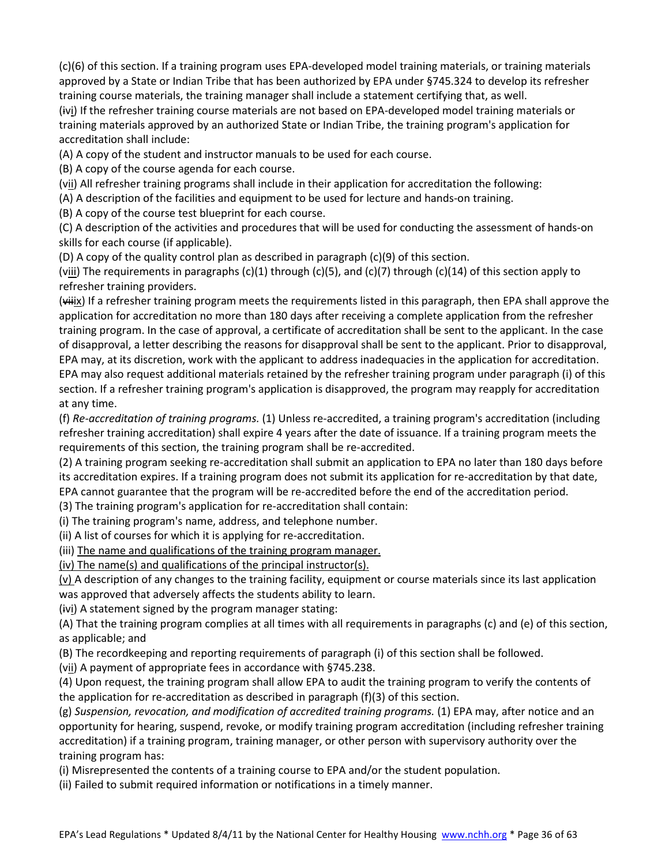(c)(6) of this section. If a training program uses EPA-developed model training materials, or training materials approved by a State or Indian Tribe that has been authorized by EPA under §745.324 to develop its refresher training course materials, the training manager shall include a statement certifying that, as well.

(ivi) If the refresher training course materials are not based on EPA-developed model training materials or training materials approved by an authorized State or Indian Tribe, the training program's application for accreditation shall include:

(A) A copy of the student and instructor manuals to be used for each course.

(B) A copy of the course agenda for each course.

(vii) All refresher training programs shall include in their application for accreditation the following:

(A) A description of the facilities and equipment to be used for lecture and hands-on training.

(B) A copy of the course test blueprint for each course.

(C) A description of the activities and procedures that will be used for conducting the assessment of hands-on skills for each course (if applicable).

(D) A copy of the quality control plan as described in paragraph (c)(9) of this section.

(viii) The requirements in paragraphs  $(c)(1)$  through  $(c)(5)$ , and  $(c)(7)$  through  $(c)(14)$  of this section apply to refresher training providers.

(viiix) If a refresher training program meets the requirements listed in this paragraph, then EPA shall approve the application for accreditation no more than 180 days after receiving a complete application from the refresher training program. In the case of approval, a certificate of accreditation shall be sent to the applicant. In the case of disapproval, a letter describing the reasons for disapproval shall be sent to the applicant. Prior to disapproval, EPA may, at its discretion, work with the applicant to address inadequacies in the application for accreditation. EPA may also request additional materials retained by the refresher training program under paragraph (i) of this section. If a refresher training program's application is disapproved, the program may reapply for accreditation at any time.

(f) *Re-accreditation of training programs.* (1) Unless re-accredited, a training program's accreditation (including refresher training accreditation) shall expire 4 years after the date of issuance. If a training program meets the requirements of this section, the training program shall be re-accredited.

(2) A training program seeking re-accreditation shall submit an application to EPA no later than 180 days before its accreditation expires. If a training program does not submit its application for re-accreditation by that date, EPA cannot guarantee that the program will be re-accredited before the end of the accreditation period.

(3) The training program's application for re-accreditation shall contain:

(i) The training program's name, address, and telephone number.

(ii) A list of courses for which it is applying for re-accreditation.

(iii) The name and qualifications of the training program manager.

(iv) The name(s) and qualifications of the principal instructor(s).

(v) A description of any changes to the training facility, equipment or course materials since its last application was approved that adversely affects the students ability to learn.

(ivi) A statement signed by the program manager stating:

(A) That the training program complies at all times with all requirements in paragraphs (c) and (e) of this section, as applicable; and

(B) The recordkeeping and reporting requirements of paragraph (i) of this section shall be followed.

(vii) A payment of appropriate fees in accordance with §745.238.

(4) Upon request, the training program shall allow EPA to audit the training program to verify the contents of the application for re-accreditation as described in paragraph (f)(3) of this section.

(g) *Suspension, revocation, and modification of accredited training programs.* (1) EPA may, after notice and an opportunity for hearing, suspend, revoke, or modify training program accreditation (including refresher training accreditation) if a training program, training manager, or other person with supervisory authority over the training program has:

(i) Misrepresented the contents of a training course to EPA and/or the student population.

(ii) Failed to submit required information or notifications in a timely manner.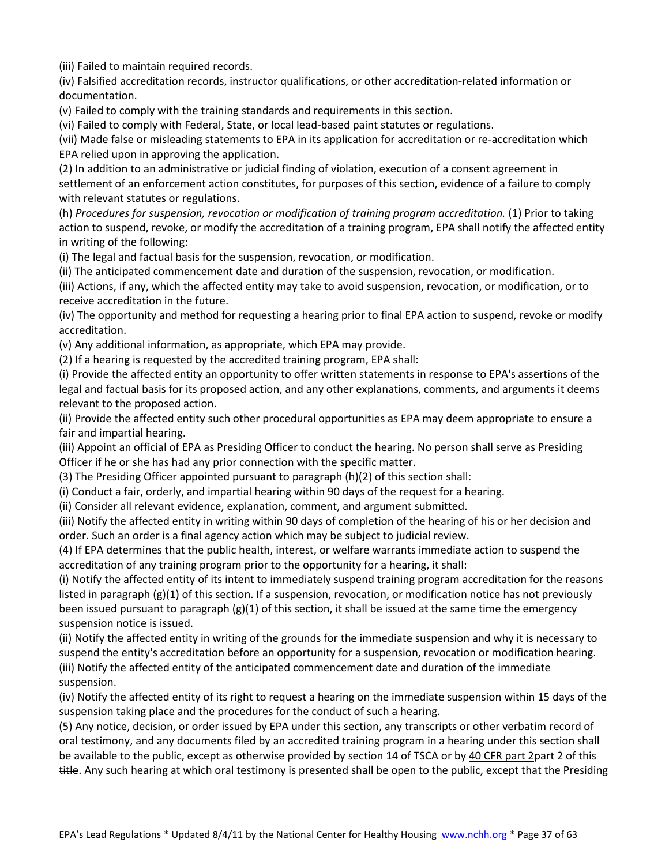(iii) Failed to maintain required records.

(iv) Falsified accreditation records, instructor qualifications, or other accreditation-related information or documentation.

(v) Failed to comply with the training standards and requirements in this section.

(vi) Failed to comply with Federal, State, or local lead-based paint statutes or regulations.

(vii) Made false or misleading statements to EPA in its application for accreditation or re-accreditation which EPA relied upon in approving the application.

(2) In addition to an administrative or judicial finding of violation, execution of a consent agreement in settlement of an enforcement action constitutes, for purposes of this section, evidence of a failure to comply with relevant statutes or regulations.

(h) *Procedures for suspension, revocation or modification of training program accreditation.* (1) Prior to taking action to suspend, revoke, or modify the accreditation of a training program, EPA shall notify the affected entity in writing of the following:

(i) The legal and factual basis for the suspension, revocation, or modification.

(ii) The anticipated commencement date and duration of the suspension, revocation, or modification.

(iii) Actions, if any, which the affected entity may take to avoid suspension, revocation, or modification, or to receive accreditation in the future.

(iv) The opportunity and method for requesting a hearing prior to final EPA action to suspend, revoke or modify accreditation.

(v) Any additional information, as appropriate, which EPA may provide.

(2) If a hearing is requested by the accredited training program, EPA shall:

(i) Provide the affected entity an opportunity to offer written statements in response to EPA's assertions of the legal and factual basis for its proposed action, and any other explanations, comments, and arguments it deems relevant to the proposed action.

(ii) Provide the affected entity such other procedural opportunities as EPA may deem appropriate to ensure a fair and impartial hearing.

(iii) Appoint an official of EPA as Presiding Officer to conduct the hearing. No person shall serve as Presiding Officer if he or she has had any prior connection with the specific matter.

(3) The Presiding Officer appointed pursuant to paragraph (h)(2) of this section shall:

(i) Conduct a fair, orderly, and impartial hearing within 90 days of the request for a hearing.

(ii) Consider all relevant evidence, explanation, comment, and argument submitted.

(iii) Notify the affected entity in writing within 90 days of completion of the hearing of his or her decision and order. Such an order is a final agency action which may be subject to judicial review.

(4) If EPA determines that the public health, interest, or welfare warrants immediate action to suspend the accreditation of any training program prior to the opportunity for a hearing, it shall:

(i) Notify the affected entity of its intent to immediately suspend training program accreditation for the reasons listed in paragraph (g)(1) of this section. If a suspension, revocation, or modification notice has not previously been issued pursuant to paragraph (g)(1) of this section, it shall be issued at the same time the emergency suspension notice is issued.

(ii) Notify the affected entity in writing of the grounds for the immediate suspension and why it is necessary to suspend the entity's accreditation before an opportunity for a suspension, revocation or modification hearing. (iii) Notify the affected entity of the anticipated commencement date and duration of the immediate suspension.

(iv) Notify the affected entity of its right to request a hearing on the immediate suspension within 15 days of the suspension taking place and the procedures for the conduct of such a hearing.

(5) Any notice, decision, or order issued by EPA under this section, any transcripts or other verbatim record of oral testimony, and any documents filed by an accredited training program in a hearing under this section shall be available to the public, except as otherwise provided by section 14 of TSCA or by 40 CFR part 2 part 2 of this title. Any such hearing at which oral testimony is presented shall be open to the public, except that the Presiding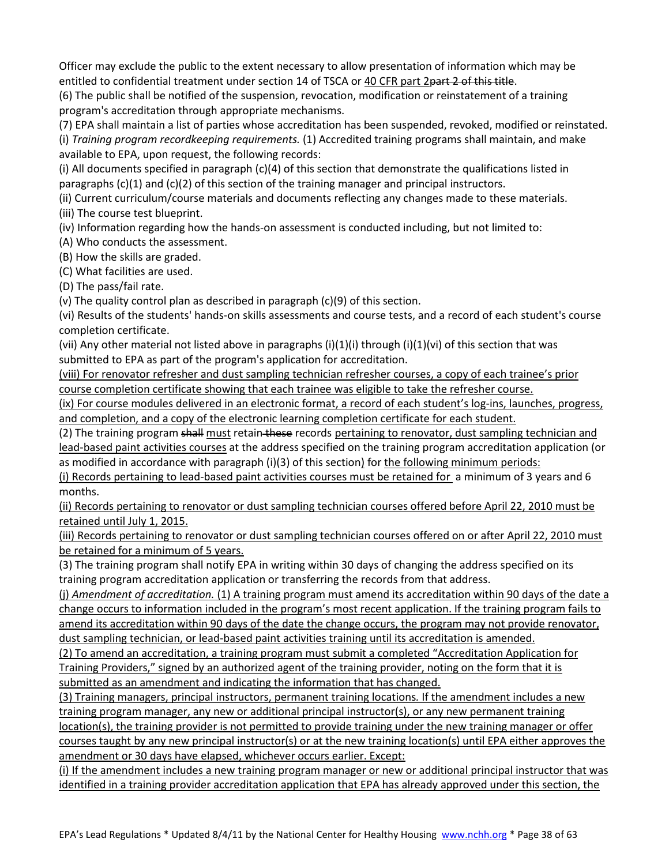Officer may exclude the public to the extent necessary to allow presentation of information which may be entitled to confidential treatment under section 14 of TSCA or 40 CFR part 2 part 2 of this title.

(6) The public shall be notified of the suspension, revocation, modification or reinstatement of a training program's accreditation through appropriate mechanisms.

(7) EPA shall maintain a list of parties whose accreditation has been suspended, revoked, modified or reinstated. (i) *Training program recordkeeping requirements.* (1) Accredited training programs shall maintain, and make

available to EPA, upon request, the following records:

(i) All documents specified in paragraph (c)(4) of this section that demonstrate the qualifications listed in paragraphs  $(c)(1)$  and  $(c)(2)$  of this section of the training manager and principal instructors.

(ii) Current curriculum/course materials and documents reflecting any changes made to these materials.

(iii) The course test blueprint.

(iv) Information regarding how the hands-on assessment is conducted including, but not limited to:

(A) Who conducts the assessment.

(B) How the skills are graded.

(C) What facilities are used.

(D) The pass/fail rate.

(v) The quality control plan as described in paragraph (c)(9) of this section.

(vi) Results of the students' hands-on skills assessments and course tests, and a record of each student's course completion certificate.

(vii) Any other material not listed above in paragraphs (i)(1)(i) through (i)(1)(vi) of this section that was submitted to EPA as part of the program's application for accreditation.

(viii) For renovator refresher and dust sampling technician refresher courses, a copy of each trainee's prior course completion certificate showing that each trainee was eligible to take the refresher course.

(ix) For course modules delivered in an electronic format, a record of each student's log-ins, launches, progress, and completion, and a copy of the electronic learning completion certificate for each student.

(2) The training program shall must retain these records pertaining to renovator, dust sampling technician and lead-based paint activities courses at the address specified on the training program accreditation application (or as modified in accordance with paragraph (i)(3) of this section) for the following minimum periods:

(i) Records pertaining to lead-based paint activities courses must be retained for a minimum of 3 years and 6 months.

(ii) Records pertaining to renovator or dust sampling technician courses offered before April 22, 2010 must be retained until July 1, 2015.

(iii) Records pertaining to renovator or dust sampling technician courses offered on or after April 22, 2010 must be retained for a minimum of 5 years.

(3) The training program shall notify EPA in writing within 30 days of changing the address specified on its training program accreditation application or transferring the records from that address.

(j) *Amendment of accreditation.* (1) A training program must amend its accreditation within 90 days of the date a change occurs to information included in the program's most recent application. If the training program fails to amend its accreditation within 90 days of the date the change occurs, the program may not provide renovator, dust sampling technician, or lead-based paint activities training until its accreditation is amended.

(2) To amend an accreditation, a training program must submit a completed "Accreditation Application for Training Providers," signed by an authorized agent of the training provider, noting on the form that it is submitted as an amendment and indicating the information that has changed.

(3) Training managers, principal instructors, permanent training locations*.* If the amendment includes a new training program manager, any new or additional principal instructor(s), or any new permanent training location(s), the training provider is not permitted to provide training under the new training manager or offer courses taught by any new principal instructor(s) or at the new training location(s) until EPA either approves the amendment or 30 days have elapsed, whichever occurs earlier. Except:

(i) If the amendment includes a new training program manager or new or additional principal instructor that was identified in a training provider accreditation application that EPA has already approved under this section, the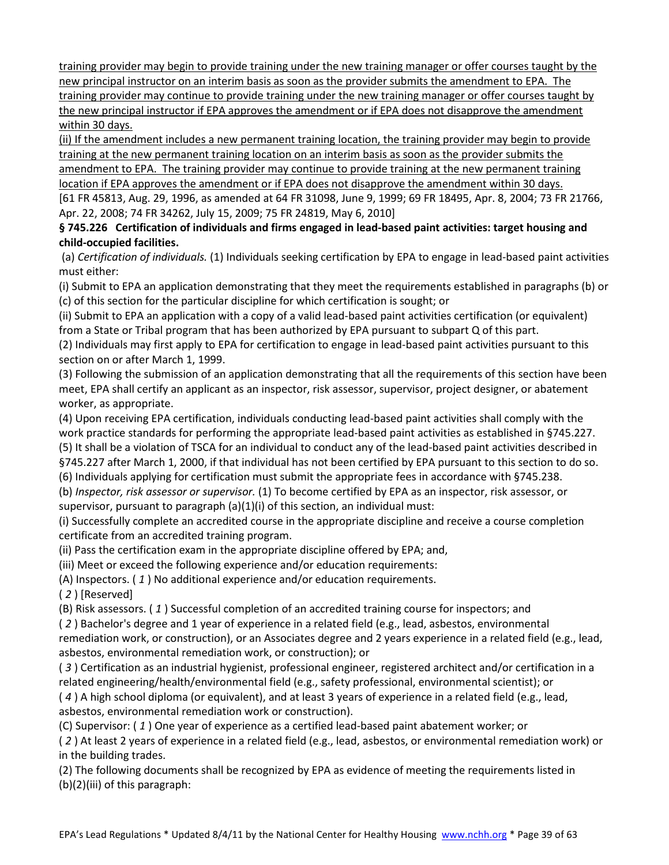training provider may begin to provide training under the new training manager or offer courses taught by the new principal instructor on an interim basis as soon as the provider submits the amendment to EPA. The training provider may continue to provide training under the new training manager or offer courses taught by the new principal instructor if EPA approves the amendment or if EPA does not disapprove the amendment within 30 days.

(ii) If the amendment includes a new permanent training location, the training provider may begin to provide training at the new permanent training location on an interim basis as soon as the provider submits the amendment to EPA. The training provider may continue to provide training at the new permanent training location if EPA approves the amendment or if EPA does not disapprove the amendment within 30 days.

[61 FR 45813, Aug. 29, 1996, as amended at 64 FR 31098, June 9, 1999; 69 FR 18495, Apr. 8, 2004; 73 FR 21766, Apr. 22, 2008; 74 FR 34262, July 15, 2009; 75 FR 24819, May 6, 2010]

<span id="page-38-0"></span>**§ 745.226 Certification of individuals and firms engaged in lead-based paint activities: target housing and child-occupied facilities.**

(a) *Certification of individuals.* (1) Individuals seeking certification by EPA to engage in lead-based paint activities must either:

(i) Submit to EPA an application demonstrating that they meet the requirements established in paragraphs (b) or (c) of this section for the particular discipline for which certification is sought; or

(ii) Submit to EPA an application with a copy of a valid lead-based paint activities certification (or equivalent) from a State or Tribal program that has been authorized by EPA pursuant to subpart Q of this part.

(2) Individuals may first apply to EPA for certification to engage in lead-based paint activities pursuant to this section on or after March 1, 1999.

(3) Following the submission of an application demonstrating that all the requirements of this section have been meet, EPA shall certify an applicant as an inspector, risk assessor, supervisor, project designer, or abatement worker, as appropriate.

(4) Upon receiving EPA certification, individuals conducting lead-based paint activities shall comply with the work practice standards for performing the appropriate lead-based paint activities as established in §745.227. (5) It shall be a violation of TSCA for an individual to conduct any of the lead-based paint activities described in §745.227 after March 1, 2000, if that individual has not been certified by EPA pursuant to this section to do so.

(6) Individuals applying for certification must submit the appropriate fees in accordance with §745.238.

(b) *Inspector, risk assessor or supervisor.* (1) To become certified by EPA as an inspector, risk assessor, or supervisor, pursuant to paragraph (a)(1)(i) of this section, an individual must:

(i) Successfully complete an accredited course in the appropriate discipline and receive a course completion certificate from an accredited training program.

(ii) Pass the certification exam in the appropriate discipline offered by EPA; and,

(iii) Meet or exceed the following experience and/or education requirements:

(A) Inspectors. ( *1* ) No additional experience and/or education requirements.

( *2* ) [Reserved]

(B) Risk assessors. ( *1* ) Successful completion of an accredited training course for inspectors; and

( *2* ) Bachelor's degree and 1 year of experience in a related field (e.g., lead, asbestos, environmental remediation work, or construction), or an Associates degree and 2 years experience in a related field (e.g., lead, asbestos, environmental remediation work, or construction); or

( *3* ) Certification as an industrial hygienist, professional engineer, registered architect and/or certification in a related engineering/health/environmental field (e.g., safety professional, environmental scientist); or

( *4* ) A high school diploma (or equivalent), and at least 3 years of experience in a related field (e.g., lead, asbestos, environmental remediation work or construction).

(C) Supervisor: ( *1* ) One year of experience as a certified lead-based paint abatement worker; or

( *2* ) At least 2 years of experience in a related field (e.g., lead, asbestos, or environmental remediation work) or in the building trades.

(2) The following documents shall be recognized by EPA as evidence of meeting the requirements listed in (b)(2)(iii) of this paragraph: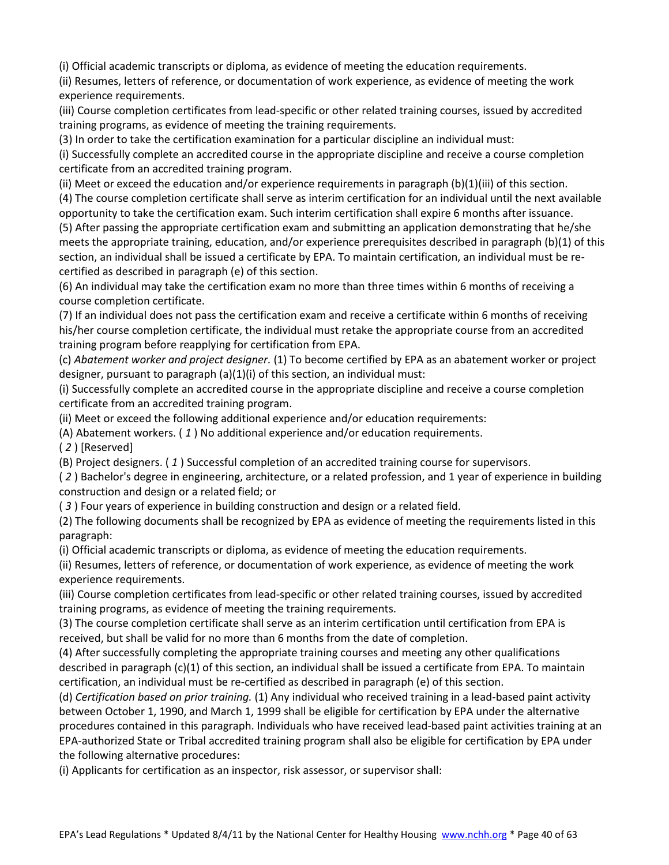(i) Official academic transcripts or diploma, as evidence of meeting the education requirements.

(ii) Resumes, letters of reference, or documentation of work experience, as evidence of meeting the work experience requirements.

(iii) Course completion certificates from lead-specific or other related training courses, issued by accredited training programs, as evidence of meeting the training requirements.

(3) In order to take the certification examination for a particular discipline an individual must:

(i) Successfully complete an accredited course in the appropriate discipline and receive a course completion certificate from an accredited training program.

(ii) Meet or exceed the education and/or experience requirements in paragraph (b)(1)(iii) of this section.

(4) The course completion certificate shall serve as interim certification for an individual until the next available opportunity to take the certification exam. Such interim certification shall expire 6 months after issuance.

(5) After passing the appropriate certification exam and submitting an application demonstrating that he/she meets the appropriate training, education, and/or experience prerequisites described in paragraph (b)(1) of this section, an individual shall be issued a certificate by EPA. To maintain certification, an individual must be recertified as described in paragraph (e) of this section.

(6) An individual may take the certification exam no more than three times within 6 months of receiving a course completion certificate.

(7) If an individual does not pass the certification exam and receive a certificate within 6 months of receiving his/her course completion certificate, the individual must retake the appropriate course from an accredited training program before reapplying for certification from EPA.

(c) *Abatement worker and project designer.* (1) To become certified by EPA as an abatement worker or project designer, pursuant to paragraph (a)(1)(i) of this section, an individual must:

(i) Successfully complete an accredited course in the appropriate discipline and receive a course completion certificate from an accredited training program.

(ii) Meet or exceed the following additional experience and/or education requirements:

(A) Abatement workers. ( *1* ) No additional experience and/or education requirements.

( *2* ) [Reserved]

(B) Project designers. ( *1* ) Successful completion of an accredited training course for supervisors.

( *2* ) Bachelor's degree in engineering, architecture, or a related profession, and 1 year of experience in building construction and design or a related field; or

( *3* ) Four years of experience in building construction and design or a related field.

(2) The following documents shall be recognized by EPA as evidence of meeting the requirements listed in this paragraph:

(i) Official academic transcripts or diploma, as evidence of meeting the education requirements.

(ii) Resumes, letters of reference, or documentation of work experience, as evidence of meeting the work experience requirements.

(iii) Course completion certificates from lead-specific or other related training courses, issued by accredited training programs, as evidence of meeting the training requirements.

(3) The course completion certificate shall serve as an interim certification until certification from EPA is received, but shall be valid for no more than 6 months from the date of completion.

(4) After successfully completing the appropriate training courses and meeting any other qualifications described in paragraph (c)(1) of this section, an individual shall be issued a certificate from EPA. To maintain certification, an individual must be re-certified as described in paragraph (e) of this section.

(d) *Certification based on prior training.* (1) Any individual who received training in a lead-based paint activity between October 1, 1990, and March 1, 1999 shall be eligible for certification by EPA under the alternative procedures contained in this paragraph. Individuals who have received lead-based paint activities training at an EPA-authorized State or Tribal accredited training program shall also be eligible for certification by EPA under the following alternative procedures:

(i) Applicants for certification as an inspector, risk assessor, or supervisor shall: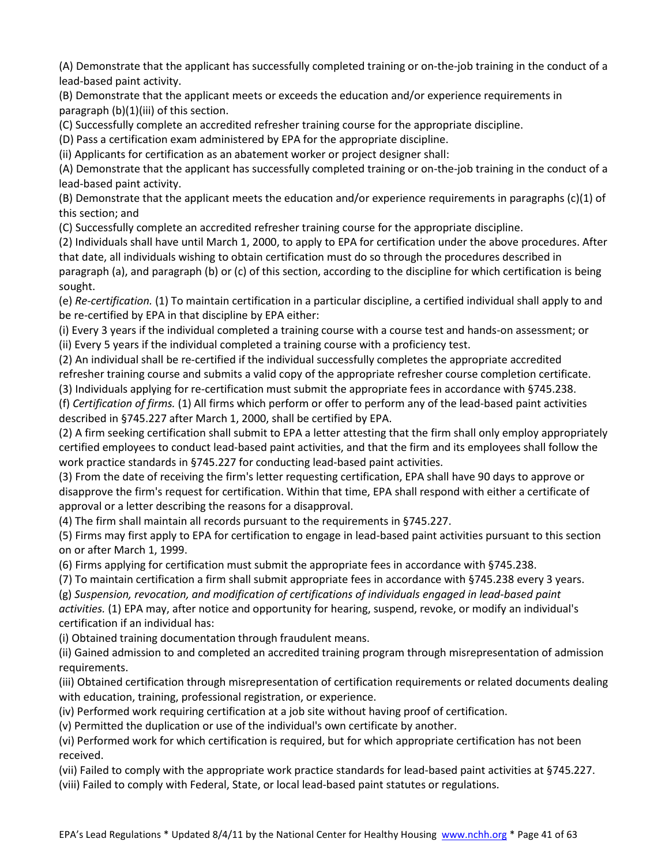(A) Demonstrate that the applicant has successfully completed training or on-the-job training in the conduct of a lead-based paint activity.

(B) Demonstrate that the applicant meets or exceeds the education and/or experience requirements in paragraph (b)(1)(iii) of this section.

(C) Successfully complete an accredited refresher training course for the appropriate discipline.

(D) Pass a certification exam administered by EPA for the appropriate discipline.

(ii) Applicants for certification as an abatement worker or project designer shall:

(A) Demonstrate that the applicant has successfully completed training or on-the-job training in the conduct of a lead-based paint activity.

(B) Demonstrate that the applicant meets the education and/or experience requirements in paragraphs (c)(1) of this section; and

(C) Successfully complete an accredited refresher training course for the appropriate discipline.

(2) Individuals shall have until March 1, 2000, to apply to EPA for certification under the above procedures. After that date, all individuals wishing to obtain certification must do so through the procedures described in paragraph (a), and paragraph (b) or (c) of this section, according to the discipline for which certification is being sought.

(e) *Re-certification.* (1) To maintain certification in a particular discipline, a certified individual shall apply to and be re-certified by EPA in that discipline by EPA either:

(i) Every 3 years if the individual completed a training course with a course test and hands-on assessment; or (ii) Every 5 years if the individual completed a training course with a proficiency test.

(2) An individual shall be re-certified if the individual successfully completes the appropriate accredited

refresher training course and submits a valid copy of the appropriate refresher course completion certificate.

(3) Individuals applying for re-certification must submit the appropriate fees in accordance with §745.238.

(f) *Certification of firms.* (1) All firms which perform or offer to perform any of the lead-based paint activities described in §745.227 after March 1, 2000, shall be certified by EPA.

(2) A firm seeking certification shall submit to EPA a letter attesting that the firm shall only employ appropriately certified employees to conduct lead-based paint activities, and that the firm and its employees shall follow the work practice standards in §745.227 for conducting lead-based paint activities.

(3) From the date of receiving the firm's letter requesting certification, EPA shall have 90 days to approve or disapprove the firm's request for certification. Within that time, EPA shall respond with either a certificate of approval or a letter describing the reasons for a disapproval.

(4) The firm shall maintain all records pursuant to the requirements in §745.227.

(5) Firms may first apply to EPA for certification to engage in lead-based paint activities pursuant to this section on or after March 1, 1999.

(6) Firms applying for certification must submit the appropriate fees in accordance with §745.238.

(7) To maintain certification a firm shall submit appropriate fees in accordance with §745.238 every 3 years.

(g) *Suspension, revocation, and modification of certifications of individuals engaged in lead-based paint activities.* (1) EPA may, after notice and opportunity for hearing, suspend, revoke, or modify an individual's certification if an individual has:

(i) Obtained training documentation through fraudulent means.

(ii) Gained admission to and completed an accredited training program through misrepresentation of admission requirements.

(iii) Obtained certification through misrepresentation of certification requirements or related documents dealing with education, training, professional registration, or experience.

(iv) Performed work requiring certification at a job site without having proof of certification.

(v) Permitted the duplication or use of the individual's own certificate by another.

(vi) Performed work for which certification is required, but for which appropriate certification has not been received.

(vii) Failed to comply with the appropriate work practice standards for lead-based paint activities at §745.227. (viii) Failed to comply with Federal, State, or local lead-based paint statutes or regulations.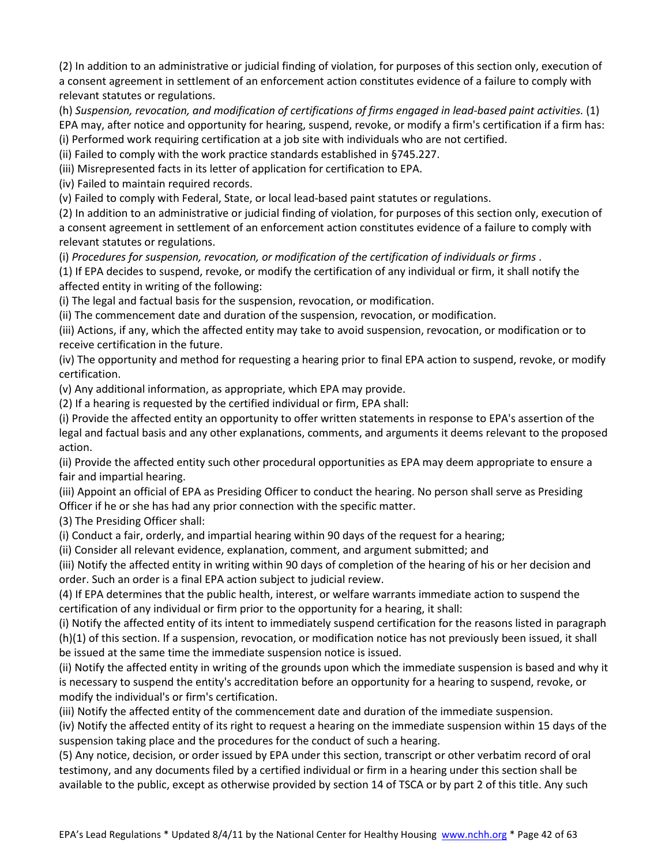(2) In addition to an administrative or judicial finding of violation, for purposes of this section only, execution of a consent agreement in settlement of an enforcement action constitutes evidence of a failure to comply with relevant statutes or regulations.

(h) *Suspension, revocation, and modification of certifications of firms engaged in lead-based paint activities.* (1) EPA may, after notice and opportunity for hearing, suspend, revoke, or modify a firm's certification if a firm has: (i) Performed work requiring certification at a job site with individuals who are not certified.

(ii) Failed to comply with the work practice standards established in §745.227.

(iii) Misrepresented facts in its letter of application for certification to EPA.

(iv) Failed to maintain required records.

(v) Failed to comply with Federal, State, or local lead-based paint statutes or regulations.

(2) In addition to an administrative or judicial finding of violation, for purposes of this section only, execution of a consent agreement in settlement of an enforcement action constitutes evidence of a failure to comply with relevant statutes or regulations.

(i) *Procedures for suspension, revocation, or modification of the certification of individuals or firms* .

(1) If EPA decides to suspend, revoke, or modify the certification of any individual or firm, it shall notify the affected entity in writing of the following:

(i) The legal and factual basis for the suspension, revocation, or modification.

(ii) The commencement date and duration of the suspension, revocation, or modification.

(iii) Actions, if any, which the affected entity may take to avoid suspension, revocation, or modification or to receive certification in the future.

(iv) The opportunity and method for requesting a hearing prior to final EPA action to suspend, revoke, or modify certification.

(v) Any additional information, as appropriate, which EPA may provide.

(2) If a hearing is requested by the certified individual or firm, EPA shall:

(i) Provide the affected entity an opportunity to offer written statements in response to EPA's assertion of the legal and factual basis and any other explanations, comments, and arguments it deems relevant to the proposed action.

(ii) Provide the affected entity such other procedural opportunities as EPA may deem appropriate to ensure a fair and impartial hearing.

(iii) Appoint an official of EPA as Presiding Officer to conduct the hearing. No person shall serve as Presiding Officer if he or she has had any prior connection with the specific matter.

(3) The Presiding Officer shall:

(i) Conduct a fair, orderly, and impartial hearing within 90 days of the request for a hearing;

(ii) Consider all relevant evidence, explanation, comment, and argument submitted; and

(iii) Notify the affected entity in writing within 90 days of completion of the hearing of his or her decision and order. Such an order is a final EPA action subject to judicial review.

(4) If EPA determines that the public health, interest, or welfare warrants immediate action to suspend the certification of any individual or firm prior to the opportunity for a hearing, it shall:

(i) Notify the affected entity of its intent to immediately suspend certification for the reasons listed in paragraph (h)(1) of this section. If a suspension, revocation, or modification notice has not previously been issued, it shall be issued at the same time the immediate suspension notice is issued.

(ii) Notify the affected entity in writing of the grounds upon which the immediate suspension is based and why it is necessary to suspend the entity's accreditation before an opportunity for a hearing to suspend, revoke, or modify the individual's or firm's certification.

(iii) Notify the affected entity of the commencement date and duration of the immediate suspension.

(iv) Notify the affected entity of its right to request a hearing on the immediate suspension within 15 days of the suspension taking place and the procedures for the conduct of such a hearing.

(5) Any notice, decision, or order issued by EPA under this section, transcript or other verbatim record of oral testimony, and any documents filed by a certified individual or firm in a hearing under this section shall be available to the public, except as otherwise provided by section 14 of TSCA or by part 2 of this title. Any such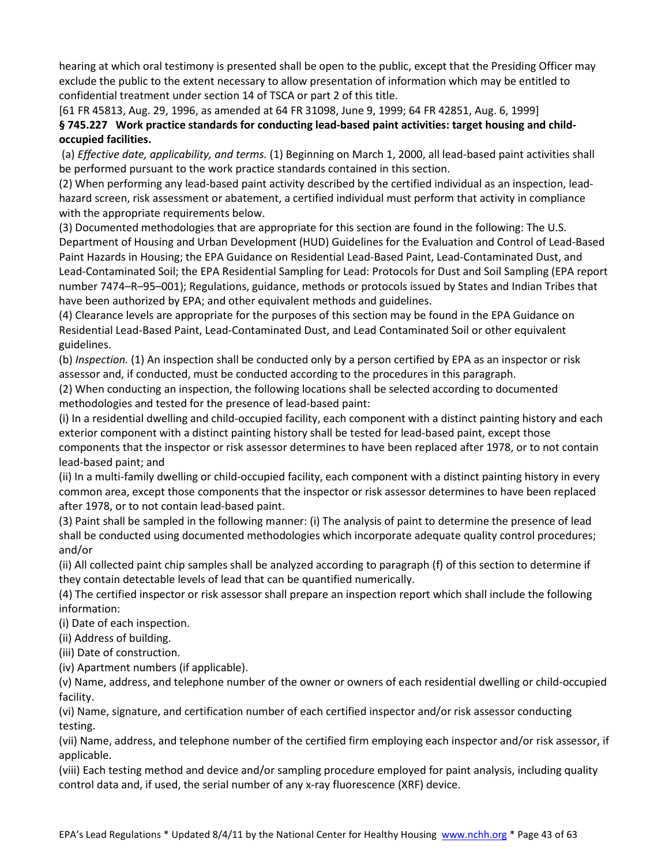hearing at which oral testimony is presented shall be open to the public, except that the Presiding Officer may exclude the public to the extent necessary to allow presentation of information which may be entitled to confidential treatment under section 14 of TSCA or part 2 of this title.

<span id="page-42-0"></span>[61 FR 45813, Aug. 29, 1996, as amended at 64 FR 31098, June 9, 1999; 64 FR 42851, Aug. 6, 1999] **§ 745.227 Work practice standards for conducting lead-based paint activities: target housing and childoccupied facilities.**

(a) *Effective date, applicability, and terms.* (1) Beginning on March 1, 2000, all lead-based paint activities shall be performed pursuant to the work practice standards contained in this section.

(2) When performing any lead-based paint activity described by the certified individual as an inspection, leadhazard screen, risk assessment or abatement, a certified individual must perform that activity in compliance with the appropriate requirements below.

(3) Documented methodologies that are appropriate for this section are found in the following: The U.S. Department of Housing and Urban Development (HUD) Guidelines for the Evaluation and Control of Lead-Based Paint Hazards in Housing; the EPA Guidance on Residential Lead-Based Paint, Lead-Contaminated Dust, and Lead-Contaminated Soil; the EPA Residential Sampling for Lead: Protocols for Dust and Soil Sampling (EPA report number 7474–R–95–001); Regulations, guidance, methods or protocols issued by States and Indian Tribes that have been authorized by EPA; and other equivalent methods and guidelines.

(4) Clearance levels are appropriate for the purposes of this section may be found in the EPA Guidance on Residential Lead-Based Paint, Lead-Contaminated Dust, and Lead Contaminated Soil or other equivalent guidelines.

(b) *Inspection.* (1) An inspection shall be conducted only by a person certified by EPA as an inspector or risk assessor and, if conducted, must be conducted according to the procedures in this paragraph.

(2) When conducting an inspection, the following locations shall be selected according to documented methodologies and tested for the presence of lead-based paint:

(i) In a residential dwelling and child-occupied facility, each component with a distinct painting history and each exterior component with a distinct painting history shall be tested for lead-based paint, except those components that the inspector or risk assessor determines to have been replaced after 1978, or to not contain lead-based paint; and

(ii) In a multi-family dwelling or child-occupied facility, each component with a distinct painting history in every common area, except those components that the inspector or risk assessor determines to have been replaced after 1978, or to not contain lead-based paint.

(3) Paint shall be sampled in the following manner: (i) The analysis of paint to determine the presence of lead shall be conducted using documented methodologies which incorporate adequate quality control procedures; and/or

(ii) All collected paint chip samples shall be analyzed according to paragraph (f) of this section to determine if they contain detectable levels of lead that can be quantified numerically.

(4) The certified inspector or risk assessor shall prepare an inspection report which shall include the following information:

(i) Date of each inspection.

(ii) Address of building.

(iii) Date of construction.

(iv) Apartment numbers (if applicable).

(v) Name, address, and telephone number of the owner or owners of each residential dwelling or child-occupied facility.

(vi) Name, signature, and certification number of each certified inspector and/or risk assessor conducting testing.

(vii) Name, address, and telephone number of the certified firm employing each inspector and/or risk assessor, if applicable.

(viii) Each testing method and device and/or sampling procedure employed for paint analysis, including quality control data and, if used, the serial number of any x-ray fluorescence (XRF) device.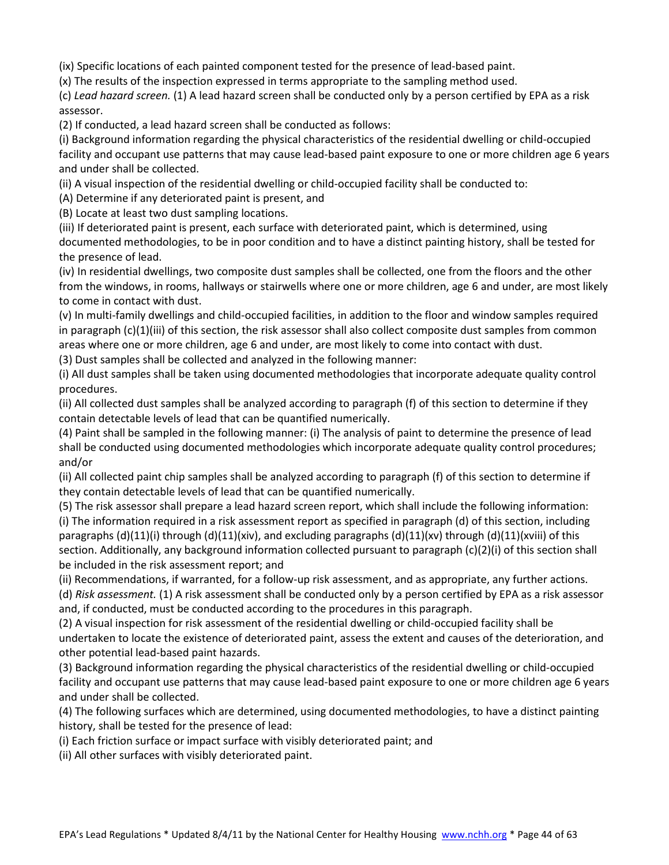(ix) Specific locations of each painted component tested for the presence of lead-based paint.

(x) The results of the inspection expressed in terms appropriate to the sampling method used.

(c) *Lead hazard screen.* (1) A lead hazard screen shall be conducted only by a person certified by EPA as a risk assessor.

(2) If conducted, a lead hazard screen shall be conducted as follows:

(i) Background information regarding the physical characteristics of the residential dwelling or child-occupied facility and occupant use patterns that may cause lead-based paint exposure to one or more children age 6 years and under shall be collected.

(ii) A visual inspection of the residential dwelling or child-occupied facility shall be conducted to:

(A) Determine if any deteriorated paint is present, and

(B) Locate at least two dust sampling locations.

(iii) If deteriorated paint is present, each surface with deteriorated paint, which is determined, using documented methodologies, to be in poor condition and to have a distinct painting history, shall be tested for the presence of lead.

(iv) In residential dwellings, two composite dust samples shall be collected, one from the floors and the other from the windows, in rooms, hallways or stairwells where one or more children, age 6 and under, are most likely to come in contact with dust.

(v) In multi-family dwellings and child-occupied facilities, in addition to the floor and window samples required in paragraph (c)(1)(iii) of this section, the risk assessor shall also collect composite dust samples from common areas where one or more children, age 6 and under, are most likely to come into contact with dust.

(3) Dust samples shall be collected and analyzed in the following manner:

(i) All dust samples shall be taken using documented methodologies that incorporate adequate quality control procedures.

(ii) All collected dust samples shall be analyzed according to paragraph (f) of this section to determine if they contain detectable levels of lead that can be quantified numerically.

(4) Paint shall be sampled in the following manner: (i) The analysis of paint to determine the presence of lead shall be conducted using documented methodologies which incorporate adequate quality control procedures; and/or

(ii) All collected paint chip samples shall be analyzed according to paragraph (f) of this section to determine if they contain detectable levels of lead that can be quantified numerically.

(5) The risk assessor shall prepare a lead hazard screen report, which shall include the following information: (i) The information required in a risk assessment report as specified in paragraph (d) of this section, including paragraphs (d)(11)(i) through (d)(11)(xiv), and excluding paragraphs (d)(11)(xv) through (d)(11)(xviii) of this section. Additionally, any background information collected pursuant to paragraph (c)(2)(i) of this section shall be included in the risk assessment report; and

(ii) Recommendations, if warranted, for a follow-up risk assessment, and as appropriate, any further actions.

(d) *Risk assessment.* (1) A risk assessment shall be conducted only by a person certified by EPA as a risk assessor and, if conducted, must be conducted according to the procedures in this paragraph.

(2) A visual inspection for risk assessment of the residential dwelling or child-occupied facility shall be undertaken to locate the existence of deteriorated paint, assess the extent and causes of the deterioration, and other potential lead-based paint hazards.

(3) Background information regarding the physical characteristics of the residential dwelling or child-occupied facility and occupant use patterns that may cause lead-based paint exposure to one or more children age 6 years and under shall be collected.

(4) The following surfaces which are determined, using documented methodologies, to have a distinct painting history, shall be tested for the presence of lead:

(i) Each friction surface or impact surface with visibly deteriorated paint; and

(ii) All other surfaces with visibly deteriorated paint.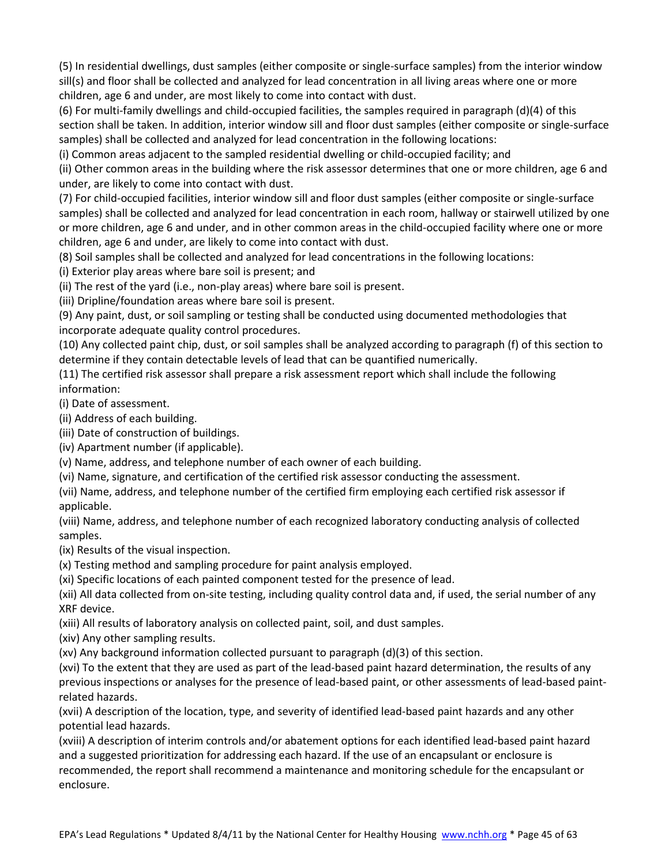(5) In residential dwellings, dust samples (either composite or single-surface samples) from the interior window sill(s) and floor shall be collected and analyzed for lead concentration in all living areas where one or more children, age 6 and under, are most likely to come into contact with dust.

(6) For multi-family dwellings and child-occupied facilities, the samples required in paragraph (d)(4) of this section shall be taken. In addition, interior window sill and floor dust samples (either composite or single-surface samples) shall be collected and analyzed for lead concentration in the following locations:

(i) Common areas adjacent to the sampled residential dwelling or child-occupied facility; and

(ii) Other common areas in the building where the risk assessor determines that one or more children, age 6 and under, are likely to come into contact with dust.

(7) For child-occupied facilities, interior window sill and floor dust samples (either composite or single-surface samples) shall be collected and analyzed for lead concentration in each room, hallway or stairwell utilized by one or more children, age 6 and under, and in other common areas in the child-occupied facility where one or more children, age 6 and under, are likely to come into contact with dust.

(8) Soil samples shall be collected and analyzed for lead concentrations in the following locations:

(i) Exterior play areas where bare soil is present; and

(ii) The rest of the yard (i.e., non-play areas) where bare soil is present.

(iii) Dripline/foundation areas where bare soil is present.

(9) Any paint, dust, or soil sampling or testing shall be conducted using documented methodologies that incorporate adequate quality control procedures.

(10) Any collected paint chip, dust, or soil samples shall be analyzed according to paragraph (f) of this section to determine if they contain detectable levels of lead that can be quantified numerically.

(11) The certified risk assessor shall prepare a risk assessment report which shall include the following information:

(i) Date of assessment.

(ii) Address of each building.

(iii) Date of construction of buildings.

(iv) Apartment number (if applicable).

(v) Name, address, and telephone number of each owner of each building.

(vi) Name, signature, and certification of the certified risk assessor conducting the assessment.

(vii) Name, address, and telephone number of the certified firm employing each certified risk assessor if applicable.

(viii) Name, address, and telephone number of each recognized laboratory conducting analysis of collected samples.

(ix) Results of the visual inspection.

(x) Testing method and sampling procedure for paint analysis employed.

(xi) Specific locations of each painted component tested for the presence of lead.

(xii) All data collected from on-site testing, including quality control data and, if used, the serial number of any XRF device.

(xiii) All results of laboratory analysis on collected paint, soil, and dust samples.

(xiv) Any other sampling results.

(xv) Any background information collected pursuant to paragraph (d)(3) of this section.

(xvi) To the extent that they are used as part of the lead-based paint hazard determination, the results of any previous inspections or analyses for the presence of lead-based paint, or other assessments of lead-based paintrelated hazards.

(xvii) A description of the location, type, and severity of identified lead-based paint hazards and any other potential lead hazards.

(xviii) A description of interim controls and/or abatement options for each identified lead-based paint hazard and a suggested prioritization for addressing each hazard. If the use of an encapsulant or enclosure is recommended, the report shall recommend a maintenance and monitoring schedule for the encapsulant or enclosure.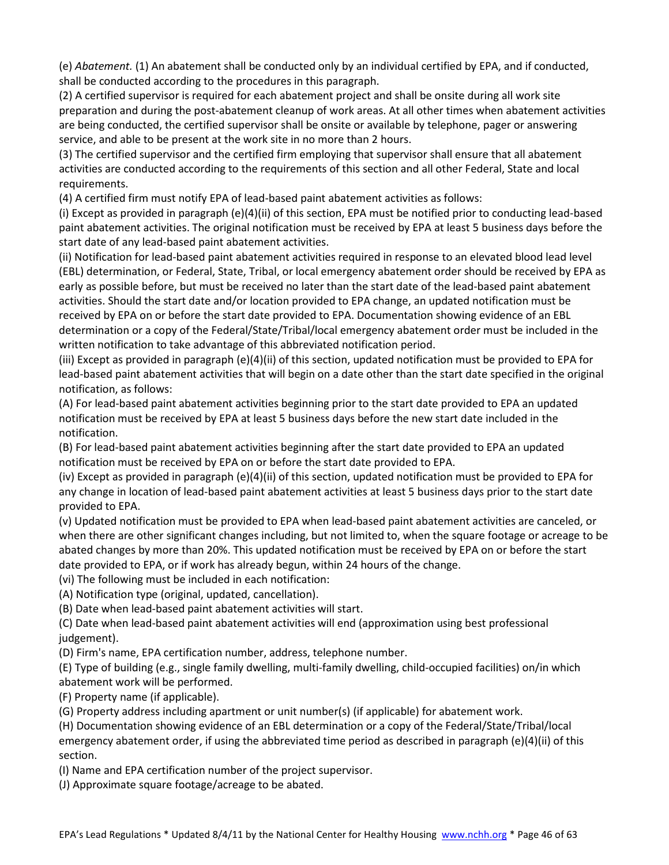(e) *Abatement.* (1) An abatement shall be conducted only by an individual certified by EPA, and if conducted, shall be conducted according to the procedures in this paragraph.

(2) A certified supervisor is required for each abatement project and shall be onsite during all work site preparation and during the post-abatement cleanup of work areas. At all other times when abatement activities are being conducted, the certified supervisor shall be onsite or available by telephone, pager or answering service, and able to be present at the work site in no more than 2 hours.

(3) The certified supervisor and the certified firm employing that supervisor shall ensure that all abatement activities are conducted according to the requirements of this section and all other Federal, State and local requirements.

(4) A certified firm must notify EPA of lead-based paint abatement activities as follows:

(i) Except as provided in paragraph (e)(4)(ii) of this section, EPA must be notified prior to conducting lead-based paint abatement activities. The original notification must be received by EPA at least 5 business days before the start date of any lead-based paint abatement activities.

(ii) Notification for lead-based paint abatement activities required in response to an elevated blood lead level (EBL) determination, or Federal, State, Tribal, or local emergency abatement order should be received by EPA as early as possible before, but must be received no later than the start date of the lead-based paint abatement activities. Should the start date and/or location provided to EPA change, an updated notification must be received by EPA on or before the start date provided to EPA. Documentation showing evidence of an EBL determination or a copy of the Federal/State/Tribal/local emergency abatement order must be included in the written notification to take advantage of this abbreviated notification period.

(iii) Except as provided in paragraph (e)(4)(ii) of this section, updated notification must be provided to EPA for lead-based paint abatement activities that will begin on a date other than the start date specified in the original notification, as follows:

(A) For lead-based paint abatement activities beginning prior to the start date provided to EPA an updated notification must be received by EPA at least 5 business days before the new start date included in the notification.

(B) For lead-based paint abatement activities beginning after the start date provided to EPA an updated notification must be received by EPA on or before the start date provided to EPA.

(iv) Except as provided in paragraph (e)(4)(ii) of this section, updated notification must be provided to EPA for any change in location of lead-based paint abatement activities at least 5 business days prior to the start date provided to EPA.

(v) Updated notification must be provided to EPA when lead-based paint abatement activities are canceled, or when there are other significant changes including, but not limited to, when the square footage or acreage to be abated changes by more than 20%. This updated notification must be received by EPA on or before the start date provided to EPA, or if work has already begun, within 24 hours of the change.

(vi) The following must be included in each notification:

(A) Notification type (original, updated, cancellation).

(B) Date when lead-based paint abatement activities will start.

(C) Date when lead-based paint abatement activities will end (approximation using best professional judgement).

(D) Firm's name, EPA certification number, address, telephone number.

(E) Type of building (e.g., single family dwelling, multi-family dwelling, child-occupied facilities) on/in which abatement work will be performed.

(F) Property name (if applicable).

(G) Property address including apartment or unit number(s) (if applicable) for abatement work.

(H) Documentation showing evidence of an EBL determination or a copy of the Federal/State/Tribal/local emergency abatement order, if using the abbreviated time period as described in paragraph (e)(4)(ii) of this section.

(I) Name and EPA certification number of the project supervisor.

(J) Approximate square footage/acreage to be abated.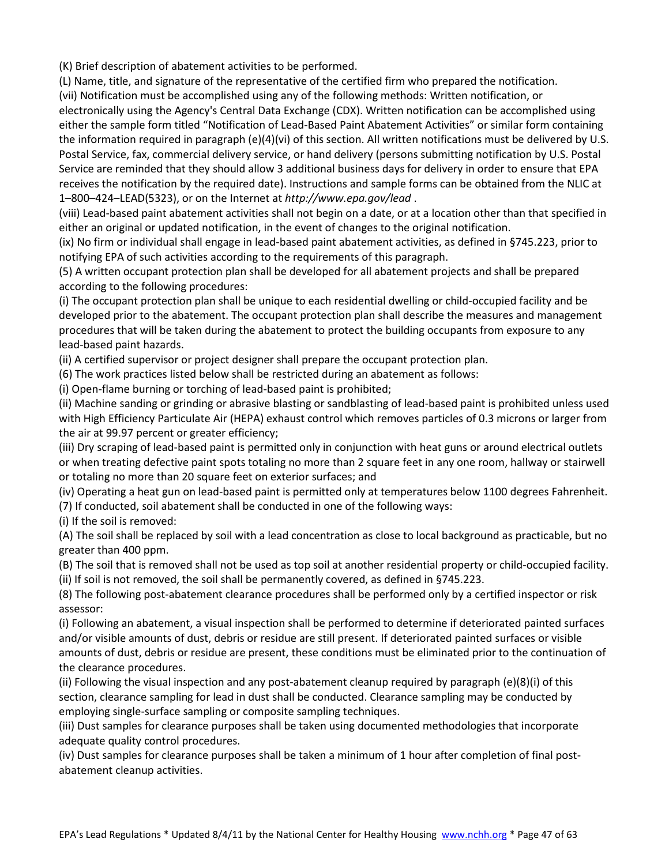(K) Brief description of abatement activities to be performed.

(L) Name, title, and signature of the representative of the certified firm who prepared the notification. (vii) Notification must be accomplished using any of the following methods: Written notification, or electronically using the Agency's Central Data Exchange (CDX). Written notification can be accomplished using either the sample form titled "Notification of Lead-Based Paint Abatement Activities" or similar form containing the information required in paragraph (e)(4)(vi) of this section. All written notifications must be delivered by U.S. Postal Service, fax, commercial delivery service, or hand delivery (persons submitting notification by U.S. Postal Service are reminded that they should allow 3 additional business days for delivery in order to ensure that EPA receives the notification by the required date). Instructions and sample forms can be obtained from the NLIC at 1–800–424–LEAD(5323), or on the Internet at *http://www.epa.gov/lead* .

(viii) Lead-based paint abatement activities shall not begin on a date, or at a location other than that specified in either an original or updated notification, in the event of changes to the original notification.

(ix) No firm or individual shall engage in lead-based paint abatement activities, as defined in §745.223, prior to notifying EPA of such activities according to the requirements of this paragraph.

(5) A written occupant protection plan shall be developed for all abatement projects and shall be prepared according to the following procedures:

(i) The occupant protection plan shall be unique to each residential dwelling or child-occupied facility and be developed prior to the abatement. The occupant protection plan shall describe the measures and management procedures that will be taken during the abatement to protect the building occupants from exposure to any lead-based paint hazards.

(ii) A certified supervisor or project designer shall prepare the occupant protection plan.

(6) The work practices listed below shall be restricted during an abatement as follows:

(i) Open-flame burning or torching of lead-based paint is prohibited;

(ii) Machine sanding or grinding or abrasive blasting or sandblasting of lead-based paint is prohibited unless used with High Efficiency Particulate Air (HEPA) exhaust control which removes particles of 0.3 microns or larger from the air at 99.97 percent or greater efficiency;

(iii) Dry scraping of lead-based paint is permitted only in conjunction with heat guns or around electrical outlets or when treating defective paint spots totaling no more than 2 square feet in any one room, hallway or stairwell or totaling no more than 20 square feet on exterior surfaces; and

(iv) Operating a heat gun on lead-based paint is permitted only at temperatures below 1100 degrees Fahrenheit. (7) If conducted, soil abatement shall be conducted in one of the following ways:

(i) If the soil is removed:

(A) The soil shall be replaced by soil with a lead concentration as close to local background as practicable, but no greater than 400 ppm.

(B) The soil that is removed shall not be used as top soil at another residential property or child-occupied facility. (ii) If soil is not removed, the soil shall be permanently covered, as defined in §745.223.

(8) The following post-abatement clearance procedures shall be performed only by a certified inspector or risk assessor:

(i) Following an abatement, a visual inspection shall be performed to determine if deteriorated painted surfaces and/or visible amounts of dust, debris or residue are still present. If deteriorated painted surfaces or visible amounts of dust, debris or residue are present, these conditions must be eliminated prior to the continuation of the clearance procedures.

(ii) Following the visual inspection and any post-abatement cleanup required by paragraph (e)(8)(i) of this section, clearance sampling for lead in dust shall be conducted. Clearance sampling may be conducted by employing single-surface sampling or composite sampling techniques.

(iii) Dust samples for clearance purposes shall be taken using documented methodologies that incorporate adequate quality control procedures.

(iv) Dust samples for clearance purposes shall be taken a minimum of 1 hour after completion of final postabatement cleanup activities.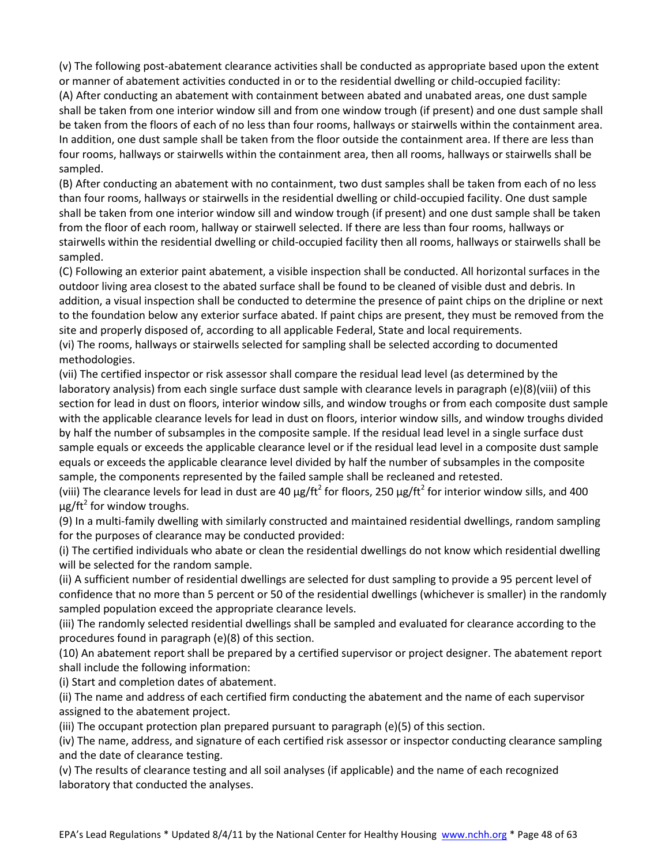(v) The following post-abatement clearance activities shall be conducted as appropriate based upon the extent or manner of abatement activities conducted in or to the residential dwelling or child-occupied facility: (A) After conducting an abatement with containment between abated and unabated areas, one dust sample shall be taken from one interior window sill and from one window trough (if present) and one dust sample shall be taken from the floors of each of no less than four rooms, hallways or stairwells within the containment area. In addition, one dust sample shall be taken from the floor outside the containment area. If there are less than four rooms, hallways or stairwells within the containment area, then all rooms, hallways or stairwells shall be sampled.

(B) After conducting an abatement with no containment, two dust samples shall be taken from each of no less than four rooms, hallways or stairwells in the residential dwelling or child-occupied facility. One dust sample shall be taken from one interior window sill and window trough (if present) and one dust sample shall be taken from the floor of each room, hallway or stairwell selected. If there are less than four rooms, hallways or stairwells within the residential dwelling or child-occupied facility then all rooms, hallways or stairwells shall be sampled.

(C) Following an exterior paint abatement, a visible inspection shall be conducted. All horizontal surfaces in the outdoor living area closest to the abated surface shall be found to be cleaned of visible dust and debris. In addition, a visual inspection shall be conducted to determine the presence of paint chips on the dripline or next to the foundation below any exterior surface abated. If paint chips are present, they must be removed from the site and properly disposed of, according to all applicable Federal, State and local requirements.

(vi) The rooms, hallways or stairwells selected for sampling shall be selected according to documented methodologies.

(vii) The certified inspector or risk assessor shall compare the residual lead level (as determined by the laboratory analysis) from each single surface dust sample with clearance levels in paragraph (e)(8)(viii) of this section for lead in dust on floors, interior window sills, and window troughs or from each composite dust sample with the applicable clearance levels for lead in dust on floors, interior window sills, and window troughs divided by half the number of subsamples in the composite sample. If the residual lead level in a single surface dust sample equals or exceeds the applicable clearance level or if the residual lead level in a composite dust sample equals or exceeds the applicable clearance level divided by half the number of subsamples in the composite sample, the components represented by the failed sample shall be recleaned and retested.

(viii) The clearance levels for lead in dust are 40  $\mu$ g/ft<sup>2</sup> for floors, 250  $\mu$ g/ft<sup>2</sup> for interior window sills, and 400  $\mu$ g/ft<sup>2</sup> for window troughs.

(9) In a multi-family dwelling with similarly constructed and maintained residential dwellings, random sampling for the purposes of clearance may be conducted provided:

(i) The certified individuals who abate or clean the residential dwellings do not know which residential dwelling will be selected for the random sample.

(ii) A sufficient number of residential dwellings are selected for dust sampling to provide a 95 percent level of confidence that no more than 5 percent or 50 of the residential dwellings (whichever is smaller) in the randomly sampled population exceed the appropriate clearance levels.

(iii) The randomly selected residential dwellings shall be sampled and evaluated for clearance according to the procedures found in paragraph (e)(8) of this section.

(10) An abatement report shall be prepared by a certified supervisor or project designer. The abatement report shall include the following information:

(i) Start and completion dates of abatement.

(ii) The name and address of each certified firm conducting the abatement and the name of each supervisor assigned to the abatement project.

(iii) The occupant protection plan prepared pursuant to paragraph (e)(5) of this section.

(iv) The name, address, and signature of each certified risk assessor or inspector conducting clearance sampling and the date of clearance testing.

(v) The results of clearance testing and all soil analyses (if applicable) and the name of each recognized laboratory that conducted the analyses.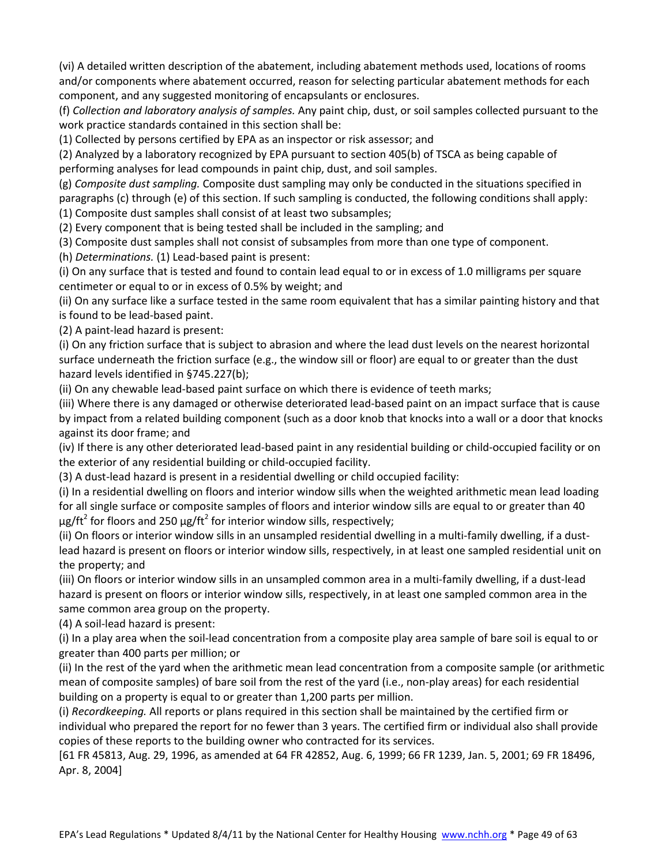(vi) A detailed written description of the abatement, including abatement methods used, locations of rooms and/or components where abatement occurred, reason for selecting particular abatement methods for each component, and any suggested monitoring of encapsulants or enclosures.

(f) *Collection and laboratory analysis of samples.* Any paint chip, dust, or soil samples collected pursuant to the work practice standards contained in this section shall be:

(1) Collected by persons certified by EPA as an inspector or risk assessor; and

(2) Analyzed by a laboratory recognized by EPA pursuant to section 405(b) of TSCA as being capable of performing analyses for lead compounds in paint chip, dust, and soil samples.

(g) *Composite dust sampling.* Composite dust sampling may only be conducted in the situations specified in paragraphs (c) through (e) of this section. If such sampling is conducted, the following conditions shall apply: (1) Composite dust samples shall consist of at least two subsamples;

(2) Every component that is being tested shall be included in the sampling; and

(3) Composite dust samples shall not consist of subsamples from more than one type of component.

(h) *Determinations.* (1) Lead-based paint is present:

(i) On any surface that is tested and found to contain lead equal to or in excess of 1.0 milligrams per square centimeter or equal to or in excess of 0.5% by weight; and

(ii) On any surface like a surface tested in the same room equivalent that has a similar painting history and that is found to be lead-based paint.

(2) A paint-lead hazard is present:

(i) On any friction surface that is subject to abrasion and where the lead dust levels on the nearest horizontal surface underneath the friction surface (e.g., the window sill or floor) are equal to or greater than the dust hazard levels identified in §745.227(b);

(ii) On any chewable lead-based paint surface on which there is evidence of teeth marks;

(iii) Where there is any damaged or otherwise deteriorated lead-based paint on an impact surface that is cause by impact from a related building component (such as a door knob that knocks into a wall or a door that knocks against its door frame; and

(iv) If there is any other deteriorated lead-based paint in any residential building or child-occupied facility or on the exterior of any residential building or child-occupied facility.

(3) A dust-lead hazard is present in a residential dwelling or child occupied facility:

(i) In a residential dwelling on floors and interior window sills when the weighted arithmetic mean lead loading for all single surface or composite samples of floors and interior window sills are equal to or greater than 40  $\mu$ g/ft<sup>2</sup> for floors and 250  $\mu$ g/ft<sup>2</sup> for interior window sills, respectively;

(ii) On floors or interior window sills in an unsampled residential dwelling in a multi-family dwelling, if a dustlead hazard is present on floors or interior window sills, respectively, in at least one sampled residential unit on the property; and

(iii) On floors or interior window sills in an unsampled common area in a multi-family dwelling, if a dust-lead hazard is present on floors or interior window sills, respectively, in at least one sampled common area in the same common area group on the property.

(4) A soil-lead hazard is present:

(i) In a play area when the soil-lead concentration from a composite play area sample of bare soil is equal to or greater than 400 parts per million; or

(ii) In the rest of the yard when the arithmetic mean lead concentration from a composite sample (or arithmetic mean of composite samples) of bare soil from the rest of the yard (i.e., non-play areas) for each residential building on a property is equal to or greater than 1,200 parts per million.

(i) *Recordkeeping.* All reports or plans required in this section shall be maintained by the certified firm or individual who prepared the report for no fewer than 3 years. The certified firm or individual also shall provide copies of these reports to the building owner who contracted for its services.

[61 FR 45813, Aug. 29, 1996, as amended at 64 FR 42852, Aug. 6, 1999; 66 FR 1239, Jan. 5, 2001; 69 FR 18496, Apr. 8, 2004]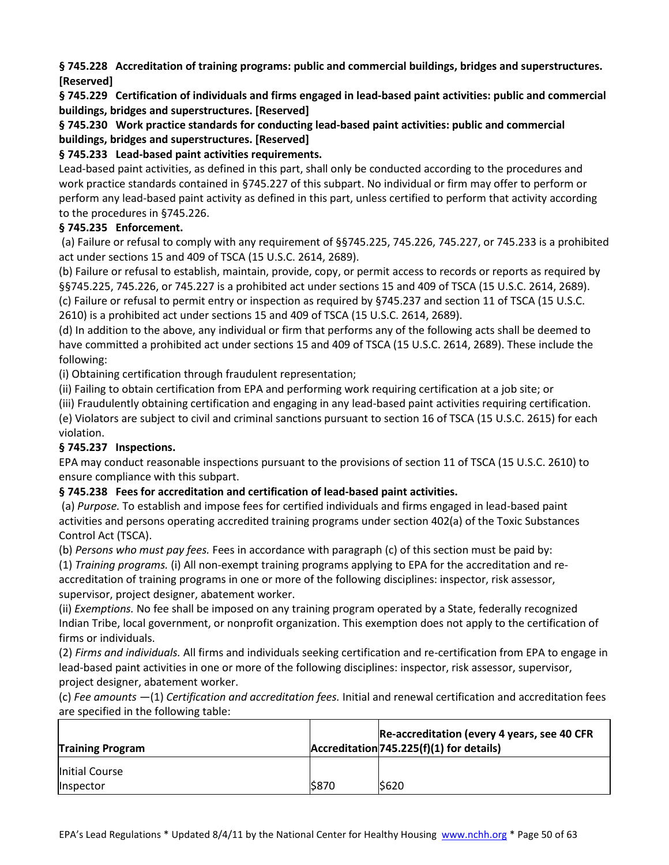<span id="page-49-0"></span>**§ 745.228 Accreditation of training programs: public and commercial buildings, bridges and superstructures. [Reserved]**

<span id="page-49-1"></span>**§ 745.229 Certification of individuals and firms engaged in lead-based paint activities: public and commercial buildings, bridges and superstructures. [Reserved]**

<span id="page-49-2"></span>**§ 745.230 Work practice standards for conducting lead-based paint activities: public and commercial buildings, bridges and superstructures. [Reserved]**

# <span id="page-49-3"></span>**§ 745.233 Lead-based paint activities requirements.**

Lead-based paint activities, as defined in this part, shall only be conducted according to the procedures and work practice standards contained in §745.227 of this subpart. No individual or firm may offer to perform or perform any lead-based paint activity as defined in this part, unless certified to perform that activity according to the procedures in §745.226.

# <span id="page-49-4"></span>**§ 745.235 Enforcement.**

(a) Failure or refusal to comply with any requirement of §§745.225, 745.226, 745.227, or 745.233 is a prohibited act under sections 15 and 409 of TSCA (15 U.S.C. 2614, 2689).

(b) Failure or refusal to establish, maintain, provide, copy, or permit access to records or reports as required by §§745.225, 745.226, or 745.227 is a prohibited act under sections 15 and 409 of TSCA (15 U.S.C. 2614, 2689). (c) Failure or refusal to permit entry or inspection as required by §745.237 and section 11 of TSCA (15 U.S.C. 2610) is a prohibited act under sections 15 and 409 of TSCA (15 U.S.C. 2614, 2689).

(d) In addition to the above, any individual or firm that performs any of the following acts shall be deemed to have committed a prohibited act under sections 15 and 409 of TSCA (15 U.S.C. 2614, 2689). These include the following:

(i) Obtaining certification through fraudulent representation;

(ii) Failing to obtain certification from EPA and performing work requiring certification at a job site; or

(iii) Fraudulently obtaining certification and engaging in any lead-based paint activities requiring certification.

(e) Violators are subject to civil and criminal sanctions pursuant to section 16 of TSCA (15 U.S.C. 2615) for each violation.

# <span id="page-49-5"></span>**§ 745.237 Inspections.**

EPA may conduct reasonable inspections pursuant to the provisions of section 11 of TSCA (15 U.S.C. 2610) to ensure compliance with this subpart.

# <span id="page-49-6"></span>**§ 745.238 Fees for accreditation and certification of lead-based paint activities.**

(a) *Purpose.* To establish and impose fees for certified individuals and firms engaged in lead-based paint activities and persons operating accredited training programs under section 402(a) of the Toxic Substances Control Act (TSCA).

(b) *Persons who must pay fees.* Fees in accordance with paragraph (c) of this section must be paid by:

(1) *Training programs.* (i) All non-exempt training programs applying to EPA for the accreditation and reaccreditation of training programs in one or more of the following disciplines: inspector, risk assessor, supervisor, project designer, abatement worker.

(ii) *Exemptions.* No fee shall be imposed on any training program operated by a State, federally recognized Indian Tribe, local government, or nonprofit organization. This exemption does not apply to the certification of firms or individuals.

(2) *Firms and individuals.* All firms and individuals seeking certification and re-certification from EPA to engage in lead-based paint activities in one or more of the following disciplines: inspector, risk assessor, supervisor, project designer, abatement worker.

(c) *Fee amounts* —(1) *Certification and accreditation fees.* Initial and renewal certification and accreditation fees are specified in the following table:

| <b>Training Program</b>                   |       | Re-accreditation (every 4 years, see 40 CFR<br>Accreditation 745.225(f)(1) for details) |
|-------------------------------------------|-------|-----------------------------------------------------------------------------------------|
| <b>Initial Course</b><br><b>Inspector</b> | \$870 | IS620                                                                                   |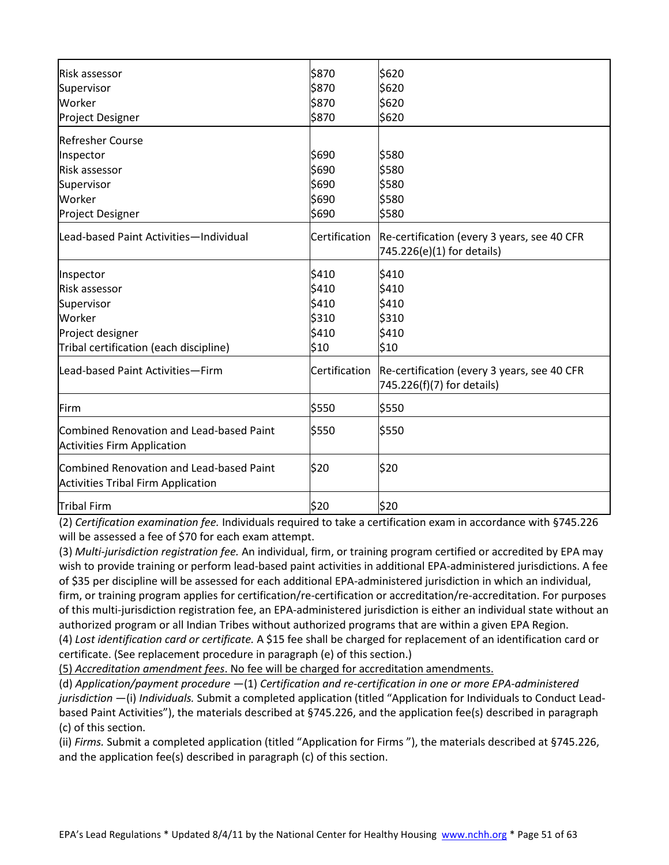| <b>Risk assessor</b>                                                                  | \$870         | \$620                                                                     |
|---------------------------------------------------------------------------------------|---------------|---------------------------------------------------------------------------|
| Supervisor                                                                            | \$870         | \$620                                                                     |
| Worker                                                                                | \$870         | \$620                                                                     |
| <b>Project Designer</b>                                                               | \$870         | \$620                                                                     |
| <b>Refresher Course</b>                                                               |               |                                                                           |
| Inspector                                                                             | \$690         | \$580                                                                     |
| Risk assessor                                                                         | \$690         | \$580                                                                     |
| Supervisor                                                                            | \$690         | \$580                                                                     |
| Worker                                                                                | \$690         | \$580                                                                     |
| Project Designer                                                                      | \$690         | \$580                                                                     |
| Lead-based Paint Activities—Individual                                                | Certification | Re-certification (every 3 years, see 40 CFR<br>745.226(e)(1) for details) |
| Inspector                                                                             | \$410         | \$410                                                                     |
| Risk assessor                                                                         | \$410         | \$410                                                                     |
| Supervisor                                                                            | \$410         | \$410                                                                     |
| Worker                                                                                | \$310         | \$310                                                                     |
| Project designer                                                                      | \$410         | \$410                                                                     |
| Tribal certification (each discipline)                                                | \$10          | \$10                                                                      |
| Lead-based Paint Activities-Firm                                                      | Certification | Re-certification (every 3 years, see 40 CFR<br>745.226(f)(7) for details) |
| Firm                                                                                  | \$550         | \$550                                                                     |
| Combined Renovation and Lead-based Paint<br><b>Activities Firm Application</b>        | \$550         | \$550                                                                     |
| Combined Renovation and Lead-based Paint<br><b>Activities Tribal Firm Application</b> | \$20          | \$20                                                                      |
| <b>Tribal Firm</b>                                                                    | \$20          | \$20                                                                      |

(2) *Certification examination fee.* Individuals required to take a certification exam in accordance with §745.226 will be assessed a fee of \$70 for each exam attempt.

(3) *Multi-jurisdiction registration fee.* An individual, firm, or training program certified or accredited by EPA may wish to provide training or perform lead-based paint activities in additional EPA-administered jurisdictions. A fee of \$35 per discipline will be assessed for each additional EPA-administered jurisdiction in which an individual, firm, or training program applies for certification/re-certification or accreditation/re-accreditation. For purposes of this multi-jurisdiction registration fee, an EPA-administered jurisdiction is either an individual state without an authorized program or all Indian Tribes without authorized programs that are within a given EPA Region.

(4) *Lost identification card or certificate.* A \$15 fee shall be charged for replacement of an identification card or certificate. (See replacement procedure in paragraph (e) of this section.)

(5) *Accreditation amendment fees*. No fee will be charged for accreditation amendments.

(d) *Application/payment procedure* —(1) *Certification and re-certification in one or more EPA-administered jurisdiction* —(i) *Individuals.* Submit a completed application (titled "Application for Individuals to Conduct Leadbased Paint Activities"), the materials described at §745.226, and the application fee(s) described in paragraph (c) of this section.

(ii) *Firms.* Submit a completed application (titled "Application for Firms "), the materials described at §745.226, and the application fee(s) described in paragraph (c) of this section.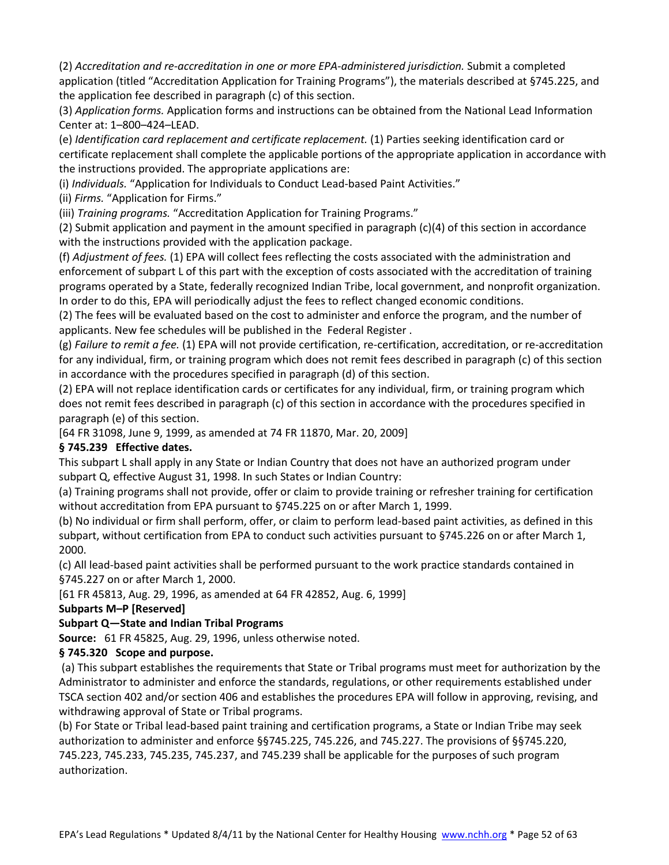(2) *Accreditation and re-accreditation in one or more EPA-administered jurisdiction.* Submit a completed application (titled "Accreditation Application for Training Programs"), the materials described at §745.225, and the application fee described in paragraph (c) of this section.

(3) *Application forms.* Application forms and instructions can be obtained from the National Lead Information Center at: 1–800–424–LEAD.

(e) *Identification card replacement and certificate replacement.* (1) Parties seeking identification card or certificate replacement shall complete the applicable portions of the appropriate application in accordance with the instructions provided. The appropriate applications are:

(i) *Individuals.* "Application for Individuals to Conduct Lead-based Paint Activities."

(ii) *Firms.* "Application for Firms."

(iii) *Training programs.* "Accreditation Application for Training Programs."

(2) Submit application and payment in the amount specified in paragraph (c)(4) of this section in accordance with the instructions provided with the application package.

(f) *Adjustment of fees.* (1) EPA will collect fees reflecting the costs associated with the administration and enforcement of subpart L of this part with the exception of costs associated with the accreditation of training programs operated by a State, federally recognized Indian Tribe, local government, and nonprofit organization. In order to do this, EPA will periodically adjust the fees to reflect changed economic conditions.

(2) The fees will be evaluated based on the cost to administer and enforce the program, and the number of applicants. New fee schedules will be published in the Federal Register .

(g) *Failure to remit a fee.* (1) EPA will not provide certification, re-certification, accreditation, or re-accreditation for any individual, firm, or training program which does not remit fees described in paragraph (c) of this section in accordance with the procedures specified in paragraph (d) of this section.

(2) EPA will not replace identification cards or certificates for any individual, firm, or training program which does not remit fees described in paragraph (c) of this section in accordance with the procedures specified in paragraph (e) of this section.

[64 FR 31098, June 9, 1999, as amended at 74 FR 11870, Mar. 20, 2009]

# <span id="page-51-0"></span>**§ 745.239 Effective dates.**

This subpart L shall apply in any State or Indian Country that does not have an authorized program under subpart Q, effective August 31, 1998. In such States or Indian Country:

(a) Training programs shall not provide, offer or claim to provide training or refresher training for certification without accreditation from EPA pursuant to §745.225 on or after March 1, 1999.

(b) No individual or firm shall perform, offer, or claim to perform lead-based paint activities, as defined in this subpart, without certification from EPA to conduct such activities pursuant to §745.226 on or after March 1, 2000.

(c) All lead-based paint activities shall be performed pursuant to the work practice standards contained in §745.227 on or after March 1, 2000.

[61 FR 45813, Aug. 29, 1996, as amended at 64 FR 42852, Aug. 6, 1999]

# <span id="page-51-1"></span>**Subparts M–P [Reserved]**

# <span id="page-51-2"></span>**Subpart Q—State and Indian Tribal Programs**

**Source:** 61 FR 45825, Aug. 29, 1996, unless otherwise noted.

# <span id="page-51-3"></span>**§ 745.320 Scope and purpose.**

(a) This subpart establishes the requirements that State or Tribal programs must meet for authorization by the Administrator to administer and enforce the standards, regulations, or other requirements established under TSCA section 402 and/or section 406 and establishes the procedures EPA will follow in approving, revising, and withdrawing approval of State or Tribal programs.

(b) For State or Tribal lead-based paint training and certification programs, a State or Indian Tribe may seek authorization to administer and enforce §§745.225, 745.226, and 745.227. The provisions of §§745.220, 745.223, 745.233, 745.235, 745.237, and 745.239 shall be applicable for the purposes of such program authorization.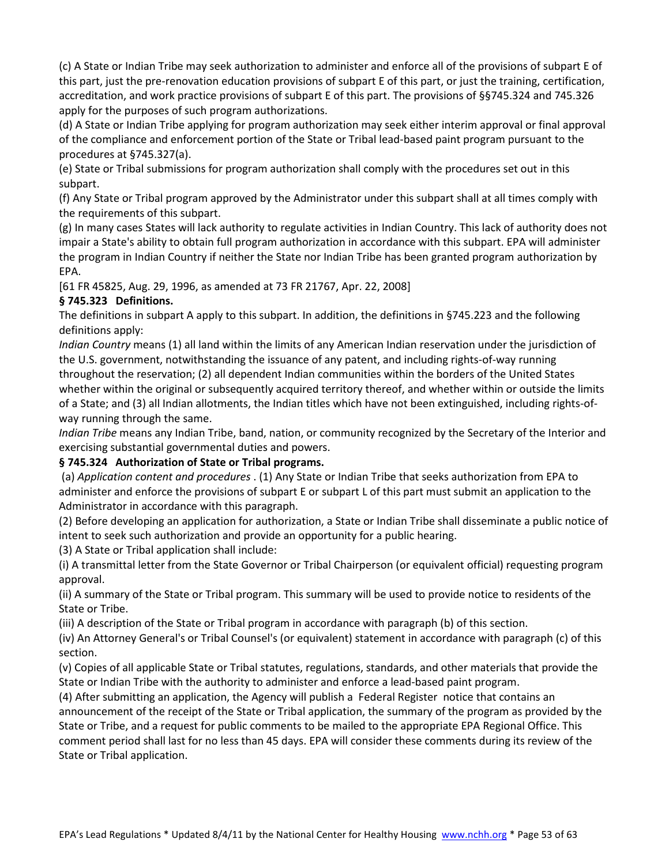(c) A State or Indian Tribe may seek authorization to administer and enforce all of the provisions of subpart E of this part, just the pre-renovation education provisions of subpart E of this part, or just the training, certification, accreditation, and work practice provisions of subpart E of this part. The provisions of §§745.324 and 745.326 apply for the purposes of such program authorizations.

(d) A State or Indian Tribe applying for program authorization may seek either interim approval or final approval of the compliance and enforcement portion of the State or Tribal lead-based paint program pursuant to the procedures at §745.327(a).

(e) State or Tribal submissions for program authorization shall comply with the procedures set out in this subpart.

(f) Any State or Tribal program approved by the Administrator under this subpart shall at all times comply with the requirements of this subpart.

(g) In many cases States will lack authority to regulate activities in Indian Country. This lack of authority does not impair a State's ability to obtain full program authorization in accordance with this subpart. EPA will administer the program in Indian Country if neither the State nor Indian Tribe has been granted program authorization by EPA.

[61 FR 45825, Aug. 29, 1996, as amended at 73 FR 21767, Apr. 22, 2008]

# <span id="page-52-0"></span>**§ 745.323 Definitions.**

The definitions in subpart A apply to this subpart. In addition, the definitions in §745.223 and the following definitions apply:

*Indian Country* means (1) all land within the limits of any American Indian reservation under the jurisdiction of the U.S. government, notwithstanding the issuance of any patent, and including rights-of-way running throughout the reservation; (2) all dependent Indian communities within the borders of the United States whether within the original or subsequently acquired territory thereof, and whether within or outside the limits of a State; and (3) all Indian allotments, the Indian titles which have not been extinguished, including rights-ofway running through the same.

*Indian Tribe* means any Indian Tribe, band, nation, or community recognized by the Secretary of the Interior and exercising substantial governmental duties and powers.

# <span id="page-52-1"></span>**§ 745.324 Authorization of State or Tribal programs.**

(a) *Application content and procedures* . (1) Any State or Indian Tribe that seeks authorization from EPA to administer and enforce the provisions of subpart E or subpart L of this part must submit an application to the Administrator in accordance with this paragraph.

(2) Before developing an application for authorization, a State or Indian Tribe shall disseminate a public notice of intent to seek such authorization and provide an opportunity for a public hearing.

(3) A State or Tribal application shall include:

(i) A transmittal letter from the State Governor or Tribal Chairperson (or equivalent official) requesting program approval.

(ii) A summary of the State or Tribal program. This summary will be used to provide notice to residents of the State or Tribe.

(iii) A description of the State or Tribal program in accordance with paragraph (b) of this section.

(iv) An Attorney General's or Tribal Counsel's (or equivalent) statement in accordance with paragraph (c) of this section.

(v) Copies of all applicable State or Tribal statutes, regulations, standards, and other materials that provide the State or Indian Tribe with the authority to administer and enforce a lead-based paint program.

(4) After submitting an application, the Agency will publish a Federal Register notice that contains an announcement of the receipt of the State or Tribal application, the summary of the program as provided by the State or Tribe, and a request for public comments to be mailed to the appropriate EPA Regional Office. This comment period shall last for no less than 45 days. EPA will consider these comments during its review of the State or Tribal application.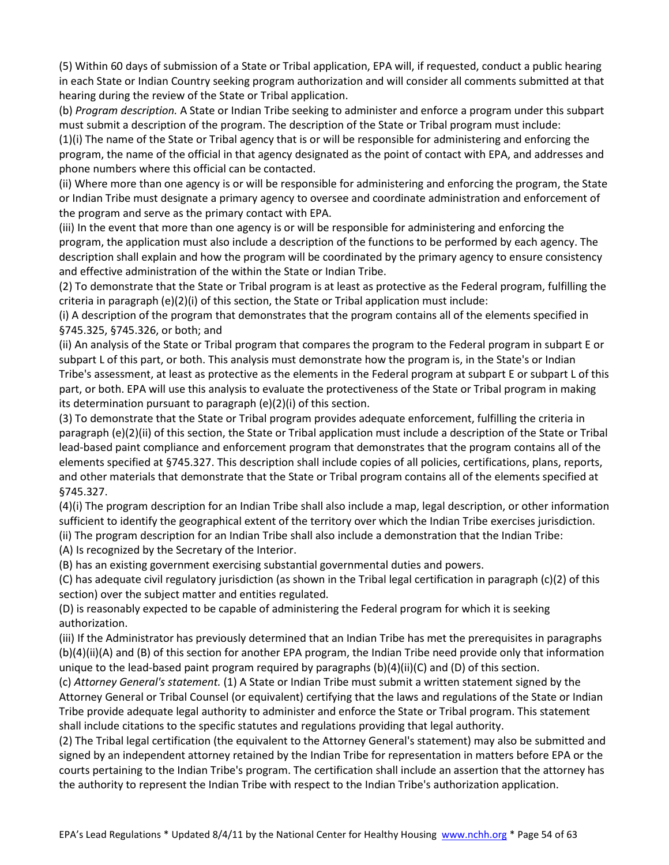(5) Within 60 days of submission of a State or Tribal application, EPA will, if requested, conduct a public hearing in each State or Indian Country seeking program authorization and will consider all comments submitted at that hearing during the review of the State or Tribal application.

(b) *Program description.* A State or Indian Tribe seeking to administer and enforce a program under this subpart must submit a description of the program. The description of the State or Tribal program must include:

(1)(i) The name of the State or Tribal agency that is or will be responsible for administering and enforcing the program, the name of the official in that agency designated as the point of contact with EPA, and addresses and phone numbers where this official can be contacted.

(ii) Where more than one agency is or will be responsible for administering and enforcing the program, the State or Indian Tribe must designate a primary agency to oversee and coordinate administration and enforcement of the program and serve as the primary contact with EPA.

(iii) In the event that more than one agency is or will be responsible for administering and enforcing the program, the application must also include a description of the functions to be performed by each agency. The description shall explain and how the program will be coordinated by the primary agency to ensure consistency and effective administration of the within the State or Indian Tribe.

(2) To demonstrate that the State or Tribal program is at least as protective as the Federal program, fulfilling the criteria in paragraph (e)(2)(i) of this section, the State or Tribal application must include:

(i) A description of the program that demonstrates that the program contains all of the elements specified in §745.325, §745.326, or both; and

(ii) An analysis of the State or Tribal program that compares the program to the Federal program in subpart E or subpart L of this part, or both. This analysis must demonstrate how the program is, in the State's or Indian Tribe's assessment, at least as protective as the elements in the Federal program at subpart E or subpart L of this part, or both. EPA will use this analysis to evaluate the protectiveness of the State or Tribal program in making its determination pursuant to paragraph (e)(2)(i) of this section.

(3) To demonstrate that the State or Tribal program provides adequate enforcement, fulfilling the criteria in paragraph (e)(2)(ii) of this section, the State or Tribal application must include a description of the State or Tribal lead-based paint compliance and enforcement program that demonstrates that the program contains all of the elements specified at §745.327. This description shall include copies of all policies, certifications, plans, reports, and other materials that demonstrate that the State or Tribal program contains all of the elements specified at §745.327.

(4)(i) The program description for an Indian Tribe shall also include a map, legal description, or other information sufficient to identify the geographical extent of the territory over which the Indian Tribe exercises jurisdiction. (ii) The program description for an Indian Tribe shall also include a demonstration that the Indian Tribe:

(A) Is recognized by the Secretary of the Interior.

(B) has an existing government exercising substantial governmental duties and powers.

(C) has adequate civil regulatory jurisdiction (as shown in the Tribal legal certification in paragraph (c)(2) of this section) over the subject matter and entities regulated.

(D) is reasonably expected to be capable of administering the Federal program for which it is seeking authorization.

(iii) If the Administrator has previously determined that an Indian Tribe has met the prerequisites in paragraphs (b)(4)(ii)(A) and (B) of this section for another EPA program, the Indian Tribe need provide only that information unique to the lead-based paint program required by paragraphs (b)(4)(ii)(C) and (D) of this section.

(c) *Attorney General's statement.* (1) A State or Indian Tribe must submit a written statement signed by the Attorney General or Tribal Counsel (or equivalent) certifying that the laws and regulations of the State or Indian Tribe provide adequate legal authority to administer and enforce the State or Tribal program. This statement shall include citations to the specific statutes and regulations providing that legal authority.

(2) The Tribal legal certification (the equivalent to the Attorney General's statement) may also be submitted and signed by an independent attorney retained by the Indian Tribe for representation in matters before EPA or the courts pertaining to the Indian Tribe's program. The certification shall include an assertion that the attorney has the authority to represent the Indian Tribe with respect to the Indian Tribe's authorization application.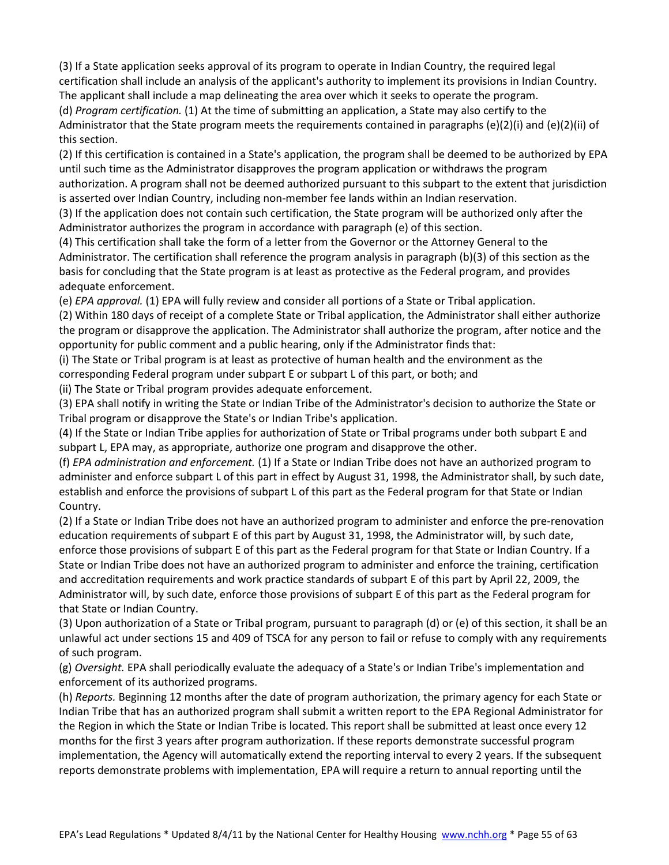(3) If a State application seeks approval of its program to operate in Indian Country, the required legal certification shall include an analysis of the applicant's authority to implement its provisions in Indian Country. The applicant shall include a map delineating the area over which it seeks to operate the program. (d) *Program certification.* (1) At the time of submitting an application, a State may also certify to the Administrator that the State program meets the requirements contained in paragraphs (e)(2)(i) and (e)(2)(ii) of this section.

(2) If this certification is contained in a State's application, the program shall be deemed to be authorized by EPA until such time as the Administrator disapproves the program application or withdraws the program authorization. A program shall not be deemed authorized pursuant to this subpart to the extent that jurisdiction is asserted over Indian Country, including non-member fee lands within an Indian reservation.

(3) If the application does not contain such certification, the State program will be authorized only after the Administrator authorizes the program in accordance with paragraph (e) of this section.

(4) This certification shall take the form of a letter from the Governor or the Attorney General to the Administrator. The certification shall reference the program analysis in paragraph (b)(3) of this section as the basis for concluding that the State program is at least as protective as the Federal program, and provides adequate enforcement.

(e) *EPA approval.* (1) EPA will fully review and consider all portions of a State or Tribal application.

(2) Within 180 days of receipt of a complete State or Tribal application, the Administrator shall either authorize the program or disapprove the application. The Administrator shall authorize the program, after notice and the opportunity for public comment and a public hearing, only if the Administrator finds that:

(i) The State or Tribal program is at least as protective of human health and the environment as the

corresponding Federal program under subpart E or subpart L of this part, or both; and

(ii) The State or Tribal program provides adequate enforcement.

(3) EPA shall notify in writing the State or Indian Tribe of the Administrator's decision to authorize the State or Tribal program or disapprove the State's or Indian Tribe's application.

(4) If the State or Indian Tribe applies for authorization of State or Tribal programs under both subpart E and subpart L, EPA may, as appropriate, authorize one program and disapprove the other.

(f) *EPA administration and enforcement.* (1) If a State or Indian Tribe does not have an authorized program to administer and enforce subpart L of this part in effect by August 31, 1998, the Administrator shall, by such date, establish and enforce the provisions of subpart L of this part as the Federal program for that State or Indian Country.

(2) If a State or Indian Tribe does not have an authorized program to administer and enforce the pre-renovation education requirements of subpart E of this part by August 31, 1998, the Administrator will, by such date, enforce those provisions of subpart E of this part as the Federal program for that State or Indian Country. If a State or Indian Tribe does not have an authorized program to administer and enforce the training, certification and accreditation requirements and work practice standards of subpart E of this part by April 22, 2009, the Administrator will, by such date, enforce those provisions of subpart E of this part as the Federal program for that State or Indian Country.

(3) Upon authorization of a State or Tribal program, pursuant to paragraph (d) or (e) of this section, it shall be an unlawful act under sections 15 and 409 of TSCA for any person to fail or refuse to comply with any requirements of such program.

(g) *Oversight.* EPA shall periodically evaluate the adequacy of a State's or Indian Tribe's implementation and enforcement of its authorized programs.

(h) *Reports.* Beginning 12 months after the date of program authorization, the primary agency for each State or Indian Tribe that has an authorized program shall submit a written report to the EPA Regional Administrator for the Region in which the State or Indian Tribe is located. This report shall be submitted at least once every 12 months for the first 3 years after program authorization. If these reports demonstrate successful program implementation, the Agency will automatically extend the reporting interval to every 2 years. If the subsequent reports demonstrate problems with implementation, EPA will require a return to annual reporting until the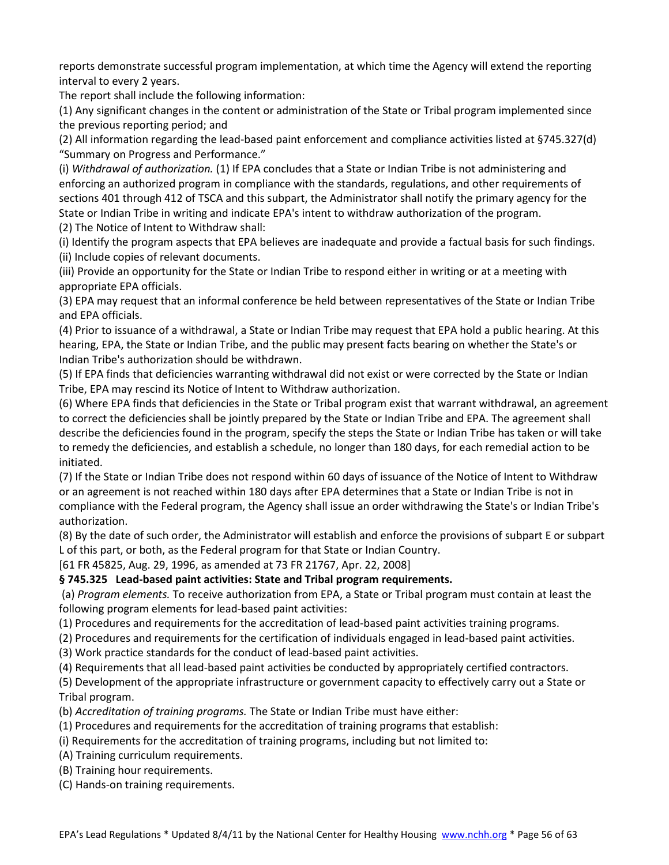reports demonstrate successful program implementation, at which time the Agency will extend the reporting interval to every 2 years.

The report shall include the following information:

(1) Any significant changes in the content or administration of the State or Tribal program implemented since the previous reporting period; and

(2) All information regarding the lead-based paint enforcement and compliance activities listed at §745.327(d) "Summary on Progress and Performance."

(i) *Withdrawal of authorization.* (1) If EPA concludes that a State or Indian Tribe is not administering and enforcing an authorized program in compliance with the standards, regulations, and other requirements of sections 401 through 412 of TSCA and this subpart, the Administrator shall notify the primary agency for the State or Indian Tribe in writing and indicate EPA's intent to withdraw authorization of the program.

(2) The Notice of Intent to Withdraw shall:

(i) Identify the program aspects that EPA believes are inadequate and provide a factual basis for such findings. (ii) Include copies of relevant documents.

(iii) Provide an opportunity for the State or Indian Tribe to respond either in writing or at a meeting with appropriate EPA officials.

(3) EPA may request that an informal conference be held between representatives of the State or Indian Tribe and EPA officials.

(4) Prior to issuance of a withdrawal, a State or Indian Tribe may request that EPA hold a public hearing. At this hearing, EPA, the State or Indian Tribe, and the public may present facts bearing on whether the State's or Indian Tribe's authorization should be withdrawn.

(5) If EPA finds that deficiencies warranting withdrawal did not exist or were corrected by the State or Indian Tribe, EPA may rescind its Notice of Intent to Withdraw authorization.

(6) Where EPA finds that deficiencies in the State or Tribal program exist that warrant withdrawal, an agreement to correct the deficiencies shall be jointly prepared by the State or Indian Tribe and EPA. The agreement shall describe the deficiencies found in the program, specify the steps the State or Indian Tribe has taken or will take to remedy the deficiencies, and establish a schedule, no longer than 180 days, for each remedial action to be initiated.

(7) If the State or Indian Tribe does not respond within 60 days of issuance of the Notice of Intent to Withdraw or an agreement is not reached within 180 days after EPA determines that a State or Indian Tribe is not in compliance with the Federal program, the Agency shall issue an order withdrawing the State's or Indian Tribe's authorization.

(8) By the date of such order, the Administrator will establish and enforce the provisions of subpart E or subpart L of this part, or both, as the Federal program for that State or Indian Country.

[61 FR 45825, Aug. 29, 1996, as amended at 73 FR 21767, Apr. 22, 2008]

#### <span id="page-55-0"></span>**§ 745.325 Lead-based paint activities: State and Tribal program requirements.**

(a) *Program elements.* To receive authorization from EPA, a State or Tribal program must contain at least the following program elements for lead-based paint activities:

(1) Procedures and requirements for the accreditation of lead-based paint activities training programs.

(2) Procedures and requirements for the certification of individuals engaged in lead-based paint activities.

(3) Work practice standards for the conduct of lead-based paint activities.

(4) Requirements that all lead-based paint activities be conducted by appropriately certified contractors.

(5) Development of the appropriate infrastructure or government capacity to effectively carry out a State or Tribal program.

(b) *Accreditation of training programs.* The State or Indian Tribe must have either:

(1) Procedures and requirements for the accreditation of training programs that establish:

(i) Requirements for the accreditation of training programs, including but not limited to:

(A) Training curriculum requirements.

(B) Training hour requirements.

(C) Hands-on training requirements.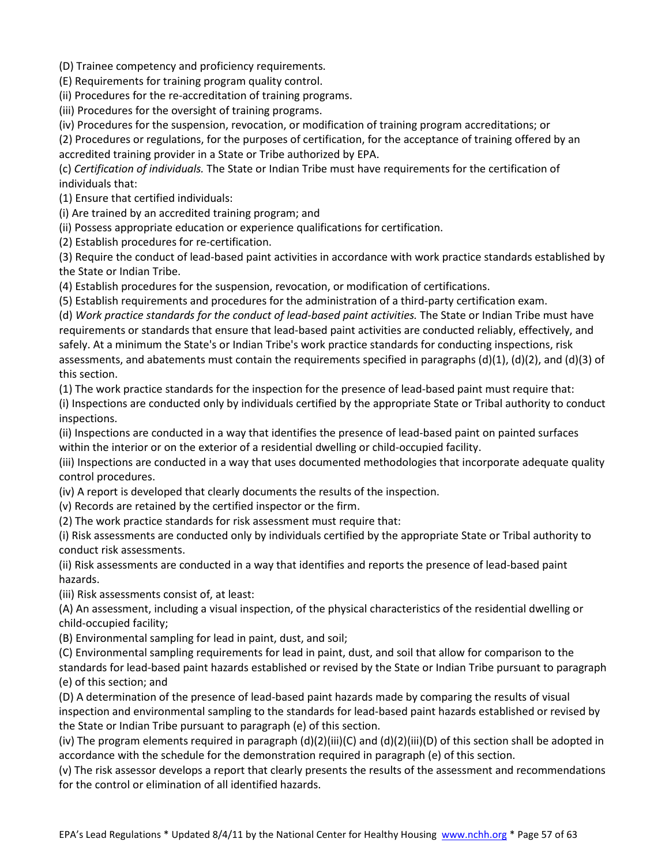(D) Trainee competency and proficiency requirements.

(E) Requirements for training program quality control.

(ii) Procedures for the re-accreditation of training programs.

(iii) Procedures for the oversight of training programs.

(iv) Procedures for the suspension, revocation, or modification of training program accreditations; or

(2) Procedures or regulations, for the purposes of certification, for the acceptance of training offered by an accredited training provider in a State or Tribe authorized by EPA.

(c) *Certification of individuals.* The State or Indian Tribe must have requirements for the certification of individuals that:

(1) Ensure that certified individuals:

(i) Are trained by an accredited training program; and

(ii) Possess appropriate education or experience qualifications for certification.

(2) Establish procedures for re-certification.

(3) Require the conduct of lead-based paint activities in accordance with work practice standards established by the State or Indian Tribe.

(4) Establish procedures for the suspension, revocation, or modification of certifications.

(5) Establish requirements and procedures for the administration of a third-party certification exam.

(d) *Work practice standards for the conduct of lead-based paint activities.* The State or Indian Tribe must have requirements or standards that ensure that lead-based paint activities are conducted reliably, effectively, and safely. At a minimum the State's or Indian Tribe's work practice standards for conducting inspections, risk assessments, and abatements must contain the requirements specified in paragraphs (d)(1), (d)(2), and (d)(3) of this section.

(1) The work practice standards for the inspection for the presence of lead-based paint must require that:

(i) Inspections are conducted only by individuals certified by the appropriate State or Tribal authority to conduct inspections.

(ii) Inspections are conducted in a way that identifies the presence of lead-based paint on painted surfaces within the interior or on the exterior of a residential dwelling or child-occupied facility.

(iii) Inspections are conducted in a way that uses documented methodologies that incorporate adequate quality control procedures.

(iv) A report is developed that clearly documents the results of the inspection.

(v) Records are retained by the certified inspector or the firm.

(2) The work practice standards for risk assessment must require that:

(i) Risk assessments are conducted only by individuals certified by the appropriate State or Tribal authority to conduct risk assessments.

(ii) Risk assessments are conducted in a way that identifies and reports the presence of lead-based paint hazards.

(iii) Risk assessments consist of, at least:

(A) An assessment, including a visual inspection, of the physical characteristics of the residential dwelling or child-occupied facility;

(B) Environmental sampling for lead in paint, dust, and soil;

(C) Environmental sampling requirements for lead in paint, dust, and soil that allow for comparison to the standards for lead-based paint hazards established or revised by the State or Indian Tribe pursuant to paragraph (e) of this section; and

(D) A determination of the presence of lead-based paint hazards made by comparing the results of visual inspection and environmental sampling to the standards for lead-based paint hazards established or revised by the State or Indian Tribe pursuant to paragraph (e) of this section.

(iv) The program elements required in paragraph  $(d)(2)(iii)(C)$  and  $(d)(2)(iii)(D)$  of this section shall be adopted in accordance with the schedule for the demonstration required in paragraph (e) of this section.

(v) The risk assessor develops a report that clearly presents the results of the assessment and recommendations for the control or elimination of all identified hazards.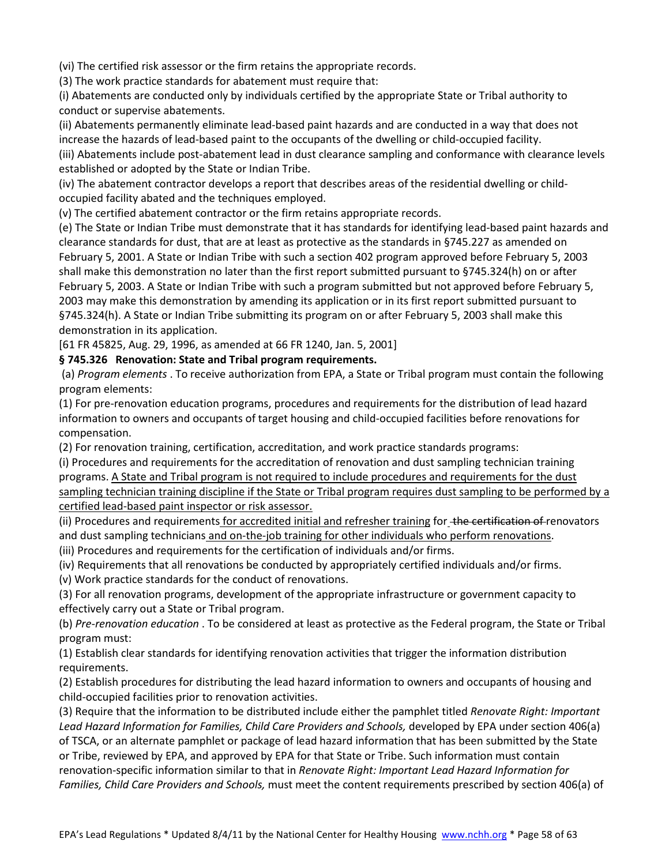(vi) The certified risk assessor or the firm retains the appropriate records.

(3) The work practice standards for abatement must require that:

(i) Abatements are conducted only by individuals certified by the appropriate State or Tribal authority to conduct or supervise abatements.

(ii) Abatements permanently eliminate lead-based paint hazards and are conducted in a way that does not increase the hazards of lead-based paint to the occupants of the dwelling or child-occupied facility.

(iii) Abatements include post-abatement lead in dust clearance sampling and conformance with clearance levels established or adopted by the State or Indian Tribe.

(iv) The abatement contractor develops a report that describes areas of the residential dwelling or childoccupied facility abated and the techniques employed.

(v) The certified abatement contractor or the firm retains appropriate records.

(e) The State or Indian Tribe must demonstrate that it has standards for identifying lead-based paint hazards and clearance standards for dust, that are at least as protective as the standards in §745.227 as amended on February 5, 2001. A State or Indian Tribe with such a section 402 program approved before February 5, 2003 shall make this demonstration no later than the first report submitted pursuant to §745.324(h) on or after February 5, 2003. A State or Indian Tribe with such a program submitted but not approved before February 5, 2003 may make this demonstration by amending its application or in its first report submitted pursuant to §745.324(h). A State or Indian Tribe submitting its program on or after February 5, 2003 shall make this demonstration in its application.

[61 FR 45825, Aug. 29, 1996, as amended at 66 FR 1240, Jan. 5, 2001]

<span id="page-57-0"></span>**§ 745.326 Renovation: State and Tribal program requirements.**

(a) *Program elements* . To receive authorization from EPA, a State or Tribal program must contain the following program elements:

(1) For pre-renovation education programs, procedures and requirements for the distribution of lead hazard information to owners and occupants of target housing and child-occupied facilities before renovations for compensation.

(2) For renovation training, certification, accreditation, and work practice standards programs:

(i) Procedures and requirements for the accreditation of renovation and dust sampling technician training programs. A State and Tribal program is not required to include procedures and requirements for the dust sampling technician training discipline if the State or Tribal program requires dust sampling to be performed by a certified lead-based paint inspector or risk assessor.

(ii) Procedures and requirements for accredited initial and refresher training for the certification of renovators and dust sampling technicians and on-the-job training for other individuals who perform renovations.

(iii) Procedures and requirements for the certification of individuals and/or firms.

(iv) Requirements that all renovations be conducted by appropriately certified individuals and/or firms.

(v) Work practice standards for the conduct of renovations.

(3) For all renovation programs, development of the appropriate infrastructure or government capacity to effectively carry out a State or Tribal program.

(b) *Pre-renovation education* . To be considered at least as protective as the Federal program, the State or Tribal program must:

(1) Establish clear standards for identifying renovation activities that trigger the information distribution requirements.

(2) Establish procedures for distributing the lead hazard information to owners and occupants of housing and child-occupied facilities prior to renovation activities.

(3) Require that the information to be distributed include either the pamphlet titled *Renovate Right: Important*  Lead Hazard Information for Families, Child Care Providers and Schools, developed by EPA under section 406(a) of TSCA, or an alternate pamphlet or package of lead hazard information that has been submitted by the State or Tribe, reviewed by EPA, and approved by EPA for that State or Tribe. Such information must contain renovation-specific information similar to that in *Renovate Right: Important Lead Hazard Information for Families, Child Care Providers and Schools,* must meet the content requirements prescribed by section 406(a) of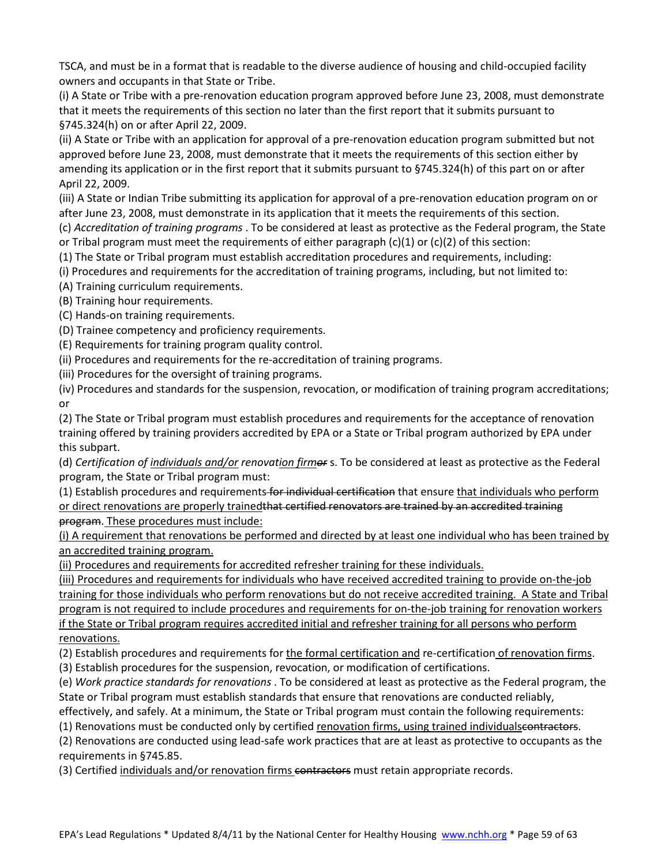TSCA, and must be in a format that is readable to the diverse audience of housing and child-occupied facility owners and occupants in that State or Tribe.

(i) A State or Tribe with a pre-renovation education program approved before June 23, 2008, must demonstrate that it meets the requirements of this section no later than the first report that it submits pursuant to §745.324(h) on or after April 22, 2009.

(ii) A State or Tribe with an application for approval of a pre-renovation education program submitted but not approved before June 23, 2008, must demonstrate that it meets the requirements of this section either by amending its application or in the first report that it submits pursuant to §745.324(h) of this part on or after April 22, 2009.

(iii) A State or Indian Tribe submitting its application for approval of a pre-renovation education program on or after June 23, 2008, must demonstrate in its application that it meets the requirements of this section. (c) *Accreditation of training programs* . To be considered at least as protective as the Federal program, the State

or Tribal program must meet the requirements of either paragraph  $(c)(1)$  or  $(c)(2)$  of this section:

(1) The State or Tribal program must establish accreditation procedures and requirements, including:

(i) Procedures and requirements for the accreditation of training programs, including, but not limited to:

(A) Training curriculum requirements.

(B) Training hour requirements.

(C) Hands-on training requirements.

(D) Trainee competency and proficiency requirements.

(E) Requirements for training program quality control.

(ii) Procedures and requirements for the re-accreditation of training programs.

(iii) Procedures for the oversight of training programs.

(iv) Procedures and standards for the suspension, revocation, or modification of training program accreditations; or

(2) The State or Tribal program must establish procedures and requirements for the acceptance of renovation training offered by training providers accredited by EPA or a State or Tribal program authorized by EPA under this subpart.

(d) *Certification of individuals and/or renovation firmor* s. To be considered at least as protective as the Federal program, the State or Tribal program must:

(1) Establish procedures and requirements for individual certification that ensure that individuals who perform or direct renovations are properly trainedthat certified renovators are trained by an accredited training program. These procedures must include:

(i) A requirement that renovations be performed and directed by at least one individual who has been trained by an accredited training program.

(ii) Procedures and requirements for accredited refresher training for these individuals.

(iii) Procedures and requirements for individuals who have received accredited training to provide on-the-job training for those individuals who perform renovations but do not receive accredited training. A State and Tribal program is not required to include procedures and requirements for on-the-job training for renovation workers if the State or Tribal program requires accredited initial and refresher training for all persons who perform renovations.

(2) Establish procedures and requirements for the formal certification and re-certification of renovation firms.

(3) Establish procedures for the suspension, revocation, or modification of certifications.

(e) *Work practice standards for renovations* . To be considered at least as protective as the Federal program, the State or Tribal program must establish standards that ensure that renovations are conducted reliably,

effectively, and safely. At a minimum, the State or Tribal program must contain the following requirements:

(1) Renovations must be conducted only by certified renovation firms, using trained individualscontractors.

(2) Renovations are conducted using lead-safe work practices that are at least as protective to occupants as the requirements in §745.85.

(3) Certified individuals and/or renovation firms contractors must retain appropriate records.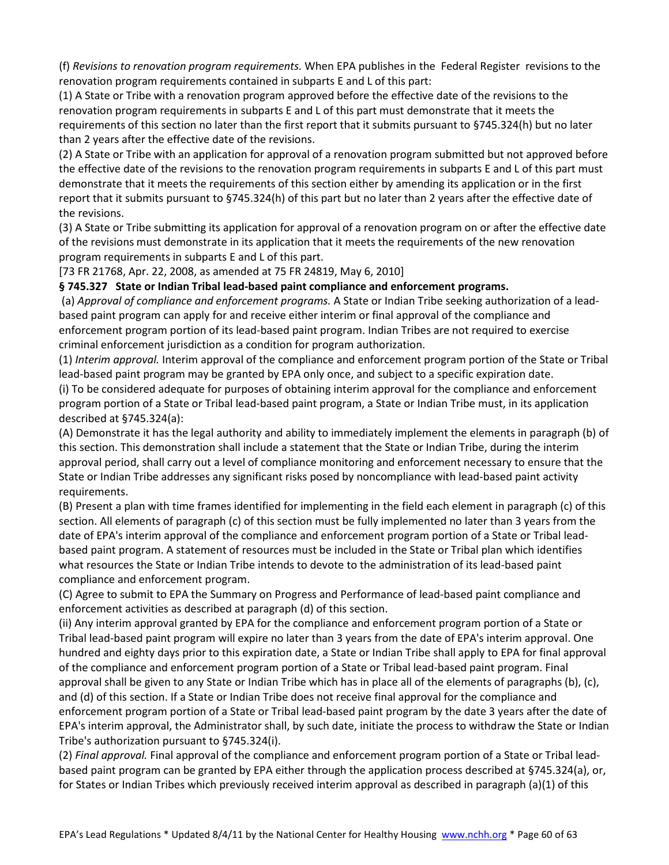(f) *Revisions to renovation program requirements.* When EPA publishes in the Federal Register revisions to the renovation program requirements contained in subparts E and L of this part:

(1) A State or Tribe with a renovation program approved before the effective date of the revisions to the renovation program requirements in subparts E and L of this part must demonstrate that it meets the requirements of this section no later than the first report that it submits pursuant to §745.324(h) but no later than 2 years after the effective date of the revisions.

(2) A State or Tribe with an application for approval of a renovation program submitted but not approved before the effective date of the revisions to the renovation program requirements in subparts E and L of this part must demonstrate that it meets the requirements of this section either by amending its application or in the first report that it submits pursuant to §745.324(h) of this part but no later than 2 years after the effective date of the revisions.

(3) A State or Tribe submitting its application for approval of a renovation program on or after the effective date of the revisions must demonstrate in its application that it meets the requirements of the new renovation program requirements in subparts E and L of this part.

[73 FR 21768, Apr. 22, 2008, as amended at 75 FR 24819, May 6, 2010]

#### <span id="page-59-0"></span>**§ 745.327 State or Indian Tribal lead-based paint compliance and enforcement programs.**

(a) *Approval of compliance and enforcement programs.* A State or Indian Tribe seeking authorization of a leadbased paint program can apply for and receive either interim or final approval of the compliance and enforcement program portion of its lead-based paint program. Indian Tribes are not required to exercise criminal enforcement jurisdiction as a condition for program authorization.

(1) *Interim approval.* Interim approval of the compliance and enforcement program portion of the State or Tribal lead-based paint program may be granted by EPA only once, and subject to a specific expiration date.

(i) To be considered adequate for purposes of obtaining interim approval for the compliance and enforcement program portion of a State or Tribal lead-based paint program, a State or Indian Tribe must, in its application described at §745.324(a):

(A) Demonstrate it has the legal authority and ability to immediately implement the elements in paragraph (b) of this section. This demonstration shall include a statement that the State or Indian Tribe, during the interim approval period, shall carry out a level of compliance monitoring and enforcement necessary to ensure that the State or Indian Tribe addresses any significant risks posed by noncompliance with lead-based paint activity requirements.

(B) Present a plan with time frames identified for implementing in the field each element in paragraph (c) of this section. All elements of paragraph (c) of this section must be fully implemented no later than 3 years from the date of EPA's interim approval of the compliance and enforcement program portion of a State or Tribal leadbased paint program. A statement of resources must be included in the State or Tribal plan which identifies what resources the State or Indian Tribe intends to devote to the administration of its lead-based paint compliance and enforcement program.

(C) Agree to submit to EPA the Summary on Progress and Performance of lead-based paint compliance and enforcement activities as described at paragraph (d) of this section.

(ii) Any interim approval granted by EPA for the compliance and enforcement program portion of a State or Tribal lead-based paint program will expire no later than 3 years from the date of EPA's interim approval. One hundred and eighty days prior to this expiration date, a State or Indian Tribe shall apply to EPA for final approval of the compliance and enforcement program portion of a State or Tribal lead-based paint program. Final approval shall be given to any State or Indian Tribe which has in place all of the elements of paragraphs (b), (c), and (d) of this section. If a State or Indian Tribe does not receive final approval for the compliance and enforcement program portion of a State or Tribal lead-based paint program by the date 3 years after the date of EPA's interim approval, the Administrator shall, by such date, initiate the process to withdraw the State or Indian Tribe's authorization pursuant to §745.324(i).

(2) *Final approval.* Final approval of the compliance and enforcement program portion of a State or Tribal leadbased paint program can be granted by EPA either through the application process described at §745.324(a), or, for States or Indian Tribes which previously received interim approval as described in paragraph (a)(1) of this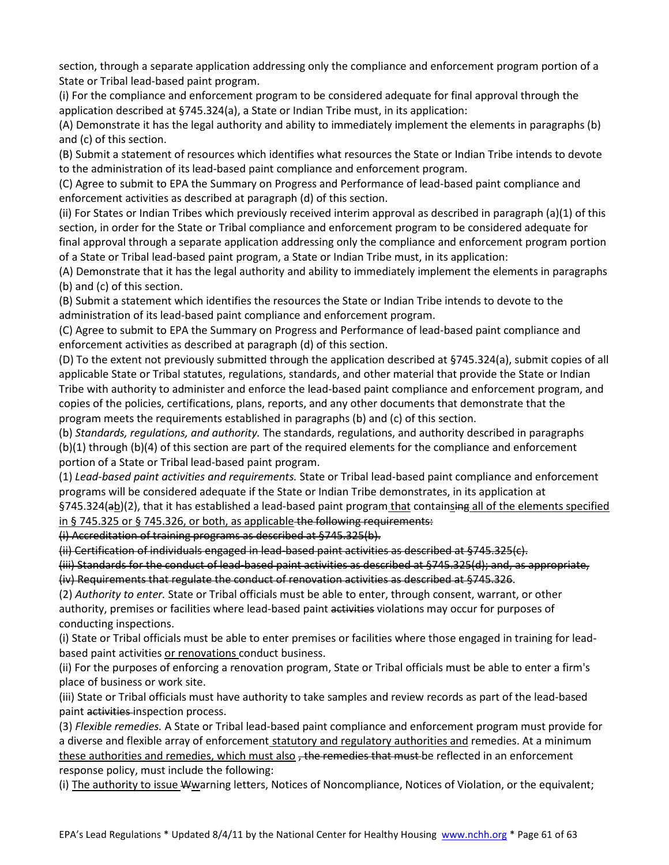section, through a separate application addressing only the compliance and enforcement program portion of a State or Tribal lead-based paint program.

(i) For the compliance and enforcement program to be considered adequate for final approval through the application described at §745.324(a), a State or Indian Tribe must, in its application:

(A) Demonstrate it has the legal authority and ability to immediately implement the elements in paragraphs (b) and (c) of this section.

(B) Submit a statement of resources which identifies what resources the State or Indian Tribe intends to devote to the administration of its lead-based paint compliance and enforcement program.

(C) Agree to submit to EPA the Summary on Progress and Performance of lead-based paint compliance and enforcement activities as described at paragraph (d) of this section.

(ii) For States or Indian Tribes which previously received interim approval as described in paragraph (a)(1) of this section, in order for the State or Tribal compliance and enforcement program to be considered adequate for final approval through a separate application addressing only the compliance and enforcement program portion of a State or Tribal lead-based paint program, a State or Indian Tribe must, in its application:

(A) Demonstrate that it has the legal authority and ability to immediately implement the elements in paragraphs (b) and (c) of this section.

(B) Submit a statement which identifies the resources the State or Indian Tribe intends to devote to the administration of its lead-based paint compliance and enforcement program.

(C) Agree to submit to EPA the Summary on Progress and Performance of lead-based paint compliance and enforcement activities as described at paragraph (d) of this section.

(D) To the extent not previously submitted through the application described at §745.324(a), submit copies of all applicable State or Tribal statutes, regulations, standards, and other material that provide the State or Indian Tribe with authority to administer and enforce the lead-based paint compliance and enforcement program, and copies of the policies, certifications, plans, reports, and any other documents that demonstrate that the program meets the requirements established in paragraphs (b) and (c) of this section.

(b) *Standards, regulations, and authority.* The standards, regulations, and authority described in paragraphs (b)(1) through (b)(4) of this section are part of the required elements for the compliance and enforcement portion of a State or Tribal lead-based paint program.

(1) *Lead-based paint activities and requirements.* State or Tribal lead-based paint compliance and enforcement programs will be considered adequate if the State or Indian Tribe demonstrates, in its application at

 $§745.324(ab)(2)$ , that it has established a lead-based paint program that containsing all of the elements specified in § 745.325 or § 745.326, or both, as applicable the following requirements:

(i) Accreditation of training programs as described at §745.325(b).

(ii) Certification of individuals engaged in lead-based paint activities as described at §745.325(c).

(iii) Standards for the conduct of lead-based paint activities as described at §745.325(d); and, as appropriate, (iv) Requirements that regulate the conduct of renovation activities as described at §745.326.

(2) *Authority to enter.* State or Tribal officials must be able to enter, through consent, warrant, or other authority, premises or facilities where lead-based paint activities violations may occur for purposes of conducting inspections.

(i) State or Tribal officials must be able to enter premises or facilities where those engaged in training for leadbased paint activities or renovations conduct business.

(ii) For the purposes of enforcing a renovation program, State or Tribal officials must be able to enter a firm's place of business or work site.

(iii) State or Tribal officials must have authority to take samples and review records as part of the lead-based paint activities inspection process.

(3) *Flexible remedies.* A State or Tribal lead-based paint compliance and enforcement program must provide for a diverse and flexible array of enforcement statutory and regulatory authorities and remedies. At a minimum these authorities and remedies, which must also, the remedies that must be reflected in an enforcement response policy, must include the following:

(i) The authority to issue Wwarning letters, Notices of Noncompliance, Notices of Violation, or the equivalent;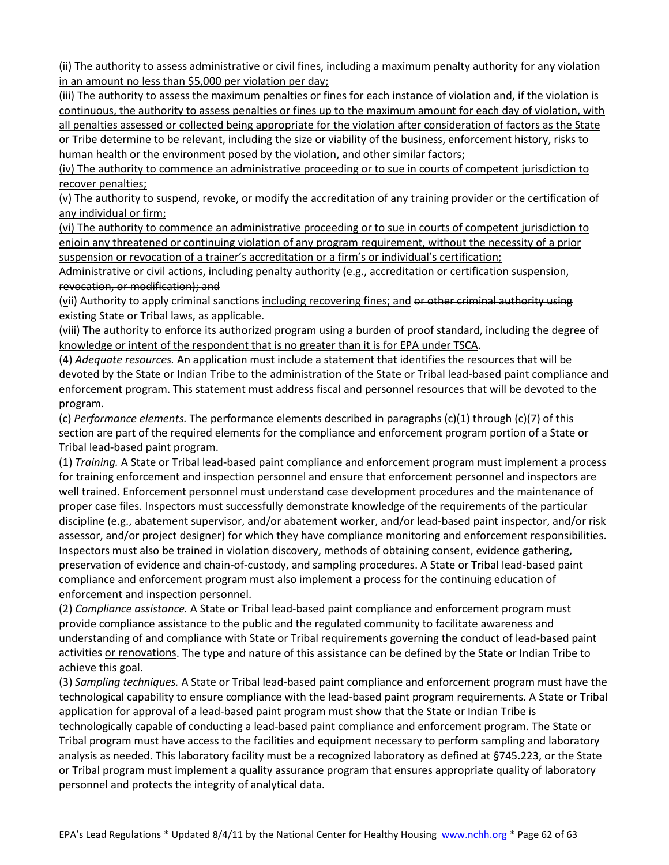(ii) The authority to assess administrative or civil fines, including a maximum penalty authority for any violation in an amount no less than \$5,000 per violation per day;

(iii) The authority to assess the maximum penalties or fines for each instance of violation and, if the violation is continuous, the authority to assess penalties or fines up to the maximum amount for each day of violation, with all penalties assessed or collected being appropriate for the violation after consideration of factors as the State or Tribe determine to be relevant, including the size or viability of the business, enforcement history, risks to human health or the environment posed by the violation, and other similar factors;

(iv) The authority to commence an administrative proceeding or to sue in courts of competent jurisdiction to recover penalties;

(v) The authority to suspend, revoke, or modify the accreditation of any training provider or the certification of any individual or firm;

(vi) The authority to commence an administrative proceeding or to sue in courts of competent jurisdiction to enjoin any threatened or continuing violation of any program requirement, without the necessity of a prior suspension or revocation of a trainer's accreditation or a firm's or individual's certification;

Administrative or civil actions, including penalty authority (e.g., accreditation or certification suspension, revocation, or modification); and

(vii) Authority to apply criminal sanctions including recovering fines; and or other criminal authority using existing State or Tribal laws, as applicable.

(viii) The authority to enforce its authorized program using a burden of proof standard, including the degree of knowledge or intent of the respondent that is no greater than it is for EPA under TSCA.

(4) *Adequate resources.* An application must include a statement that identifies the resources that will be devoted by the State or Indian Tribe to the administration of the State or Tribal lead-based paint compliance and enforcement program. This statement must address fiscal and personnel resources that will be devoted to the program.

(c) *Performance elements.* The performance elements described in paragraphs (c)(1) through (c)(7) of this section are part of the required elements for the compliance and enforcement program portion of a State or Tribal lead-based paint program.

(1) *Training.* A State or Tribal lead-based paint compliance and enforcement program must implement a process for training enforcement and inspection personnel and ensure that enforcement personnel and inspectors are well trained. Enforcement personnel must understand case development procedures and the maintenance of proper case files. Inspectors must successfully demonstrate knowledge of the requirements of the particular discipline (e.g., abatement supervisor, and/or abatement worker, and/or lead-based paint inspector, and/or risk assessor, and/or project designer) for which they have compliance monitoring and enforcement responsibilities. Inspectors must also be trained in violation discovery, methods of obtaining consent, evidence gathering, preservation of evidence and chain-of-custody, and sampling procedures. A State or Tribal lead-based paint compliance and enforcement program must also implement a process for the continuing education of enforcement and inspection personnel.

(2) *Compliance assistance.* A State or Tribal lead-based paint compliance and enforcement program must provide compliance assistance to the public and the regulated community to facilitate awareness and understanding of and compliance with State or Tribal requirements governing the conduct of lead-based paint activities or renovations. The type and nature of this assistance can be defined by the State or Indian Tribe to achieve this goal.

(3) *Sampling techniques.* A State or Tribal lead-based paint compliance and enforcement program must have the technological capability to ensure compliance with the lead-based paint program requirements. A State or Tribal application for approval of a lead-based paint program must show that the State or Indian Tribe is technologically capable of conducting a lead-based paint compliance and enforcement program. The State or Tribal program must have access to the facilities and equipment necessary to perform sampling and laboratory analysis as needed. This laboratory facility must be a recognized laboratory as defined at §745.223, or the State or Tribal program must implement a quality assurance program that ensures appropriate quality of laboratory personnel and protects the integrity of analytical data.